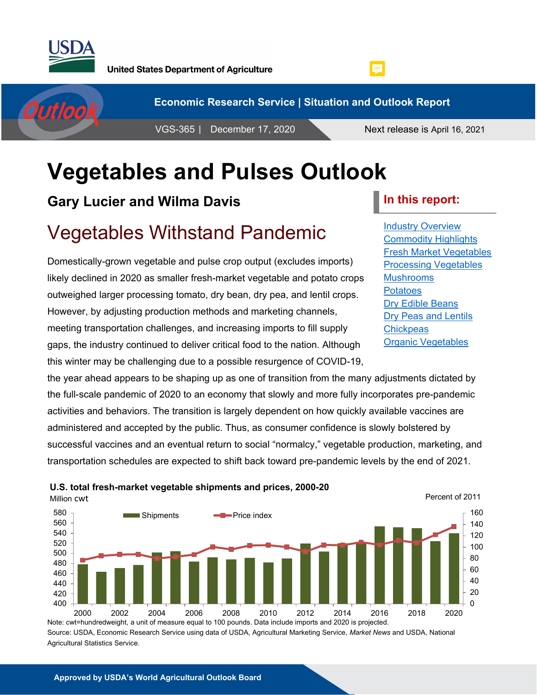

Outlook



VGS-365 | December 17, 2020 Next release is April 16, 2021

**E** 

# **Vegetables and Pulses Outlook**

## **Gary Lucier and Wilma Davis**

## Vegetables Withstand Pandemic

**U.S. total fresh-market vegetable shipments and prices, 2000-20**

Domestically-grown vegetable and pulse crop output (excludes imports) likely declined in 2020 as smaller fresh-market vegetable and potato crops outweighed larger processing tomato, dry bean, dry pea, and lentil crops. However, by adjusting production methods and marketing channels, meeting transportation challenges, and increasing imports to fill supply gaps, the industry continued to deliver critical food to the nation. Although this winter may be challenging due to a possible resurgence of COVID-19,

the year ahead appears to be shaping up as one of transition from the many adjustments dictated by the full-scale pandemic of 2020 to an economy that slowly and more fully incorporates pre-pandemic activities and behaviors. The transition is largely dependent on how quickly available vaccines are administered and accepted by the public. Thus, as consumer confidence is slowly bolstered by successful vaccines and an eventual return to social "normalcy," vegetable production, marketing, and transportation schedules are expected to shift back toward pre-pandemic levels by the end of 2021.



Source: USDA, Economic Research Service using data of USDA, Agricultural Marketing Service, *Market News* and USDA, National Agricultural Statistics Service.

### **In this report:**

[Industry Overview](#page-1-0) [Commodity Highlights](#page-5-0) [Fresh Market Vegetables](#page-12-0) [Processing Vegetables](#page-23-0) [Mushrooms](#page-31-0) [Potatoes](#page-34-0) [Dry Edible Beans](#page-41-0) [Dry Peas and Lentils](#page-47-0) **[Chickpeas](#page-51-0)** [Organic Vegetables](#page-54-0)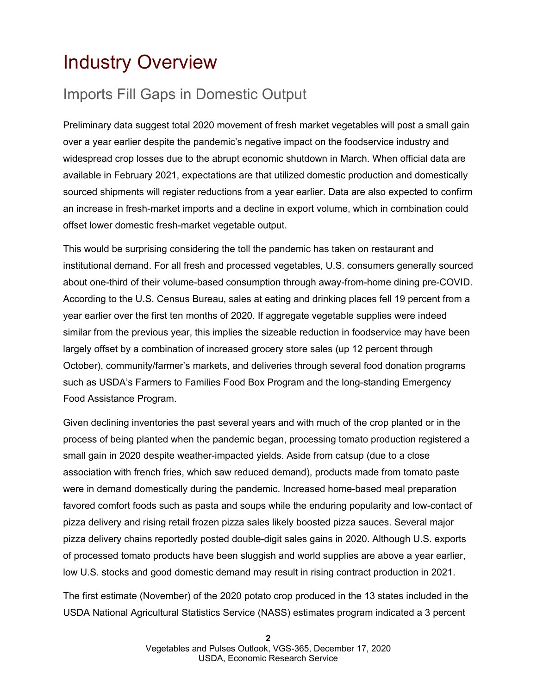## <span id="page-1-0"></span>Industry Overview

## Imports Fill Gaps in Domestic Output

Preliminary data suggest total 2020 movement of fresh market vegetables will post a small gain over a year earlier despite the pandemic's negative impact on the foodservice industry and widespread crop losses due to the abrupt economic shutdown in March. When official data are available in February 2021, expectations are that utilized domestic production and domestically sourced shipments will register reductions from a year earlier. Data are also expected to confirm an increase in fresh-market imports and a decline in export volume, which in combination could offset lower domestic fresh-market vegetable output.

This would be surprising considering the toll the pandemic has taken on restaurant and institutional demand. For all fresh and processed vegetables, U.S. consumers generally sourced about one-third of their volume-based consumption through away-from-home dining pre-COVID. According to the U.S. Census Bureau, sales at eating and drinking places fell 19 percent from a year earlier over the first ten months of 2020. If aggregate vegetable supplies were indeed similar from the previous year, this implies the sizeable reduction in foodservice may have been largely offset by a combination of increased grocery store sales (up 12 percent through October), community/farmer's markets, and deliveries through several food donation programs such as USDA's Farmers to Families Food Box Program and the long-standing Emergency Food Assistance Program.

Given declining inventories the past several years and with much of the crop planted or in the process of being planted when the pandemic began, processing tomato production registered a small gain in 2020 despite weather-impacted yields. Aside from catsup (due to a close association with french fries, which saw reduced demand), products made from tomato paste were in demand domestically during the pandemic. Increased home-based meal preparation favored comfort foods such as pasta and soups while the enduring popularity and low-contact of pizza delivery and rising retail frozen pizza sales likely boosted pizza sauces. Several major pizza delivery chains reportedly posted double-digit sales gains in 2020. Although U.S. exports of processed tomato products have been sluggish and world supplies are above a year earlier, low U.S. stocks and good domestic demand may result in rising contract production in 2021.

The first estimate (November) of the 2020 potato crop produced in the 13 states included in the USDA National Agricultural Statistics Service (NASS) estimates program indicated a 3 percent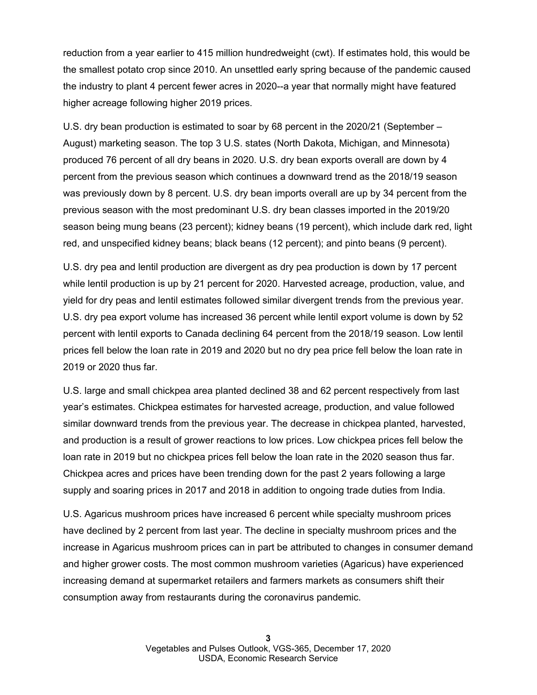reduction from a year earlier to 415 million hundredweight (cwt). If estimates hold, this would be the smallest potato crop since 2010. An unsettled early spring because of the pandemic caused the industry to plant 4 percent fewer acres in 2020--a year that normally might have featured higher acreage following higher 2019 prices.

U.S. dry bean production is estimated to soar by 68 percent in the 2020/21 (September – August) marketing season. The top 3 U.S. states (North Dakota, Michigan, and Minnesota) produced 76 percent of all dry beans in 2020. U.S. dry bean exports overall are down by 4 percent from the previous season which continues a downward trend as the 2018/19 season was previously down by 8 percent. U.S. dry bean imports overall are up by 34 percent from the previous season with the most predominant U.S. dry bean classes imported in the 2019/20 season being mung beans (23 percent); kidney beans (19 percent), which include dark red, light red, and unspecified kidney beans; black beans (12 percent); and pinto beans (9 percent).

U.S. dry pea and lentil production are divergent as dry pea production is down by 17 percent while lentil production is up by 21 percent for 2020. Harvested acreage, production, value, and yield for dry peas and lentil estimates followed similar divergent trends from the previous year. U.S. dry pea export volume has increased 36 percent while lentil export volume is down by 52 percent with lentil exports to Canada declining 64 percent from the 2018/19 season. Low lentil prices fell below the loan rate in 2019 and 2020 but no dry pea price fell below the loan rate in 2019 or 2020 thus far.

U.S. large and small chickpea area planted declined 38 and 62 percent respectively from last year's estimates. Chickpea estimates for harvested acreage, production, and value followed similar downward trends from the previous year. The decrease in chickpea planted, harvested, and production is a result of grower reactions to low prices. Low chickpea prices fell below the loan rate in 2019 but no chickpea prices fell below the loan rate in the 2020 season thus far. Chickpea acres and prices have been trending down for the past 2 years following a large supply and soaring prices in 2017 and 2018 in addition to ongoing trade duties from India.

U.S. Agaricus mushroom prices have increased 6 percent while specialty mushroom prices have declined by 2 percent from last year. The decline in specialty mushroom prices and the increase in Agaricus mushroom prices can in part be attributed to changes in consumer demand and higher grower costs. The most common mushroom varieties (Agaricus) have experienced increasing demand at supermarket retailers and farmers markets as consumers shift their consumption away from restaurants during the coronavirus pandemic.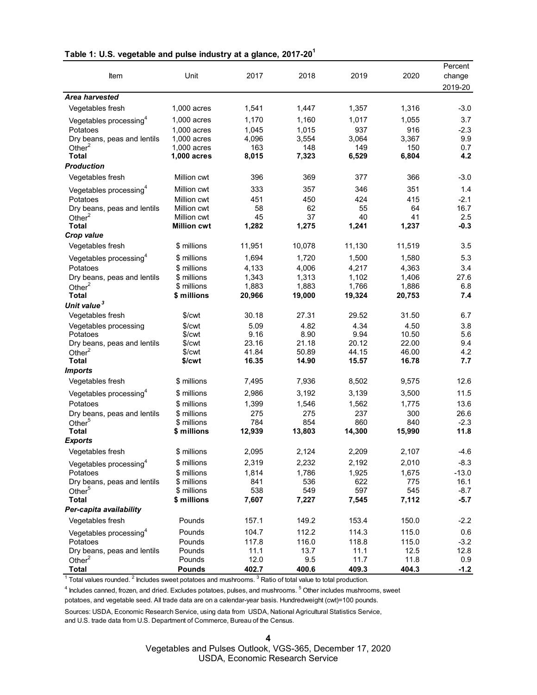| Item                                                                                                                             | Unit                       | 2017            | 2018            | 2019            | 2020            | Percent<br>change |
|----------------------------------------------------------------------------------------------------------------------------------|----------------------------|-----------------|-----------------|-----------------|-----------------|-------------------|
|                                                                                                                                  |                            |                 |                 |                 |                 | 2019-20           |
| <b>Area harvested</b>                                                                                                            |                            |                 |                 |                 |                 |                   |
| Vegetables fresh                                                                                                                 | 1,000 acres                | 1,541           | 1,447           | 1,357           | 1,316           | $-3.0$            |
| Vegetables processing $4$                                                                                                        | 1,000 acres                | 1,170           | 1,160           | 1,017           | 1,055           | 3.7               |
| Potatoes                                                                                                                         | 1,000 acres                | 1,045           | 1,015           | 937             | 916             | $-2.3$            |
| Dry beans, peas and lentils                                                                                                      | 1,000 acres                | 4,096           | 3,554           | 3,064           | 3,367           | 9.9               |
| Other $2$                                                                                                                        | 1,000 acres                | 163             | 148             | 149             | 150             | 0.7               |
| <b>Total</b>                                                                                                                     | 1,000 acres                | 8,015           | 7,323           | 6,529           | 6,804           | 4.2               |
| <b>Production</b>                                                                                                                |                            |                 |                 |                 |                 |                   |
| Vegetables fresh                                                                                                                 | Million cwt                | 396             | 369             | 377             | 366             | $-3.0$            |
| Vegetables processing <sup>4</sup>                                                                                               | Million cwt                | 333             | 357             | 346             | 351             | 1.4               |
| Potatoes                                                                                                                         | Million cwt                | 451             | 450             | 424             | 415             | $-2.1$            |
| Dry beans, peas and lentils                                                                                                      | Million cwt                | 58              | 62              | 55              | 64              | 16.7              |
| Other $2$                                                                                                                        | Million cwt                | 45              | 37              | 40              | 41              | 2.5               |
| <b>Total</b>                                                                                                                     | <b>Million cwt</b>         | 1,282           | 1,275           | 1,241           | 1,237           | $-0.3$            |
| Crop value                                                                                                                       |                            |                 |                 |                 |                 |                   |
| Vegetables fresh                                                                                                                 | \$ millions                | 11,951          | 10,078          | 11,130          | 11,519          | 3.5               |
| Vegetables processing <sup>4</sup>                                                                                               | \$ millions                | 1,694           | 1,720           | 1,500           | 1,580           | 5.3               |
| Potatoes                                                                                                                         | \$ millions                | 4,133           | 4,006           | 4,217           | 4,363           | 3.4               |
| Dry beans, peas and lentils                                                                                                      | \$ millions<br>\$ millions | 1,343           | 1,313           | 1,102           | 1,406           | 27.6              |
| Other $^2$<br><b>Total</b>                                                                                                       | \$ millions                | 1,883<br>20,966 | 1,883<br>19,000 | 1,766<br>19,324 | 1,886<br>20,753 | 6.8<br>7.4        |
| Unit value <sup>3</sup>                                                                                                          |                            |                 |                 |                 |                 |                   |
| Vegetables fresh                                                                                                                 | \$/cwt                     | 30.18           | 27.31           | 29.52           | 31.50           | 6.7               |
| Vegetables processing                                                                                                            | \$/cwt                     | 5.09            | 4.82            | 4.34            | 4.50            | 3.8               |
| Potatoes                                                                                                                         | \$/cwt                     | 9.16            | 8.90            | 9.94            | 10.50           | 5.6               |
| Dry beans, peas and lentils                                                                                                      | \$/ <sub>cut</sub>         | 23.16           | 21.18           | 20.12           | 22.00           | 9.4               |
| Other $2$                                                                                                                        | \$/cwt                     | 41.84           | 50.89           | 44.15           | 46.00           | 4.2               |
| <b>Total</b>                                                                                                                     | \$/cwt                     | 16.35           | 14.90           | 15.57           | 16.78           | 7.7               |
| <b>Imports</b>                                                                                                                   |                            |                 |                 |                 |                 |                   |
| Vegetables fresh                                                                                                                 | \$ millions                | 7,495           | 7,936           | 8,502           | 9,575           | 12.6              |
| Vegetables processing <sup>4</sup>                                                                                               | \$ millions                | 2,986           | 3,192           | 3,139           | 3,500           | 11.5              |
| Potatoes                                                                                                                         | \$ millions                | 1,399           | 1,546           | 1,562           | 1,775           | 13.6              |
| Dry beans, peas and lentils                                                                                                      | \$ millions                | 275             | 275             | 237             | 300             | 26.6              |
| Other <sup>5</sup>                                                                                                               | \$ millions                | 784             | 854             | 860             | 840             | $-2.3$            |
| Total                                                                                                                            | \$ millions                | 12,939          | 13,803          | 14,300          | 15,990          | 11.8              |
| <b>Exports</b>                                                                                                                   |                            |                 |                 |                 |                 |                   |
| Vegetables fresh                                                                                                                 | \$ millions                | 2,095           | 2,124           | 2,209           | 2,107           | $-4.6$            |
| Vegetables processing <sup>4</sup>                                                                                               | \$ millions                | 2,319           | 2,232           | 2,192           | 2,010           | $-8.3$            |
| Potatoes                                                                                                                         | \$ millions                | 1,814           | 1,786           | 1,925           | 1,675           | $-13.0$           |
| Dry beans, peas and lentils                                                                                                      | \$ millions<br>\$ millions | 841<br>538      | 536<br>549      | 622<br>597      | 775<br>545      | 16.1<br>$-8.7$    |
| Other <sup>5</sup><br><b>Total</b>                                                                                               | \$ millions                | 7,607           | 7,227           | 7,545           | 7,112           | $-5.7$            |
| Per-capita availability                                                                                                          |                            |                 |                 |                 |                 |                   |
| Vegetables fresh                                                                                                                 | Pounds                     | 157.1           | 149.2           | 153.4           | 150.0           | $-2.2$            |
|                                                                                                                                  |                            |                 |                 |                 |                 |                   |
| Vegetables processing <sup>4</sup><br>Potatoes                                                                                   | Pounds<br>Pounds           | 104.7<br>117.8  | 112.2<br>116.0  | 114.3<br>118.8  | 115.0           | 0.6<br>$-3.2$     |
| Dry beans, peas and lentils                                                                                                      | Pounds                     | 11.1            | 13.7            | 11.1            | 115.0<br>12.5   | 12.8              |
| Other $2$                                                                                                                        | Pounds                     | 12.0            | 9.5             | 11.7            | 11.8            | 0.9               |
| <b>Total</b>                                                                                                                     | <b>Pounds</b>              | 402.7           | 400.6           | 409.3           | 404.3           | $-1.2$            |
| Total values rounded. <sup>2</sup> Includes sweet potatoes and mushrooms. <sup>3</sup> Ratio of total value to total production. |                            |                 |                 |                 |                 |                   |

### **Table 1: U.S. vegetable and pulse industry at a glance, 2017-201**

 $^4$  lncludes canned, frozen, and dried. Excludes potatoes, pulses, and mushrooms.  $^5$  Other includes mushrooms, sweet potatoes, and vegetable seed. All trade data are on a calendar-year basis. Hundredweight (cwt)=100 pounds.

Sources: USDA, Economic Research Service, using data from USDA, National Agricultural Statistics Service, and U.S. trade data from U.S. Department of Commerce, Bureau of the Census.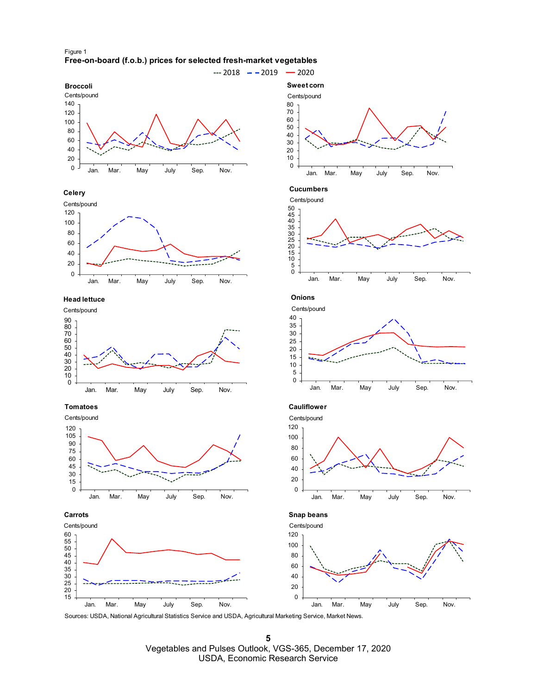



#### **Celery**



**Head lettuce**



#### **Tomatoes**







Cents/pound







**Snap beans**

 Jan. Mar. May July Sep. Nov. Cents/pound

Sources: USDA, National Agricultural Statistics Service and USDA, Agricultural Marketing Service, Market News.

 Vegetables and Pulses Outlook, VGS-365, December 17, 2020 USDA, Economic Research Service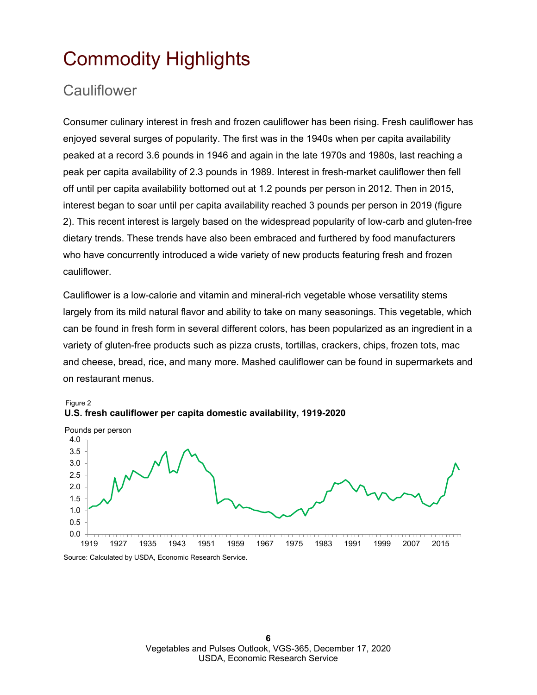## <span id="page-5-0"></span>Commodity Highlights

### **Cauliflower**

Consumer culinary interest in fresh and frozen cauliflower has been rising. Fresh cauliflower has enjoyed several surges of popularity. The first was in the 1940s when per capita availability peaked at a record 3.6 pounds in 1946 and again in the late 1970s and 1980s, last reaching a peak per capita availability of 2.3 pounds in 1989. Interest in fresh-market cauliflower then fell off until per capita availability bottomed out at 1.2 pounds per person in 2012. Then in 2015, interest began to soar until per capita availability reached 3 pounds per person in 2019 (figure 2). This recent interest is largely based on the widespread popularity of low-carb and gluten-free dietary trends. These trends have also been embraced and furthered by food manufacturers who have concurrently introduced a wide variety of new products featuring fresh and frozen cauliflower.

Cauliflower is a low-calorie and vitamin and mineral-rich vegetable whose versatility stems largely from its mild natural flavor and ability to take on many seasonings. This vegetable, which can be found in fresh form in several different colors, has been popularized as an ingredient in a variety of gluten-free products such as pizza crusts, tortillas, crackers, chips, frozen tots, mac and cheese, bread, rice, and many more. Mashed cauliflower can be found in supermarkets and on restaurant menus.



**U.S. fresh cauliflower per capita domestic availability, 1919-2020**  Figure 2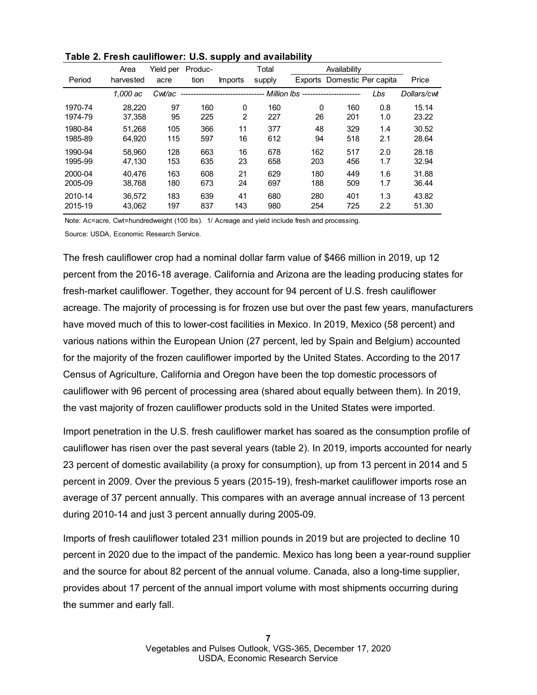|         | Area      | Yield per | Produc- |                                | Total  |                                       | Availability        |                  |             |
|---------|-----------|-----------|---------|--------------------------------|--------|---------------------------------------|---------------------|------------------|-------------|
| Period  | harvested | acre      | tion    | <b>Imports</b>                 | supply | Exports                               | Domestic Per capita |                  | Price       |
|         | 1.000 ac  | Cwt/ac    |         | ------------------------------ |        | -- Million lbs ---------------------- |                     | Lbs              | Dollars/cwt |
| 1970-74 | 28.220    | 97        | 160     | 0                              | 160    | 0                                     | 160                 | 0.8              | 15.14       |
| 1974-79 | 37.358    | 95        | 225     | 2                              | 227    | 26                                    | 201                 | 1.0              | 23.22       |
| 1980-84 | 51.268    | 105       | 366     | 11                             | 377    | 48                                    | 329                 | 1.4              | 30.52       |
| 1985-89 | 64.920    | 115       | 597     | 16                             | 612    | 94                                    | 518                 | 2.1              | 28.64       |
| 1990-94 | 58.960    | 128       | 663     | 16                             | 678    | 162                                   | 517                 | 2.0              | 28.18       |
| 1995-99 | 47.130    | 153       | 635     | 23                             | 658    | 203                                   | 456                 | 1.7              | 32.94       |
| 2000-04 | 40.476    | 163       | 608     | 21                             | 629    | 180                                   | 449                 | 1.6              | 31.88       |
| 2005-09 | 38.768    | 180       | 673     | 24                             | 697    | 188                                   | 509                 | 1.7              | 36.44       |
| 2010-14 | 36.572    | 183       | 639     | 41                             | 680    | 280                                   | 401                 | 1.3              | 43.82       |
| 2015-19 | 43.062    | 197       | 837     | 143                            | 980    | 254                                   | 725                 | $2.2\phantom{0}$ | 51.30       |

| Table 2. Fresh cauliflower: U.S. supply and availability |  |  |
|----------------------------------------------------------|--|--|
|----------------------------------------------------------|--|--|

Note: Ac=acre, Cwt=hundredweight (100 lbs). 1/ Acreage and yield include fresh and processing.

Source: USDA, Economic Research Service.

The fresh cauliflower crop had a nominal dollar farm value of \$466 million in 2019, up 12 percent from the 2016-18 average. California and Arizona are the leading producing states for fresh-market cauliflower. Together, they account for 94 percent of U.S. fresh cauliflower acreage. The majority of processing is for frozen use but over the past few years, manufacturers have moved much of this to lower-cost facilities in Mexico. In 2019, Mexico (58 percent) and various nations within the European Union (27 percent, led by Spain and Belgium) accounted for the majority of the frozen cauliflower imported by the United States. According to the 2017 Census of Agriculture, California and Oregon have been the top domestic processors of cauliflower with 96 percent of processing area (shared about equally between them). In 2019, the vast majority of frozen cauliflower products sold in the United States were imported.

Import penetration in the U.S. fresh cauliflower market has soared as the consumption profile of cauliflower has risen over the past several years (table 2). In 2019, imports accounted for nearly 23 percent of domestic availability (a proxy for consumption), up from 13 percent in 2014 and 5 percent in 2009. Over the previous 5 years (2015-19), fresh-market cauliflower imports rose an average of 37 percent annually. This compares with an average annual increase of 13 percent during 2010-14 and just 3 percent annually during 2005-09.

Imports of fresh cauliflower totaled 231 million pounds in 2019 but are projected to decline 10 percent in 2020 due to the impact of the pandemic. Mexico has long been a year-round supplier and the source for about 82 percent of the annual volume. Canada, also a long-time supplier, provides about 17 percent of the annual import volume with most shipments occurring during the summer and early fall.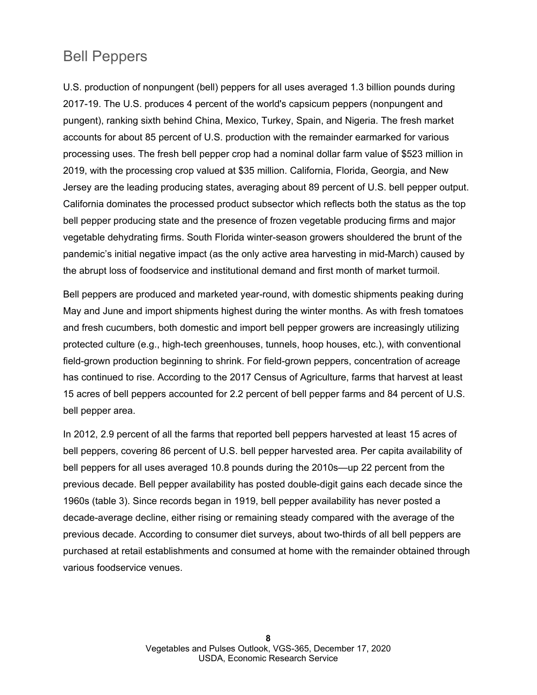### Bell Peppers

U.S. production of nonpungent (bell) peppers for all uses averaged 1.3 billion pounds during 2017-19. The U.S. produces 4 percent of the world's capsicum peppers (nonpungent and pungent), ranking sixth behind China, Mexico, Turkey, Spain, and Nigeria. The fresh market accounts for about 85 percent of U.S. production with the remainder earmarked for various processing uses. The fresh bell pepper crop had a nominal dollar farm value of \$523 million in 2019, with the processing crop valued at \$35 million. California, Florida, Georgia, and New Jersey are the leading producing states, averaging about 89 percent of U.S. bell pepper output. California dominates the processed product subsector which reflects both the status as the top bell pepper producing state and the presence of frozen vegetable producing firms and major vegetable dehydrating firms. South Florida winter-season growers shouldered the brunt of the pandemic's initial negative impact (as the only active area harvesting in mid-March) caused by the abrupt loss of foodservice and institutional demand and first month of market turmoil.

Bell peppers are produced and marketed year-round, with domestic shipments peaking during May and June and import shipments highest during the winter months. As with fresh tomatoes and fresh cucumbers, both domestic and import bell pepper growers are increasingly utilizing protected culture (e.g., high-tech greenhouses, tunnels, hoop houses, etc.), with conventional field-grown production beginning to shrink. For field-grown peppers, concentration of acreage has continued to rise. According to the 2017 Census of Agriculture, farms that harvest at least 15 acres of bell peppers accounted for 2.2 percent of bell pepper farms and 84 percent of U.S. bell pepper area.

In 2012, 2.9 percent of all the farms that reported bell peppers harvested at least 15 acres of bell peppers, covering 86 percent of U.S. bell pepper harvested area. Per capita availability of bell peppers for all uses averaged 10.8 pounds during the 2010s—up 22 percent from the previous decade. Bell pepper availability has posted double-digit gains each decade since the 1960s (table 3). Since records began in 1919, bell pepper availability has never posted a decade-average decline, either rising or remaining steady compared with the average of the previous decade. According to consumer diet surveys, about two-thirds of all bell peppers are purchased at retail establishments and consumed at home with the remainder obtained through various foodservice venues.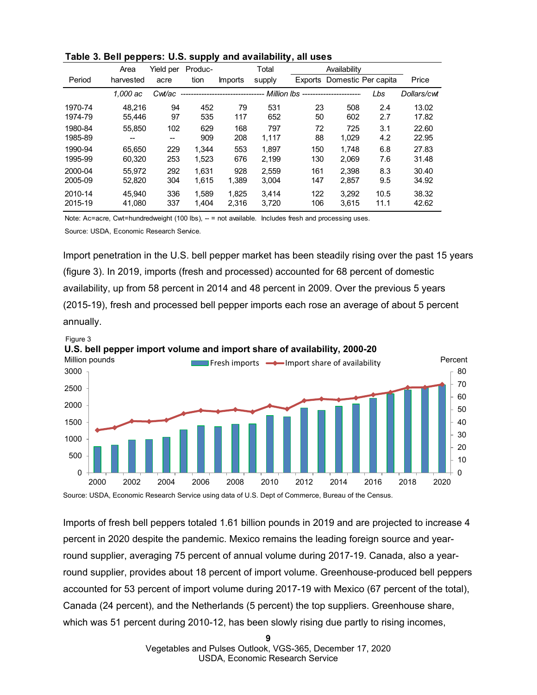|         | Area      | Yield per         | Produc- |                                 | Total  |                                     | Availability                |      |             |
|---------|-----------|-------------------|---------|---------------------------------|--------|-------------------------------------|-----------------------------|------|-------------|
| Period  | harvested | acre              | tion    | Imports                         | supply |                                     | Exports Domestic Per capita |      | Price       |
|         | 1.000 ac  | Cwt/ac            |         | ------------------------------- |        | - Million lbs --------------------- |                             | Lbs  | Dollars/cwt |
| 1970-74 | 48.216    | 94                | 452     | 79                              | 531    | 23                                  | 508                         | 2.4  | 13.02       |
| 1974-79 | 55.446    | 97                | 535     | 117                             | 652    | 50                                  | 602                         | 2.7  | 17.82       |
| 1980-84 | 55.850    | 102               | 629     | 168                             | 797    | 72                                  | 725                         | 3.1  | 22.60       |
| 1985-89 | $- -$     | $\hspace{0.05cm}$ | 909     | 208                             | 1.117  | 88                                  | 1.029                       | 4.2  | 22.95       |
| 1990-94 | 65.650    | 229               | 1.344   | 553                             | 1.897  | 150                                 | 1.748                       | 6.8  | 27.83       |
| 1995-99 | 60.320    | 253               | 1.523   | 676                             | 2.199  | 130                                 | 2,069                       | 7.6  | 31.48       |
| 2000-04 | 55.972    | 292               | 1.631   | 928                             | 2.559  | 161                                 | 2.398                       | 8.3  | 30.40       |
| 2005-09 | 52,820    | 304               | 1.615   | 1,389                           | 3,004  | 147                                 | 2,857                       | 9.5  | 34.92       |
| 2010-14 | 45.940    | 336               | 1.589   | 1.825                           | 3.414  | 122                                 | 3.292                       | 10.5 | 38.32       |
| 2015-19 | 41.080    | 337               | 1.404   | 2.316                           | 3.720  | 106                                 | 3,615                       | 11.1 | 42.62       |

|  |  |  |  |  |  | Table 3. Bell peppers: U.S. supply and availability, all uses |  |
|--|--|--|--|--|--|---------------------------------------------------------------|--|
|--|--|--|--|--|--|---------------------------------------------------------------|--|

Note: Ac=acre, Cwt=hundredweight (100 lbs), -- = not available. Includes fresh and processing uses.

Source: USDA, Economic Research Service.

Import penetration in the U.S. bell pepper market has been steadily rising over the past 15 years (figure 3). In 2019, imports (fresh and processed) accounted for 68 percent of domestic availability, up from 58 percent in 2014 and 48 percent in 2009. Over the previous 5 years (2015-19), fresh and processed bell pepper imports each rose an average of about 5 percent annually.





Imports of fresh bell peppers totaled 1.61 billion pounds in 2019 and are projected to increase 4 percent in 2020 despite the pandemic. Mexico remains the leading foreign source and yearround supplier, averaging 75 percent of annual volume during 2017-19. Canada, also a yearround supplier, provides about 18 percent of import volume. Greenhouse-produced bell peppers accounted for 53 percent of import volume during 2017-19 with Mexico (67 percent of the total), Canada (24 percent), and the Netherlands (5 percent) the top suppliers. Greenhouse share, which was 51 percent during 2010-12, has been slowly rising due partly to rising incomes,

> Vegetables and Pulses Outlook, VGS-365, December 17, 2020 USDA, Economic Research Service

**9**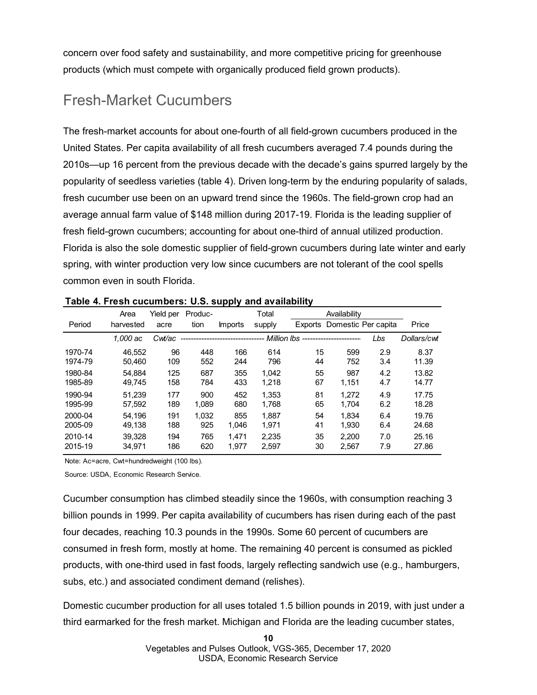concern over food safety and sustainability, and more competitive pricing for greenhouse products (which must compete with organically produced field grown products).

## Fresh-Market Cucumbers

The fresh-market accounts for about one-fourth of all field-grown cucumbers produced in the United States. Per capita availability of all fresh cucumbers averaged 7.4 pounds during the 2010s—up 16 percent from the previous decade with the decade's gains spurred largely by the popularity of seedless varieties (table 4). Driven long-term by the enduring popularity of salads, fresh cucumber use been on an upward trend since the 1960s. The field-grown crop had an average annual farm value of \$148 million during 2017-19. Florida is the leading supplier of fresh field-grown cucumbers; accounting for about one-third of annual utilized production. Florida is also the sole domestic supplier of field-grown cucumbers during late winter and early spring, with winter production very low since cucumbers are not tolerant of the cool spells common even in south Florida.

|         | Area      | Yield per | Produc- |                | Total       |    | Availability                |     |             |
|---------|-----------|-----------|---------|----------------|-------------|----|-----------------------------|-----|-------------|
| Period  | harvested | acre      | tion    | <i>Imports</i> | supply      |    | Exports Domestic Per capita |     | Price       |
|         | 1.000 ac  | Cwt/ac    |         |                | Million lbs |    |                             | Lbs | Dollars/cwt |
| 1970-74 | 46.552    | 96        | 448     | 166            | 614         | 15 | 599                         | 2.9 | 8.37        |
| 1974-79 | 50.460    | 109       | 552     | 244            | 796         | 44 | 752                         | 3.4 | 11.39       |
| 1980-84 | 54.884    | 125       | 687     | 355            | 1.042       | 55 | 987                         | 4.2 | 13.82       |
| 1985-89 | 49.745    | 158       | 784     | 433            | 1,218       | 67 | 1.151                       | 4.7 | 14.77       |
| 1990-94 | 51.239    | 177       | 900     | 452            | 1.353       | 81 | 1.272                       | 4.9 | 17.75       |
| 1995-99 | 57.592    | 189       | 1.089   | 680            | 1.768       | 65 | 1,704                       | 6.2 | 18.28       |
| 2000-04 | 54.196    | 191       | 1,032   | 855            | 1.887       | 54 | 1.834                       | 6.4 | 19.76       |
| 2005-09 | 49.138    | 188       | 925     | 1,046          | 1,971       | 41 | 1,930                       | 6.4 | 24.68       |
| 2010-14 | 39.328    | 194       | 765     | 1.471          | 2.235       | 35 | 2.200                       | 7.0 | 25.16       |
| 2015-19 | 34.971    | 186       | 620     | 1.977          | 2.597       | 30 | 2,567                       | 7.9 | 27.86       |

Note: Ac=acre, Cwt=hundredweight (100 lbs).

Source: USDA, Economic Research Service.

Cucumber consumption has climbed steadily since the 1960s, with consumption reaching 3 billion pounds in 1999. Per capita availability of cucumbers has risen during each of the past four decades, reaching 10.3 pounds in the 1990s. Some 60 percent of cucumbers are consumed in fresh form, mostly at home. The remaining 40 percent is consumed as pickled products, with one-third used in fast foods, largely reflecting sandwich use (e.g., hamburgers, subs, etc.) and associated condiment demand (relishes).

Domestic cucumber production for all uses totaled 1.5 billion pounds in 2019, with just under a third earmarked for the fresh market. Michigan and Florida are the leading cucumber states,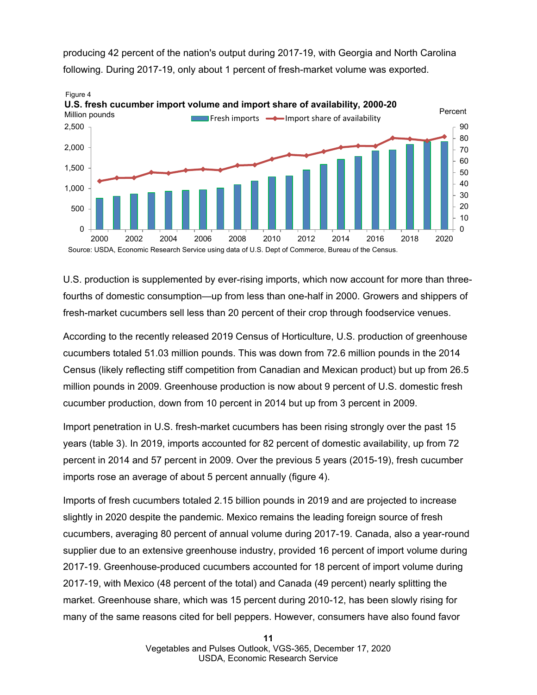

producing 42 percent of the nation's output during 2017-19, with Georgia and North Carolina following. During 2017-19, only about 1 percent of fresh-market volume was exported.

U.S. production is supplemented by ever-rising imports, which now account for more than threefourths of domestic consumption—up from less than one-half in 2000. Growers and shippers of fresh-market cucumbers sell less than 20 percent of their crop through foodservice venues.

According to the recently released 2019 Census of Horticulture, U.S. production of greenhouse cucumbers totaled 51.03 million pounds. This was down from 72.6 million pounds in the 2014 Census (likely reflecting stiff competition from Canadian and Mexican product) but up from 26.5 million pounds in 2009. Greenhouse production is now about 9 percent of U.S. domestic fresh cucumber production, down from 10 percent in 2014 but up from 3 percent in 2009.

Import penetration in U.S. fresh-market cucumbers has been rising strongly over the past 15 years (table 3). In 2019, imports accounted for 82 percent of domestic availability, up from 72 percent in 2014 and 57 percent in 2009. Over the previous 5 years (2015-19), fresh cucumber imports rose an average of about 5 percent annually (figure 4).

Imports of fresh cucumbers totaled 2.15 billion pounds in 2019 and are projected to increase slightly in 2020 despite the pandemic. Mexico remains the leading foreign source of fresh cucumbers, averaging 80 percent of annual volume during 2017-19. Canada, also a year-round supplier due to an extensive greenhouse industry, provided 16 percent of import volume during 2017-19. Greenhouse-produced cucumbers accounted for 18 percent of import volume during 2017-19, with Mexico (48 percent of the total) and Canada (49 percent) nearly splitting the market. Greenhouse share, which was 15 percent during 2010-12, has been slowly rising for many of the same reasons cited for bell peppers. However, consumers have also found favor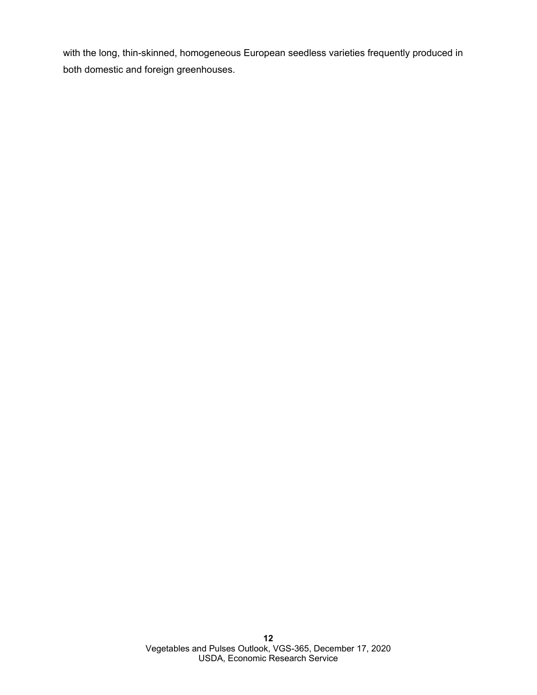with the long, thin-skinned, homogeneous European seedless varieties frequently produced in both domestic and foreign greenhouses.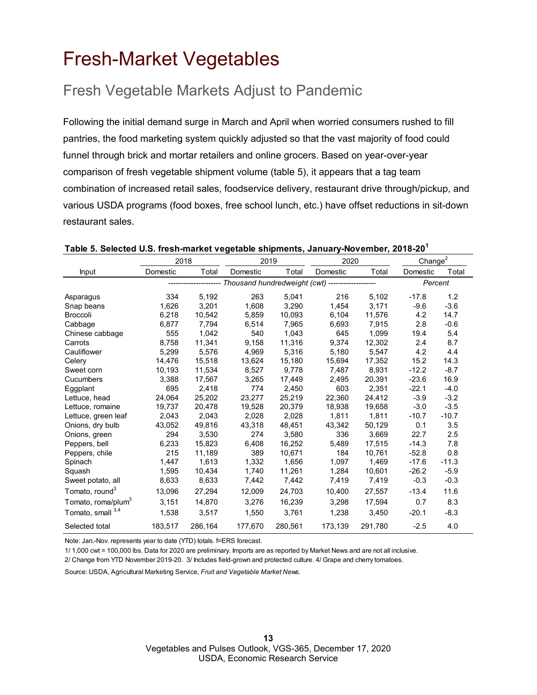## <span id="page-12-0"></span>Fresh-Market Vegetables

## Fresh Vegetable Markets Adjust to Pandemic

Following the initial demand surge in March and April when worried consumers rushed to fill pantries, the food marketing system quickly adjusted so that the vast majority of food could funnel through brick and mortar retailers and online grocers. Based on year-over-year comparison of fresh vegetable shipment volume (table 5), it appears that a tag team combination of increased retail sales, foodservice delivery, restaurant drive through/pickup, and various USDA programs (food boxes, free school lunch, etc.) have offset reductions in sit-down restaurant sales.

|                                | 2018     |         | 2019                                                  |         | 2020     |         | Change <sup>2</sup> |         |
|--------------------------------|----------|---------|-------------------------------------------------------|---------|----------|---------|---------------------|---------|
| Input                          | Domestic | Total   | Domestic                                              | Total   | Domestic | Total   | Domestic            | Total   |
|                                |          |         | ----- Thousand hundredweight (cwt) ------------------ |         |          |         | Percent             |         |
| Asparagus                      | 334      | 5,192   | 263                                                   | 5,041   | 216      | 5,102   | $-17.8$             | 1.2     |
| Snap beans                     | 1,626    | 3.201   | 1,608                                                 | 3,290   | 1,454    | 3,171   | $-9.6$              | $-3.6$  |
| <b>Broccoli</b>                | 6,218    | 10,542  | 5,859                                                 | 10,093  | 6,104    | 11,576  | 4.2                 | 14.7    |
| Cabbage                        | 6,877    | 7.794   | 6,514                                                 | 7,965   | 6,693    | 7,915   | 2.8                 | $-0.6$  |
| Chinese cabbage                | 555      | 1,042   | 540                                                   | 1,043   | 645      | 1,099   | 19.4                | 5.4     |
| Carrots                        | 8.758    | 11.341  | 9,158                                                 | 11,316  | 9.374    | 12,302  | 2.4                 | 8.7     |
| Cauliflower                    | 5,299    | 5,576   | 4,969                                                 | 5,316   | 5,180    | 5,547   | 4.2                 | 4.4     |
| Celery                         | 14,476   | 15,518  | 13,624                                                | 15,180  | 15,694   | 17,352  | 15.2                | 14.3    |
| Sweet corn                     | 10,193   | 11,534  | 8,527                                                 | 9,778   | 7,487    | 8,931   | $-12.2$             | $-8.7$  |
| Cucumbers                      | 3,388    | 17,567  | 3,265                                                 | 17,449  | 2,495    | 20,391  | $-23.6$             | 16.9    |
| Eggplant                       | 695      | 2,418   | 774                                                   | 2,450   | 603      | 2,351   | $-22.1$             | $-4.0$  |
| Lettuce, head                  | 24,064   | 25,202  | 23,277                                                | 25,219  | 22,360   | 24,412  | $-3.9$              | $-3.2$  |
| Lettuce, romaine               | 19,737   | 20,478  | 19,528                                                | 20,379  | 18,938   | 19,658  | $-3.0$              | $-3.5$  |
| Lettuce, green leaf            | 2,043    | 2,043   | 2,028                                                 | 2,028   | 1,811    | 1,811   | $-10.7$             | $-10.7$ |
| Onions, dry bulb               | 43,052   | 49,816  | 43,318                                                | 48,451  | 43,342   | 50,129  | 0.1                 | 3.5     |
| Onions, green                  | 294      | 3,530   | 274                                                   | 3,580   | 336      | 3,669   | 22.7                | 2.5     |
| Peppers, bell                  | 6,233    | 15,823  | 6,408                                                 | 16,252  | 5,489    | 17,515  | $-14.3$             | 7.8     |
| Peppers, chile                 | 215      | 11,189  | 389                                                   | 10,671  | 184      | 10,761  | $-52.8$             | 0.8     |
| Spinach                        | 1,447    | 1,613   | 1,332                                                 | 1,656   | 1,097    | 1,469   | $-17.6$             | $-11.3$ |
| Squash                         | 1,595    | 10,434  | 1,740                                                 | 11,261  | 1,284    | 10,601  | $-26.2$             | $-5.9$  |
| Sweet potato, all              | 8,633    | 8,633   | 7,442                                                 | 7,442   | 7,419    | 7,419   | $-0.3$              | $-0.3$  |
| Tomato, round <sup>3</sup>     | 13,096   | 27,294  | 12,009                                                | 24,703  | 10,400   | 27,557  | $-13.4$             | 11.6    |
| Tomato, roma/plum <sup>3</sup> | 3.151    | 14,870  | 3,276                                                 | 16,239  | 3,298    | 17,594  | 0.7                 | 8.3     |
| Tomato, small 3,4              | 1,538    | 3,517   | 1,550                                                 | 3,761   | 1,238    | 3,450   | $-20.1$             | $-8.3$  |
| Selected total                 | 183,517  | 286,164 | 177,670                                               | 280,561 | 173,139  | 291,780 | $-2.5$              | 4.0     |

### **Table 5. Selected U.S. fresh-market vegetable shipments, January-November, 2018-20<sup>1</sup>**

Note: Jan.-Nov. represents year to date (YTD) totals. f=ERS forecast.

1/ 1,000 cwt = 100,000 lbs. Data for 2020 are preliminary. Imports are as reported by Market News and are not all inclusive. 2/ Change from YTD November 2019-20. 3/ Includes field-grown and protected culture. 4/ Grape and cherry tomatoes.

Source: USDA, Agricultural Marketing Service, *Fruit and Vegetable Market News.*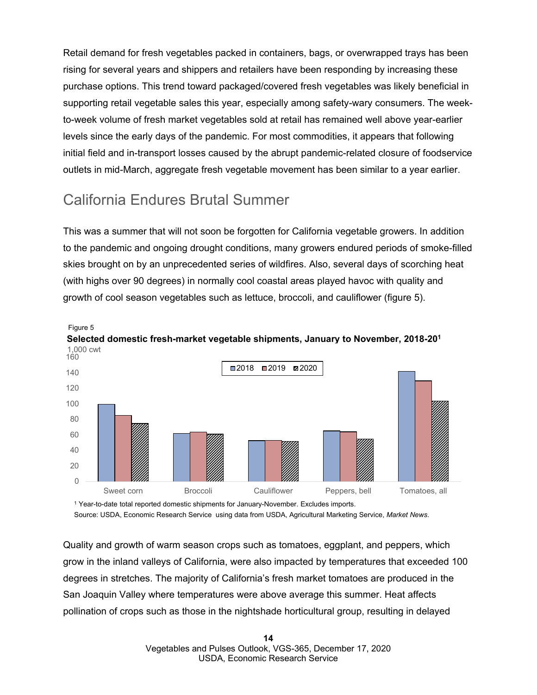Retail demand for fresh vegetables packed in containers, bags, or overwrapped trays has been rising for several years and shippers and retailers have been responding by increasing these purchase options. This trend toward packaged/covered fresh vegetables was likely beneficial in supporting retail vegetable sales this year, especially among safety-wary consumers. The weekto-week volume of fresh market vegetables sold at retail has remained well above year-earlier levels since the early days of the pandemic. For most commodities, it appears that following initial field and in-transport losses caused by the abrupt pandemic-related closure of foodservice outlets in mid-March, aggregate fresh vegetable movement has been similar to a year earlier.

## California Endures Brutal Summer

This was a summer that will not soon be forgotten for California vegetable growers. In addition to the pandemic and ongoing drought conditions, many growers endured periods of smoke-filled skies brought on by an unprecedented series of wildfires. Also, several days of scorching heat (with highs over 90 degrees) in normally cool coastal areas played havoc with quality and growth of cool season vegetables such as lettuce, broccoli, and cauliflower (figure 5).



<sup>1</sup> Year-to-date total reported domestic shipments for January-November. Excludes imports. Source: USDA, Economic Research Service using data from USDA, Agricultural Marketing Service, *Market News*.

Quality and growth of warm season crops such as tomatoes, eggplant, and peppers, which grow in the inland valleys of California, were also impacted by temperatures that exceeded 100 degrees in stretches. The majority of California's fresh market tomatoes are produced in the San Joaquin Valley where temperatures were above average this summer. Heat affects pollination of crops such as those in the nightshade horticultural group, resulting in delayed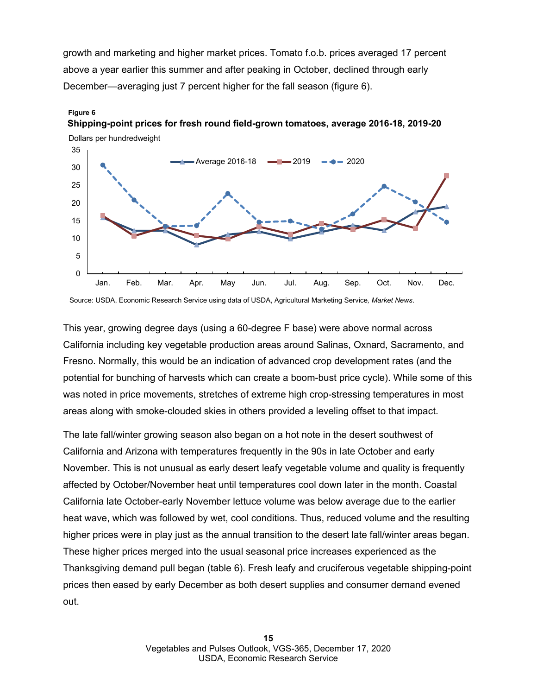growth and marketing and higher market prices. Tomato f.o.b. prices averaged 17 percent above a year earlier this summer and after peaking in October, declined through early December—averaging just 7 percent higher for the fall season (figure 6).



**Shipping-point prices for fresh round field-grown tomatoes, average 2016-18, 2019-20**

**Figure 6**

Source: USDA, Economic Research Service using data of USDA, Agricultural Marketing Service*, Market News*.

This year, growing degree days (using a 60-degree F base) were above normal across California including key vegetable production areas around Salinas, Oxnard, Sacramento, and Fresno. Normally, this would be an indication of advanced crop development rates (and the potential for bunching of harvests which can create a boom-bust price cycle). While some of this was noted in price movements, stretches of extreme high crop-stressing temperatures in most areas along with smoke-clouded skies in others provided a leveling offset to that impact.

The late fall/winter growing season also began on a hot note in the desert southwest of California and Arizona with temperatures frequently in the 90s in late October and early November. This is not unusual as early desert leafy vegetable volume and quality is frequently affected by October/November heat until temperatures cool down later in the month. Coastal California late October-early November lettuce volume was below average due to the earlier heat wave, which was followed by wet, cool conditions. Thus, reduced volume and the resulting higher prices were in play just as the annual transition to the desert late fall/winter areas began. These higher prices merged into the usual seasonal price increases experienced as the Thanksgiving demand pull began (table 6). Fresh leafy and cruciferous vegetable shipping-point prices then eased by early December as both desert supplies and consumer demand evened out.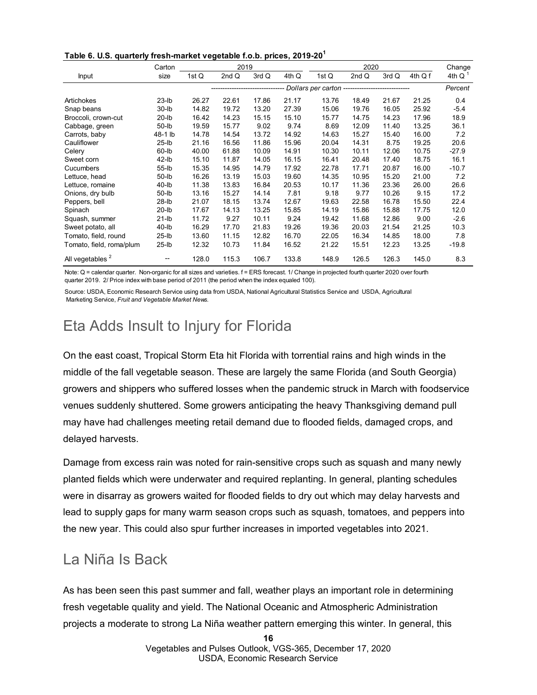**Table 6. U.S. quarterly fresh-market vegetable f.o.b. prices, 2019-20<sup>1</sup>**

|                             | Carton      |       | 2019                              |       |       |                                                 | 2020  |       |         | Change    |
|-----------------------------|-------------|-------|-----------------------------------|-------|-------|-------------------------------------------------|-------|-------|---------|-----------|
| Input                       | size        | 1st Q | 2nd Q                             | 3rd Q | 4th Q | 1st Q                                           | 2nd Q | 3rd Q | 4th Q f | 4th Q $1$ |
|                             |             |       | --------------------------------- |       |       | Dollars per carton ---------------------------- |       |       |         | Percent   |
| Artichokes                  | $23$ -lb    | 26.27 | 22.61                             | 17.86 | 21.17 | 13.76                                           | 18.49 | 21.67 | 21.25   | 0.4       |
| Snap beans                  | $30$ -lb    | 14.82 | 19.72                             | 13.20 | 27.39 | 15.06                                           | 19.76 | 16.05 | 25.92   | $-5.4$    |
| Broccoli, crown-cut         | $20$ -lb    | 16.42 | 14.23                             | 15.15 | 15.10 | 15.77                                           | 14.75 | 14.23 | 17.96   | 18.9      |
| Cabbage, green              | $50$ -lb    | 19.59 | 15.77                             | 9.02  | 9.74  | 8.69                                            | 12.09 | 11.40 | 13.25   | 36.1      |
| Carrots, baby               | 48-1 lb     | 14.78 | 14.54                             | 13.72 | 14.92 | 14.63                                           | 15.27 | 15.40 | 16.00   | 7.2       |
| Cauliflower                 | $25$ -lb    | 21.16 | 16.56                             | 11.86 | 15.96 | 20.04                                           | 14.31 | 8.75  | 19.25   | 20.6      |
| Celery                      | $60$ -lb    | 40.00 | 61.88                             | 10.09 | 14.91 | 10.30                                           | 10.11 | 12.06 | 10.75   | $-27.9$   |
| Sweet corn                  | $42$ -lb    | 15.10 | 11.87                             | 14.05 | 16.15 | 16.41                                           | 20.48 | 17.40 | 18.75   | 16.1      |
| Cucumbers                   | 55-lb       | 15.35 | 14.95                             | 14.79 | 17.92 | 22.78                                           | 17.71 | 20.87 | 16.00   | $-10.7$   |
| Lettuce, head               | $50$ - $lb$ | 16.26 | 13.19                             | 15.03 | 19.60 | 14.35                                           | 10.95 | 15.20 | 21.00   | 7.2       |
| Lettuce, romaine            | $40$ -lb    | 11.38 | 13.83                             | 16.84 | 20.53 | 10.17                                           | 11.36 | 23.36 | 26.00   | 26.6      |
| Onions, dry bulb            | $50$ -Ib    | 13.16 | 15.27                             | 14.14 | 7.81  | 9.18                                            | 9.77  | 10.26 | 9.15    | 17.2      |
| Peppers, bell               | $28$ -Ib    | 21.07 | 18.15                             | 13.74 | 12.67 | 19.63                                           | 22.58 | 16.78 | 15.50   | 22.4      |
| Spinach                     | $20$ -lb    | 17.67 | 14.13                             | 13.25 | 15.85 | 14.19                                           | 15.86 | 15.88 | 17.75   | 12.0      |
| Squash, summer              | $21$ -lb    | 11.72 | 9.27                              | 10.11 | 9.24  | 19.42                                           | 11.68 | 12.86 | 9.00    | $-2.6$    |
| Sweet potato, all           | $40$ -lb    | 16.29 | 17.70                             | 21.83 | 19.26 | 19.36                                           | 20.03 | 21.54 | 21.25   | 10.3      |
| Tomato, field, round        | $25$ -lb    | 13.60 | 11.15                             | 12.82 | 16.70 | 22.05                                           | 16.34 | 14.85 | 18.00   | 7.8       |
| Tomato, field, roma/plum    | $25$ -lb    | 12.32 | 10.73                             | 11.84 | 16.52 | 21.22                                           | 15.51 | 12.23 | 13.25   | $-19.8$   |
| All vegetables <sup>2</sup> |             | 128.0 | 115.3                             | 106.7 | 133.8 | 148.9                                           | 126.5 | 126.3 | 145.0   | 8.3       |

Note: Q = calendar quarter. Non-organic for all sizes and varieties. f = ERS forecast. 1/ Change in projected fourth quarter 2020 over fourth quarter 2019. 2/ Price index with base period of 2011 (the period when the index equaled 100).

Source: USDA, Economic Research Service using data from USDA, National Agricultural Statistics Service and USDA, Agricultural Marketing Service, *Fruit and Vegetable Market News.*

## Eta Adds Insult to Injury for Florida

On the east coast, Tropical Storm Eta hit Florida with torrential rains and high winds in the middle of the fall vegetable season. These are largely the same Florida (and South Georgia) growers and shippers who suffered losses when the pandemic struck in March with foodservice venues suddenly shuttered. Some growers anticipating the heavy Thanksgiving demand pull may have had challenges meeting retail demand due to flooded fields, damaged crops, and delayed harvests.

Damage from excess rain was noted for rain-sensitive crops such as squash and many newly planted fields which were underwater and required replanting. In general, planting schedules were in disarray as growers waited for flooded fields to dry out which may delay harvests and lead to supply gaps for many warm season crops such as squash, tomatoes, and peppers into the new year. This could also spur further increases in imported vegetables into 2021.

### La Niña Is Back

As has been seen this past summer and fall, weather plays an important role in determining fresh vegetable quality and yield. The National Oceanic and Atmospheric Administration projects a moderate to strong La Niña weather pattern emerging this winter. In general, this

**16**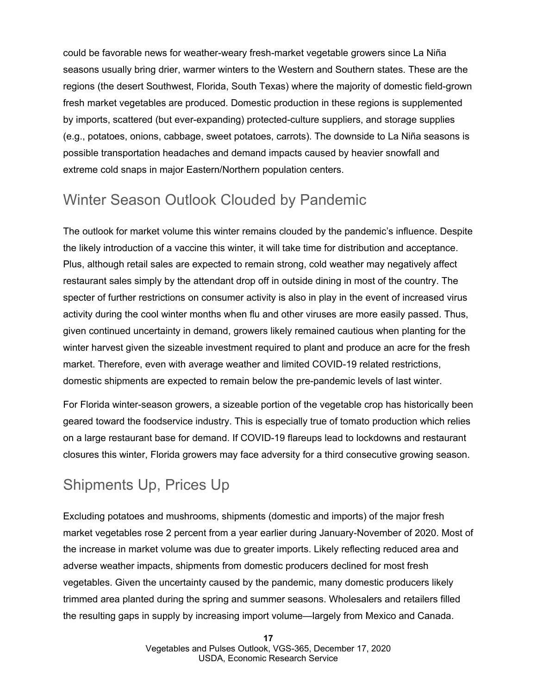could be favorable news for weather-weary fresh-market vegetable growers since La Niña seasons usually bring drier, warmer winters to the Western and Southern states. These are the regions (the desert Southwest, Florida, South Texas) where the majority of domestic field-grown fresh market vegetables are produced. Domestic production in these regions is supplemented by imports, scattered (but ever-expanding) protected-culture suppliers, and storage supplies (e.g., potatoes, onions, cabbage, sweet potatoes, carrots). The downside to La Niña seasons is possible transportation headaches and demand impacts caused by heavier snowfall and extreme cold snaps in major Eastern/Northern population centers.

## Winter Season Outlook Clouded by Pandemic

The outlook for market volume this winter remains clouded by the pandemic's influence. Despite the likely introduction of a vaccine this winter, it will take time for distribution and acceptance. Plus, although retail sales are expected to remain strong, cold weather may negatively affect restaurant sales simply by the attendant drop off in outside dining in most of the country. The specter of further restrictions on consumer activity is also in play in the event of increased virus activity during the cool winter months when flu and other viruses are more easily passed. Thus, given continued uncertainty in demand, growers likely remained cautious when planting for the winter harvest given the sizeable investment required to plant and produce an acre for the fresh market. Therefore, even with average weather and limited COVID-19 related restrictions, domestic shipments are expected to remain below the pre-pandemic levels of last winter.

For Florida winter-season growers, a sizeable portion of the vegetable crop has historically been geared toward the foodservice industry. This is especially true of tomato production which relies on a large restaurant base for demand. If COVID-19 flareups lead to lockdowns and restaurant closures this winter, Florida growers may face adversity for a third consecutive growing season.

## Shipments Up, Prices Up

Excluding potatoes and mushrooms, shipments (domestic and imports) of the major fresh market vegetables rose 2 percent from a year earlier during January-November of 2020. Most of the increase in market volume was due to greater imports. Likely reflecting reduced area and adverse weather impacts, shipments from domestic producers declined for most fresh vegetables. Given the uncertainty caused by the pandemic, many domestic producers likely trimmed area planted during the spring and summer seasons. Wholesalers and retailers filled the resulting gaps in supply by increasing import volume—largely from Mexico and Canada.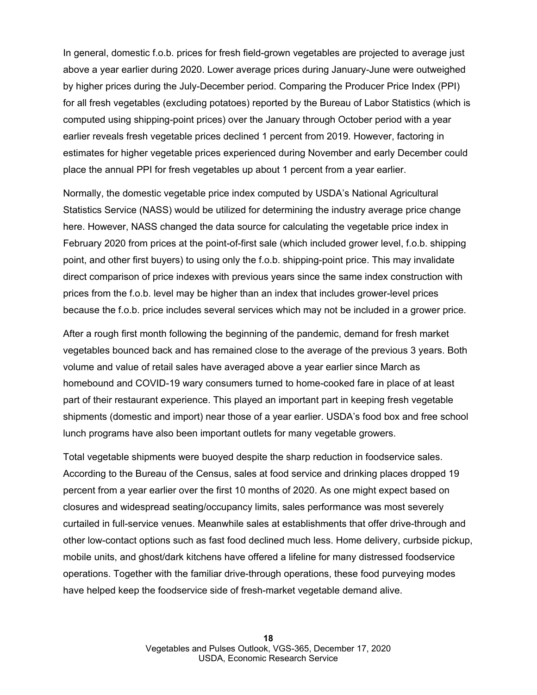In general, domestic f.o.b. prices for fresh field-grown vegetables are projected to average just above a year earlier during 2020. Lower average prices during January-June were outweighed by higher prices during the July-December period. Comparing the Producer Price Index (PPI) for all fresh vegetables (excluding potatoes) reported by the Bureau of Labor Statistics (which is computed using shipping-point prices) over the January through October period with a year earlier reveals fresh vegetable prices declined 1 percent from 2019. However, factoring in estimates for higher vegetable prices experienced during November and early December could place the annual PPI for fresh vegetables up about 1 percent from a year earlier.

Normally, the domestic vegetable price index computed by USDA's National Agricultural Statistics Service (NASS) would be utilized for determining the industry average price change here. However, NASS changed the data source for calculating the vegetable price index in February 2020 from prices at the point-of-first sale (which included grower level, f.o.b. shipping point, and other first buyers) to using only the f.o.b. shipping-point price. This may invalidate direct comparison of price indexes with previous years since the same index construction with prices from the f.o.b. level may be higher than an index that includes grower-level prices because the f.o.b. price includes several services which may not be included in a grower price.

After a rough first month following the beginning of the pandemic, demand for fresh market vegetables bounced back and has remained close to the average of the previous 3 years. Both volume and value of retail sales have averaged above a year earlier since March as homebound and COVID-19 wary consumers turned to home-cooked fare in place of at least part of their restaurant experience. This played an important part in keeping fresh vegetable shipments (domestic and import) near those of a year earlier. USDA's food box and free school lunch programs have also been important outlets for many vegetable growers.

Total vegetable shipments were buoyed despite the sharp reduction in foodservice sales. According to the Bureau of the Census, sales at food service and drinking places dropped 19 percent from a year earlier over the first 10 months of 2020. As one might expect based on closures and widespread seating/occupancy limits, sales performance was most severely curtailed in full-service venues. Meanwhile sales at establishments that offer drive-through and other low-contact options such as fast food declined much less. Home delivery, curbside pickup, mobile units, and ghost/dark kitchens have offered a lifeline for many distressed foodservice operations. Together with the familiar drive-through operations, these food purveying modes have helped keep the foodservice side of fresh-market vegetable demand alive.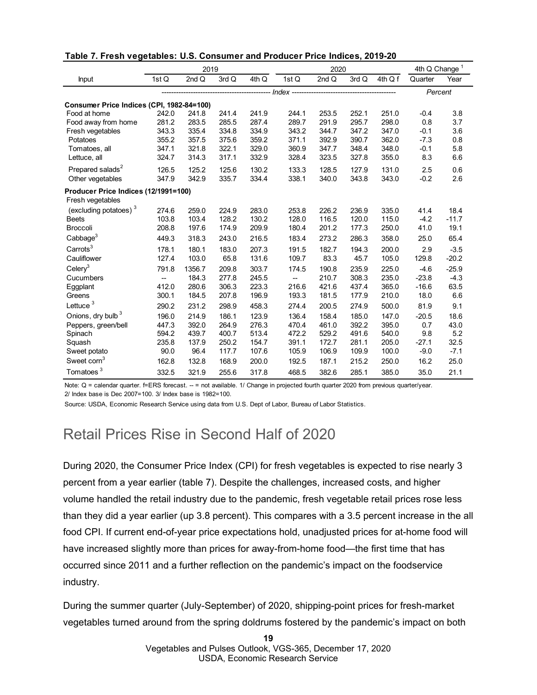|                                                          | 2019      |        |       |       | 2020  |       |       |         | $4th Q$ Change $1$ |         |
|----------------------------------------------------------|-----------|--------|-------|-------|-------|-------|-------|---------|--------------------|---------|
| Input                                                    | 1stQ      | 2ndQ   | 3rd Q | 4th Q | 1stQ  | 2ndQ  | 3rd Q | 4th Q f | Quarter            | Year    |
|                                                          | $Index -$ |        |       |       |       |       |       |         | Percent            |         |
| Consumer Price Indices (CPI, 1982-84=100)                |           |        |       |       |       |       |       |         |                    |         |
| Food at home                                             | 242.0     | 241.8  | 241.4 | 241.9 | 244.1 | 253.5 | 252.1 | 251.0   | $-0.4$             | 3.8     |
| Food away from home                                      | 281.2     | 283.5  | 285.5 | 287.4 | 289.7 | 291.9 | 295.7 | 298.0   | 0.8                | 3.7     |
| Fresh vegetables                                         | 343.3     | 335.4  | 334.8 | 334.9 | 343.2 | 344.7 | 347.2 | 347.0   | $-0.1$             | 3.6     |
| Potatoes                                                 | 355.2     | 357.5  | 375.6 | 359.2 | 371.1 | 392.9 | 390.7 | 362.0   | $-7.3$             | 0.8     |
| Tomatoes, all                                            | 347.1     | 321.8  | 322.1 | 329.0 | 360.9 | 347.7 | 348.4 | 348.0   | $-0.1$             | 5.8     |
| Lettuce, all                                             | 324.7     | 314.3  | 317.1 | 332.9 | 328.4 | 323.5 | 327.8 | 355.0   | 8.3                | 6.6     |
| Prepared salads <sup>2</sup>                             | 126.5     | 125.2  | 125.6 | 130.2 | 133.3 | 128.5 | 127.9 | 131.0   | 2.5                | 0.6     |
| Other vegetables                                         | 347.9     | 342.9  | 335.7 | 334.4 | 338.1 | 340.0 | 343.8 | 343.0   | $-0.2$             | 2.6     |
| Producer Price Indices (12/1991=100)<br>Fresh vegetables |           |        |       |       |       |       |       |         |                    |         |
| (excluding potatoes) <sup>3</sup>                        | 274.6     | 259.0  | 224.9 | 283.0 | 253.8 | 226.2 | 236.9 | 335.0   | 41.4               | 18.4    |
| <b>Beets</b>                                             | 103.8     | 103.4  | 128.2 | 130.2 | 128.0 | 116.5 | 120.0 | 115.0   | $-4.2$             | $-11.7$ |
| <b>Broccoli</b>                                          | 208.8     | 197.6  | 174.9 | 209.9 | 180.4 | 201.2 | 177.3 | 250.0   | 41.0               | 19.1    |
| Cabbage <sup>3</sup>                                     | 449.3     | 318.3  | 243.0 | 216.5 | 183.4 | 273.2 | 286.3 | 358.0   | 25.0               | 65.4    |
| Carrots <sup>3</sup>                                     | 178.1     | 180.1  | 183.0 | 207.3 | 191.5 | 182.7 | 194.3 | 200.0   | 2.9                | $-3.5$  |
| Cauliflower                                              | 127.4     | 103.0  | 65.8  | 131.6 | 109.7 | 83.3  | 45.7  | 105.0   | 129.8              | $-20.2$ |
| $C$ elery $3$                                            | 791.8     | 1356.7 | 209.8 | 303.7 | 174.5 | 190.8 | 235.9 | 225.0   | $-4.6$             | $-25.9$ |
| Cucumbers                                                | --        | 184.3  | 277.8 | 245.5 | --    | 210.7 | 308.3 | 235.0   | $-23.8$            | $-4.3$  |
| Eggplant                                                 | 412.0     | 280.6  | 306.3 | 223.3 | 216.6 | 421.6 | 437.4 | 365.0   | $-16.6$            | 63.5    |
| Greens                                                   | 300.1     | 184.5  | 207.8 | 196.9 | 193.3 | 181.5 | 177.9 | 210.0   | 18.0               | 6.6     |
| Lettuce <sup>3</sup>                                     | 290.2     | 231.2  | 298.9 | 458.3 | 274.4 | 200.5 | 274.9 | 500.0   | 81.9               | 9.1     |
| Onions, dry bulb <sup>3</sup>                            | 196.0     | 214.9  | 186.1 | 123.9 | 136.4 | 158.4 | 185.0 | 147.0   | $-20.5$            | 18.6    |
| Peppers, green/bell                                      | 447.3     | 392.0  | 264.9 | 276.3 | 470.4 | 461.0 | 392.2 | 395.0   | 0.7                | 43.0    |
| Spinach                                                  | 594.2     | 439.7  | 400.7 | 513.4 | 472.2 | 529.2 | 491.6 | 540.0   | 9.8                | 5.2     |
| Squash                                                   | 235.8     | 137.9  | 250.2 | 154.7 | 391.1 | 172.7 | 281.1 | 205.0   | $-27.1$            | 32.5    |
| Sweet potato                                             | 90.0      | 96.4   | 117.7 | 107.6 | 105.9 | 106.9 | 109.9 | 100.0   | $-9.0$             | $-7.1$  |
| Sweet corn <sup>3</sup>                                  | 162.8     | 132.8  | 168.9 | 200.0 | 192.5 | 187.1 | 215.2 | 250.0   | 16.2               | 25.0    |
| Tomatoes <sup>3</sup>                                    | 332.5     | 321.9  | 255.6 | 317.8 | 468.5 | 382.6 | 285.1 | 385.0   | 35.0               | 21.1    |

**Table 7. Fresh vegetables: U.S. Consumer and Producer Price Indices, 2019-20** 

Note: Q = calendar quarter. f=ERS forecast. -- = not available. 1/ Change in projected fourth quarter 2020 from previous quarter/year. 2/ Index base is Dec 2007=100. 3/ Index base is 1982=100.

Source: USDA, Economic Research Service using data from U.S. Dept of Labor, Bureau of Labor Statistics.

## Retail Prices Rise in Second Half of 2020

During 2020, the Consumer Price Index (CPI) for fresh vegetables is expected to rise nearly 3 percent from a year earlier (table 7). Despite the challenges, increased costs, and higher volume handled the retail industry due to the pandemic, fresh vegetable retail prices rose less than they did a year earlier (up 3.8 percent). This compares with a 3.5 percent increase in the all food CPI. If current end-of-year price expectations hold, unadjusted prices for at-home food will have increased slightly more than prices for away-from-home food—the first time that has occurred since 2011 and a further reflection on the pandemic's impact on the foodservice industry.

During the summer quarter (July-September) of 2020, shipping-point prices for fresh-market vegetables turned around from the spring doldrums fostered by the pandemic's impact on both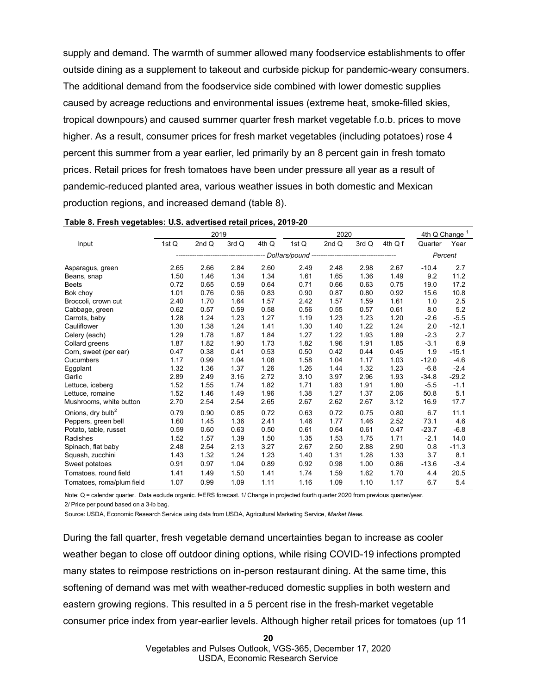supply and demand. The warmth of summer allowed many foodservice establishments to offer outside dining as a supplement to takeout and curbside pickup for pandemic-weary consumers. The additional demand from the foodservice side combined with lower domestic supplies caused by acreage reductions and environmental issues (extreme heat, smoke-filled skies, tropical downpours) and caused summer quarter fresh market vegetable f.o.b. prices to move higher. As a result, consumer prices for fresh market vegetables (including potatoes) rose 4 percent this summer from a year earlier, led primarily by an 8 percent gain in fresh tomato prices. Retail prices for fresh tomatoes have been under pressure all year as a result of pandemic-reduced planted area, various weather issues in both domestic and Mexican production regions, and increased demand (table 8).

|                               |       | 2019    |       |       | 2020  |       |       |         | 4th Q Change <sup>1</sup> |         |
|-------------------------------|-------|---------|-------|-------|-------|-------|-------|---------|---------------------------|---------|
| Input                         | 1st Q | 2nd $Q$ | 3rd Q | 4th Q | 1st Q | 2nd Q | 3rd Q | 4th Q f | Quarter                   | Year    |
|                               |       |         |       |       |       |       |       |         | Percent                   |         |
| Asparagus, green              | 2.65  | 2.66    | 2.84  | 2.60  | 2.49  | 2.48  | 2.98  | 2.67    | $-10.4$                   | 2.7     |
| Beans, snap                   | 1.50  | 1.46    | 1.34  | 1.34  | 1.61  | 1.65  | 1.36  | 1.49    | 9.2                       | 11.2    |
| <b>Beets</b>                  | 0.72  | 0.65    | 0.59  | 0.64  | 0.71  | 0.66  | 0.63  | 0.75    | 19.0                      | 17.2    |
| Bok choy                      | 1.01  | 0.76    | 0.96  | 0.83  | 0.90  | 0.87  | 0.80  | 0.92    | 15.6                      | 10.8    |
| Broccoli, crown cut           | 2.40  | 1.70    | 1.64  | 1.57  | 2.42  | 1.57  | 1.59  | 1.61    | 1.0                       | 2.5     |
| Cabbage, green                | 0.62  | 0.57    | 0.59  | 0.58  | 0.56  | 0.55  | 0.57  | 0.61    | 8.0                       | 5.2     |
| Carrots, baby                 | 1.28  | 1.24    | 1.23  | 1.27  | 1.19  | 1.23  | 1.23  | 1.20    | $-2.6$                    | $-5.5$  |
| Cauliflower                   | 1.30  | 1.38    | 1.24  | 1.41  | 1.30  | 1.40  | 1.22  | 1.24    | 2.0                       | $-12.1$ |
| Celery (each)                 | 1.29  | 1.78    | 1.87  | 1.84  | 1.27  | 1.22  | 1.93  | 1.89    | $-2.3$                    | 2.7     |
| Collard greens                | 1.87  | 1.82    | 1.90  | 1.73  | 1.82  | 1.96  | 1.91  | 1.85    | $-3.1$                    | 6.9     |
| Corn, sweet (per ear)         | 0.47  | 0.38    | 0.41  | 0.53  | 0.50  | 0.42  | 0.44  | 0.45    | 1.9                       | $-15.1$ |
| Cucumbers                     | 1.17  | 0.99    | 1.04  | 1.08  | 1.58  | 1.04  | 1.17  | 1.03    | $-12.0$                   | $-4.6$  |
| Eggplant                      | 1.32  | 1.36    | 1.37  | 1.26  | 1.26  | 1.44  | 1.32  | 1.23    | $-6.8$                    | $-2.4$  |
| Garlic                        | 2.89  | 2.49    | 3.16  | 2.72  | 3.10  | 3.97  | 2.96  | 1.93    | $-34.8$                   | $-29.2$ |
| Lettuce, iceberg              | 1.52  | 1.55    | 1.74  | 1.82  | 1.71  | 1.83  | 1.91  | 1.80    | $-5.5$                    | $-1.1$  |
| Lettuce, romaine              | 1.52  | 1.46    | 1.49  | 1.96  | 1.38  | 1.27  | 1.37  | 2.06    | 50.8                      | 5.1     |
| Mushrooms, white button       | 2.70  | 2.54    | 2.54  | 2.65  | 2.67  | 2.62  | 2.67  | 3.12    | 16.9                      | 17.7    |
| Onions, dry bulb <sup>2</sup> | 0.79  | 0.90    | 0.85  | 0.72  | 0.63  | 0.72  | 0.75  | 0.80    | 6.7                       | 11.1    |
| Peppers, green bell           | 1.60  | 1.45    | 1.36  | 2.41  | 1.46  | 1.77  | 1.46  | 2.52    | 73.1                      | 4.6     |
| Potato, table, russet         | 0.59  | 0.60    | 0.63  | 0.50  | 0.61  | 0.64  | 0.61  | 0.47    | $-23.7$                   | $-6.8$  |
| Radishes                      | 1.52  | 1.57    | 1.39  | 1.50  | 1.35  | 1.53  | 1.75  | 1.71    | $-2.1$                    | 14.0    |
| Spinach, flat baby            | 2.48  | 2.54    | 2.13  | 3.27  | 2.67  | 2.50  | 2.88  | 2.90    | 0.8                       | $-11.3$ |
| Squash, zucchini              | 1.43  | 1.32    | 1.24  | 1.23  | 1.40  | 1.31  | 1.28  | 1.33    | 3.7                       | 8.1     |
| Sweet potatoes                | 0.91  | 0.97    | 1.04  | 0.89  | 0.92  | 0.98  | 1.00  | 0.86    | $-13.6$                   | $-3.4$  |
| Tomatoes, round field         | 1.41  | 1.49    | 1.50  | 1.41  | 1.74  | 1.59  | 1.62  | 1.70    | 4.4                       | 20.5    |
| Tomatoes, roma/plum field     | 1.07  | 0.99    | 1.09  | 1.11  | 1.16  | 1.09  | 1.10  | 1.17    | 6.7                       | 5.4     |

**Table 8. Fresh vegetables: U.S. advertised retail prices, 2019-20** 

Note: Q = calendar quarter. Data exclude organic. f=ERS forecast. 1/ Change in projected fourth quarter 2020 from previous quarter/year. 2/ Price per pound based on a 3-lb bag.

Source: USDA, Economic Research Service using data from USDA, Agricultural Marketing Service, *Market News.*

During the fall quarter, fresh vegetable demand uncertainties began to increase as cooler weather began to close off outdoor dining options, while rising COVID-19 infections prompted many states to reimpose restrictions on in-person restaurant dining. At the same time, this softening of demand was met with weather-reduced domestic supplies in both western and eastern growing regions. This resulted in a 5 percent rise in the fresh-market vegetable consumer price index from year-earlier levels. Although higher retail prices for tomatoes (up 11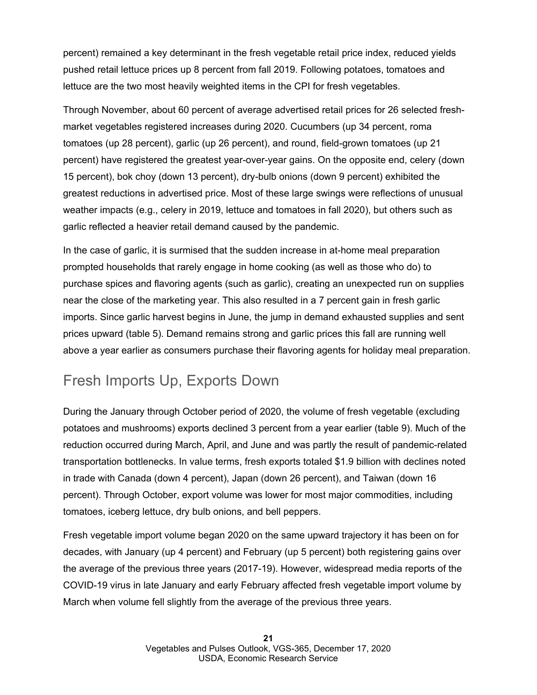percent) remained a key determinant in the fresh vegetable retail price index, reduced yields pushed retail lettuce prices up 8 percent from fall 2019. Following potatoes, tomatoes and lettuce are the two most heavily weighted items in the CPI for fresh vegetables.

Through November, about 60 percent of average advertised retail prices for 26 selected freshmarket vegetables registered increases during 2020. Cucumbers (up 34 percent, roma tomatoes (up 28 percent), garlic (up 26 percent), and round, field-grown tomatoes (up 21 percent) have registered the greatest year-over-year gains. On the opposite end, celery (down 15 percent), bok choy (down 13 percent), dry-bulb onions (down 9 percent) exhibited the greatest reductions in advertised price. Most of these large swings were reflections of unusual weather impacts (e.g., celery in 2019, lettuce and tomatoes in fall 2020), but others such as garlic reflected a heavier retail demand caused by the pandemic.

In the case of garlic, it is surmised that the sudden increase in at-home meal preparation prompted households that rarely engage in home cooking (as well as those who do) to purchase spices and flavoring agents (such as garlic), creating an unexpected run on supplies near the close of the marketing year. This also resulted in a 7 percent gain in fresh garlic imports. Since garlic harvest begins in June, the jump in demand exhausted supplies and sent prices upward (table 5). Demand remains strong and garlic prices this fall are running well above a year earlier as consumers purchase their flavoring agents for holiday meal preparation.

## Fresh Imports Up, Exports Down

During the January through October period of 2020, the volume of fresh vegetable (excluding potatoes and mushrooms) exports declined 3 percent from a year earlier (table 9). Much of the reduction occurred during March, April, and June and was partly the result of pandemic-related transportation bottlenecks. In value terms, fresh exports totaled \$1.9 billion with declines noted in trade with Canada (down 4 percent), Japan (down 26 percent), and Taiwan (down 16 percent). Through October, export volume was lower for most major commodities, including tomatoes, iceberg lettuce, dry bulb onions, and bell peppers.

Fresh vegetable import volume began 2020 on the same upward trajectory it has been on for decades, with January (up 4 percent) and February (up 5 percent) both registering gains over the average of the previous three years (2017-19). However, widespread media reports of the COVID-19 virus in late January and early February affected fresh vegetable import volume by March when volume fell slightly from the average of the previous three years.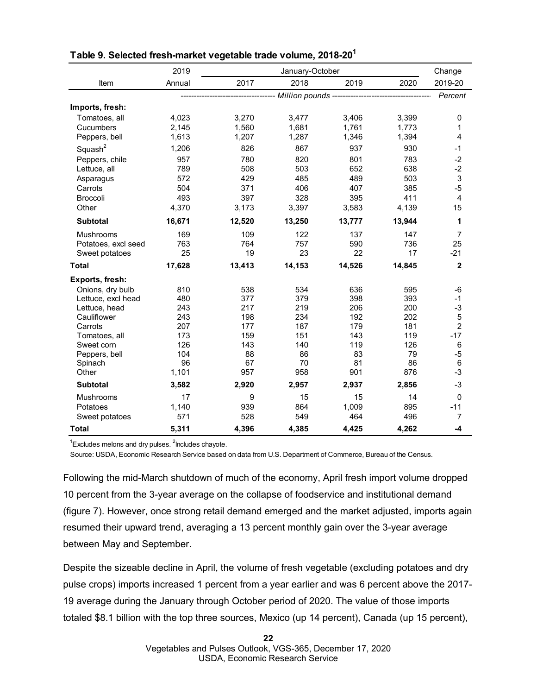|                     | 2019   |           | January-October |                                                       |           | Change         |
|---------------------|--------|-----------|-----------------|-------------------------------------------------------|-----------|----------------|
| Item                | Annual | 2017      | 2018            | 2019                                                  | 2020      | 2019-20        |
|                     |        |           |                 | ------------ Million pounds ------------------------- |           | Percent        |
| Imports, fresh:     |        |           |                 |                                                       |           |                |
| Tomatoes, all       | 4,023  | 3,270     | 3,477           | 3,406                                                 | 3,399     | 0              |
| Cucumbers           | 2,145  | 1,560     | 1,681           | 1,761                                                 | 1,773     | 1              |
| Peppers, bell       | 1,613  | 1,207     | 1,287           | 1,346                                                 | 1,394     | 4              |
| Squash <sup>2</sup> | 1,206  | 826       | 867             | 937                                                   | 930       | $-1$           |
| Peppers, chile      | 957    | 780       | 820             | 801                                                   | 783       | $-2$           |
| Lettuce, all        | 789    | 508       | 503             | 652                                                   | 638       | $-2$           |
| Asparagus           | 572    | 429       | 485             | 489                                                   | 503       | $\sqrt{3}$     |
| Carrots             | 504    | 371       | 406             | 407                                                   | 385       | $-5$           |
| <b>Broccoli</b>     | 493    | 397       | 328             | 395                                                   | 411       | $\overline{4}$ |
| Other               | 4,370  | 3,173     | 3,397           | 3,583                                                 | 4,139     | 15             |
| <b>Subtotal</b>     | 16,671 | 12,520    | 13,250          | 13,777                                                | 13,944    | 1              |
| <b>Mushrooms</b>    | 169    | 109       | 122             | 137                                                   | 147       | $\overline{7}$ |
| Potatoes, excl seed | 763    | 764       | 757             | 590                                                   | 736       | 25             |
| Sweet potatoes      | 25     | 19        | 23              | 22                                                    | 17        | $-21$          |
| <b>Total</b>        | 17,628 | 13,413    | 14,153          | 14,526                                                | 14,845    | $\mathbf 2$    |
| Exports, fresh:     |        |           |                 |                                                       |           |                |
| Onions, dry bulb    | 810    | 538       | 534             | 636                                                   | 595       | -6             |
| Lettuce, excl head  | 480    | 377       | 379             | 398                                                   | 393       | $-1$           |
| Lettuce, head       | 243    | 217       | 219             | 206                                                   | 200       | $-3$           |
| Cauliflower         | 243    | 198       | 234             | 192                                                   | 202       | $\mathbf 5$    |
| Carrots             | 207    | 177       | 187             | 179                                                   | 181       | $\overline{2}$ |
| Tomatoes, all       | 173    | 159       | 151             | 143                                                   | 119       | $-17$          |
| Sweet corn          | 126    | 143       | 140             | 119                                                   | 126       | 6              |
| Peppers, bell       | 104    | 88        | 86              | 83                                                    | 79        | $-5$           |
| Spinach             | 96     | 67<br>957 | 70<br>958       | 81<br>901                                             | 86<br>876 | 6<br>$-3$      |
| Other               | 1,101  |           |                 |                                                       |           |                |
| <b>Subtotal</b>     | 3,582  | 2,920     | 2,957           | 2,937                                                 | 2,856     | $-3$           |
| Mushrooms           | 17     | 9         | 15              | 15                                                    | 14        | $\mathbf 0$    |
| Potatoes            | 1,140  | 939       | 864             | 1,009                                                 | 895       | $-11$          |
| Sweet potatoes      | 571    | 528       | 549             | 464                                                   | 496       | $\overline{7}$ |
| <b>Total</b>        | 5,311  | 4,396     | 4,385           | 4,425                                                 | 4,262     | -4             |

### **Table 9. Selected fresh-market vegetable trade volume, 2018-201**

 $1$ Excludes melons and dry pulses.  $2$ lncludes chayote.

Source: USDA, Economic Research Service based on data from U.S. Department of Commerce, Bureau of the Census.

Following the mid-March shutdown of much of the economy, April fresh import volume dropped 10 percent from the 3-year average on the collapse of foodservice and institutional demand (figure 7). However, once strong retail demand emerged and the market adjusted, imports again resumed their upward trend, averaging a 13 percent monthly gain over the 3-year average between May and September.

Despite the sizeable decline in April, the volume of fresh vegetable (excluding potatoes and dry pulse crops) imports increased 1 percent from a year earlier and was 6 percent above the 2017- 19 average during the January through October period of 2020. The value of those imports totaled \$8.1 billion with the top three sources, Mexico (up 14 percent), Canada (up 15 percent),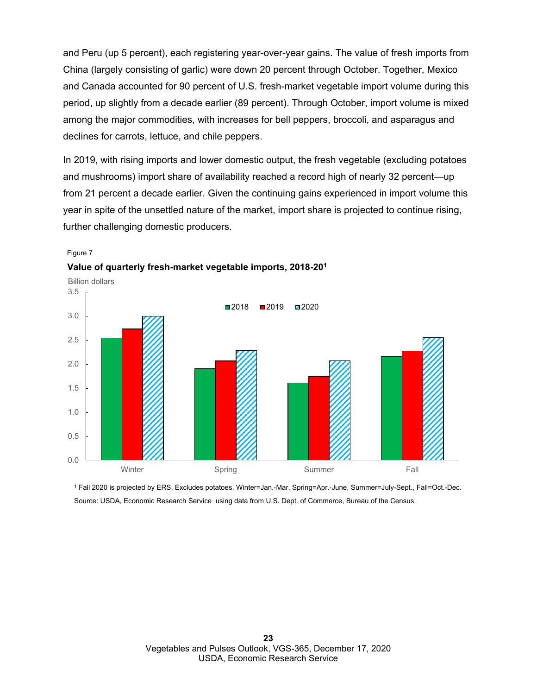and Peru (up 5 percent), each registering year-over-year gains. The value of fresh imports from China (largely consisting of garlic) were down 20 percent through October. Together, Mexico and Canada accounted for 90 percent of U.S. fresh-market vegetable import volume during this period, up slightly from a decade earlier (89 percent). Through October, import volume is mixed among the major commodities, with increases for bell peppers, broccoli, and asparagus and declines for carrots, lettuce, and chile peppers.

In 2019, with rising imports and lower domestic output, the fresh vegetable (excluding potatoes and mushrooms) import share of availability reached a record high of nearly 32 percent—up from 21 percent a decade earlier. Given the continuing gains experienced in import volume this year in spite of the unsettled nature of the market, import share is projected to continue rising, further challenging domestic producers.



#### Figure 7



<sup>1</sup> Fall 2020 is projected by ERS. Excludes potatoes. Winter=Jan.-Mar, Spring=Apr.-June, Summer=July-Sept., Fall=Oct.-Dec. Source: USDA, Economic Research Service using data from U.S. Dept. of Commerce, Bureau of the Census.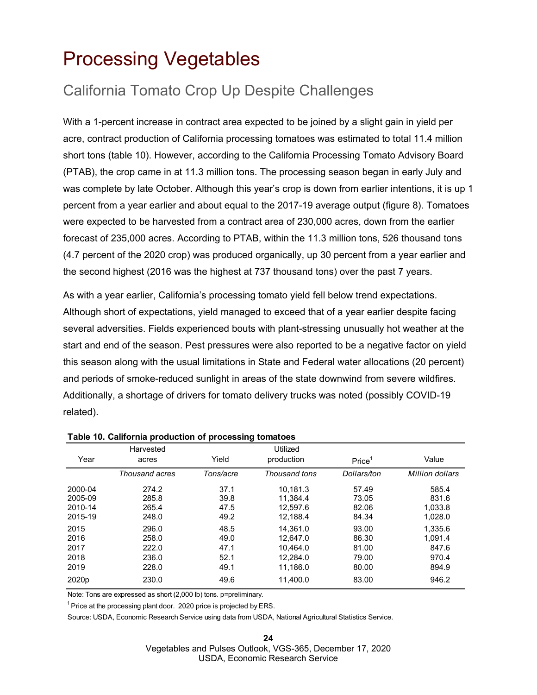## <span id="page-23-0"></span>Processing Vegetables

## California Tomato Crop Up Despite Challenges

With a 1-percent increase in contract area expected to be joined by a slight gain in yield per acre, contract production of California processing tomatoes was estimated to total 11.4 million short tons (table 10). However, according to the California Processing Tomato Advisory Board (PTAB), the crop came in at 11.3 million tons. The processing season began in early July and was complete by late October. Although this year's crop is down from earlier intentions, it is up 1 percent from a year earlier and about equal to the 2017-19 average output (figure 8). Tomatoes were expected to be harvested from a contract area of 230,000 acres, down from the earlier forecast of 235,000 acres. According to PTAB, within the 11.3 million tons, 526 thousand tons (4.7 percent of the 2020 crop) was produced organically, up 30 percent from a year earlier and the second highest (2016 was the highest at 737 thousand tons) over the past 7 years.

As with a year earlier, California's processing tomato yield fell below trend expectations. Although short of expectations, yield managed to exceed that of a year earlier despite facing several adversities. Fields experienced bouts with plant-stressing unusually hot weather at the start and end of the season. Pest pressures were also reported to be a negative factor on yield this season along with the usual limitations in State and Federal water allocations (20 percent) and periods of smoke-reduced sunlight in areas of the state downwind from severe wildfires. Additionally, a shortage of drivers for tomato delivery trucks was noted (possibly COVID-19 related).

|                   | Harvested      |           | Utilized      |                    |                 |
|-------------------|----------------|-----------|---------------|--------------------|-----------------|
| Year              | acres          | Yield     | production    | Price <sup>1</sup> | Value           |
|                   | Thousand acres | Tons/acre | Thousand tons | Dollars/ton        | Million dollars |
| 2000-04           | 274.2          | 37.1      | 10.181.3      | 57.49              | 585.4           |
| 2005-09           | 285.8          | 39.8      | 11.384.4      | 73.05              | 831.6           |
| 2010-14           | 265.4          | 47.5      | 12.597.6      | 82.06              | 1.033.8         |
| 2015-19           | 248.0          | 49.2      | 12,188.4      | 84.34              | 1,028.0         |
| 2015              | 296.0          | 48.5      | 14.361.0      | 93.00              | 1,335.6         |
| 2016              | 258.0          | 49.0      | 12.647.0      | 86.30              | 1.091.4         |
| 2017              | 222.0          | 47.1      | 10.464.0      | 81.00              | 847.6           |
| 2018              | 236.0          | 52.1      | 12.284.0      | 79.00              | 970.4           |
| 2019              | 228.0          | 49.1      | 11.186.0      | 80.00              | 894.9           |
| 2020 <sub>p</sub> | 230.0          | 49.6      | 11.400.0      | 83.00              | 946.2           |

**Table 10. California production of processing tomatoes**

Note: Tons are expressed as short (2,000 lb) tons. p=preliminary.

 $1$  Price at the processing plant door. 2020 price is projected by ERS.

Source: USDA, Economic Research Service using data from USDA, National Agricultural Statistics Service.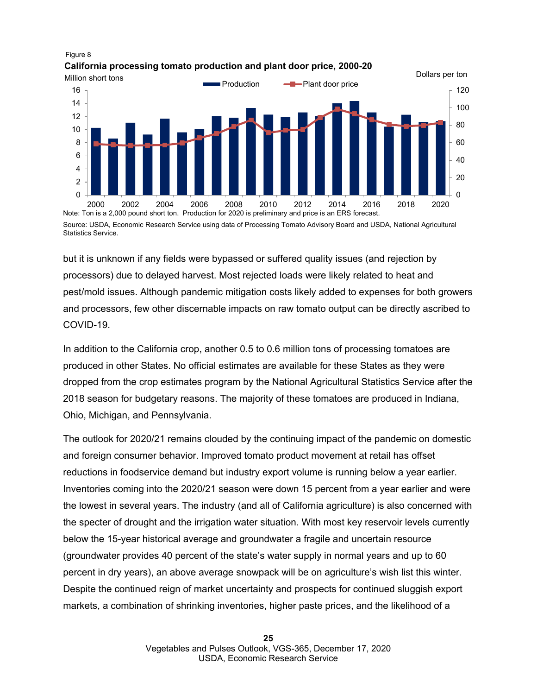



Statistics Service.

but it is unknown if any fields were bypassed or suffered quality issues (and rejection by processors) due to delayed harvest. Most rejected loads were likely related to heat and pest/mold issues. Although pandemic mitigation costs likely added to expenses for both growers and processors, few other discernable impacts on raw tomato output can be directly ascribed to COVID-19.

In addition to the California crop, another 0.5 to 0.6 million tons of processing tomatoes are produced in other States. No official estimates are available for these States as they were dropped from the crop estimates program by the National Agricultural Statistics Service after the 2018 season for budgetary reasons. The majority of these tomatoes are produced in Indiana, Ohio, Michigan, and Pennsylvania.

The outlook for 2020/21 remains clouded by the continuing impact of the pandemic on domestic and foreign consumer behavior. Improved tomato product movement at retail has offset reductions in foodservice demand but industry export volume is running below a year earlier. Inventories coming into the 2020/21 season were down 15 percent from a year earlier and were the lowest in several years. The industry (and all of California agriculture) is also concerned with the specter of drought and the irrigation water situation. With most key reservoir levels currently below the 15-year historical average and groundwater a fragile and uncertain resource (groundwater provides 40 percent of the state's water supply in normal years and up to 60 percent in dry years), an above average snowpack will be on agriculture's wish list this winter. Despite the continued reign of market uncertainty and prospects for continued sluggish export markets, a combination of shrinking inventories, higher paste prices, and the likelihood of a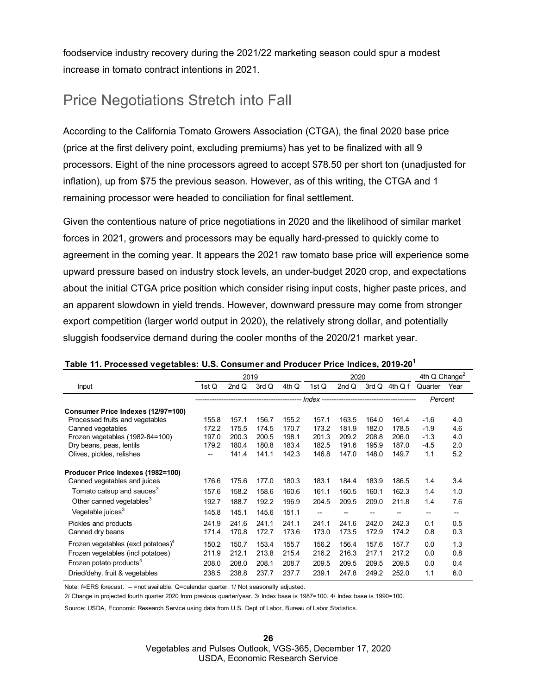foodservice industry recovery during the 2021/22 marketing season could spur a modest increase in tomato contract intentions in 2021.

## Price Negotiations Stretch into Fall

According to the California Tomato Growers Association (CTGA), the final 2020 base price (price at the first delivery point, excluding premiums) has yet to be finalized with all 9 processors. Eight of the nine processors agreed to accept \$78.50 per short ton (unadjusted for inflation), up from \$75 the previous season. However, as of this writing, the CTGA and 1 remaining processor were headed to conciliation for final settlement.

Given the contentious nature of price negotiations in 2020 and the likelihood of similar market forces in 2021, growers and processors may be equally hard-pressed to quickly come to agreement in the coming year. It appears the 2021 raw tomato base price will experience some upward pressure based on industry stock levels, an under-budget 2020 crop, and expectations about the initial CTGA price position which consider rising input costs, higher paste prices, and an apparent slowdown in yield trends. However, downward pressure may come from stronger export competition (larger world output in 2020), the relatively strong dollar, and potentially sluggish foodservice demand during the cooler months of the 2020/21 market year.

|                                                | 2019                                  |         |       | 2020  |                                      |       |       | 4th $Q$ Change <sup>2</sup> |         |                                       |
|------------------------------------------------|---------------------------------------|---------|-------|-------|--------------------------------------|-------|-------|-----------------------------|---------|---------------------------------------|
| <b>Input</b>                                   | 1st Q                                 | 2 $ndQ$ | 3rd Q | 4th Q | 1st Q                                | 2ndQ  | 3rd Q | 4th Q f                     | Quarter | Year                                  |
|                                                |                                       |         |       |       | Index ------------------------------ |       |       |                             | Percent |                                       |
| Consumer Price Indexes (12/97=100)             |                                       |         |       |       |                                      |       |       |                             |         |                                       |
| Processed fruits and vegetables                | 155.8                                 | 157.1   | 156.7 | 155.2 | 157.1                                | 163.5 | 164.0 | 161.4                       | $-1.6$  | 4.0                                   |
| Canned vegetables                              | 172.2                                 | 175.5   | 174.5 | 170.7 | 173.2                                | 181.9 | 182.0 | 178.5                       | $-1.9$  | 4.6                                   |
| Frozen vegetables (1982-84=100)                | 197.0                                 | 200.3   | 200.5 | 198.1 | 201.3                                | 209.2 | 208.8 | 206.0                       | $-1.3$  | 4.0                                   |
| Dry beans, peas, lentils                       | 179.2                                 | 180.4   | 180.8 | 183.4 | 182.5                                | 191.6 | 195.9 | 187.0                       | -4.5    | 2.0                                   |
| Olives, pickles, relishes                      | $\hspace{0.05cm}$ – $\hspace{0.05cm}$ | 141.4   | 141.1 | 142.3 | 146.8                                | 147.0 | 148.0 | 149.7                       | 1.1     | 5.2                                   |
| Producer Price Indexes (1982=100)              |                                       |         |       |       |                                      |       |       |                             |         |                                       |
| Canned vegetables and juices                   | 176.6                                 | 175.6   | 177.0 | 180.3 | 183.1                                | 184.4 | 183.9 | 186.5                       | 1.4     | 3.4                                   |
| Tomato catsup and sauces $^3$                  | 157.6                                 | 158.2   | 158.6 | 160.6 | 161.1                                | 160.5 | 160.1 | 162.3                       | 1.4     | 1.0                                   |
| Other canned vegetables <sup>3</sup>           | 192.7                                 | 188.7   | 192.2 | 196.9 | 204.5                                | 209.5 | 209.0 | 211.8                       | 1.4     | 7.6                                   |
| Vegetable juices <sup>3</sup>                  | 145.8                                 | 145.1   | 145.6 | 151.1 | $-$                                  |       |       |                             | $- -$   | $\hspace{0.05cm}$ – $\hspace{0.05cm}$ |
| Pickles and products                           | 241.9                                 | 241.6   | 241.1 | 241.1 | 241.1                                | 241.6 | 242.0 | 242.3                       | 0.1     | 0.5                                   |
| Canned dry beans                               | 171.4                                 | 170.8   | 172.7 | 173.6 | 173.0                                | 173.5 | 172.9 | 174.2                       | 0.8     | 0.3                                   |
| Frozen vegetables (excl potatoes) <sup>4</sup> | 150.2                                 | 150.7   | 153.4 | 155.7 | 156.2                                | 156.4 | 157.6 | 157.7                       | 0.0     | 1.3                                   |
| Frozen vegetables (incl potatoes)              | 211.9                                 | 212.1   | 213.8 | 215.4 | 216.2                                | 216.3 | 217.1 | 217.2                       | 0.0     | 0.8                                   |
| Frozen potato products <sup>4</sup>            | 208.0                                 | 208.0   | 208.1 | 208.7 | 209.5                                | 209.5 | 209.5 | 209.5                       | 0.0     | 0.4                                   |
| Dried/dehy. fruit & vegetables                 | 238.5                                 | 238.8   | 237.7 | 237.7 | 239.1                                | 247.8 | 249.2 | 252.0                       | 1.1     | 6.0                                   |

#### **Table 11. Processed vegetables: U.S. Consumer and Producer Price Indices, 2019-201**

Note: f=ERS forecast. -- =not available. Q=calendar quarter. 1/ Not seasonally adjusted.

2/ Change in projected fourth quarter 2020 from previous quarter/year. 3/ Index base is 1987=100. 4/ Index base is 1990=100.

Source: USDA, Economic Research Service using data from U.S. Dept of Labor, Bureau of Labor Statistics.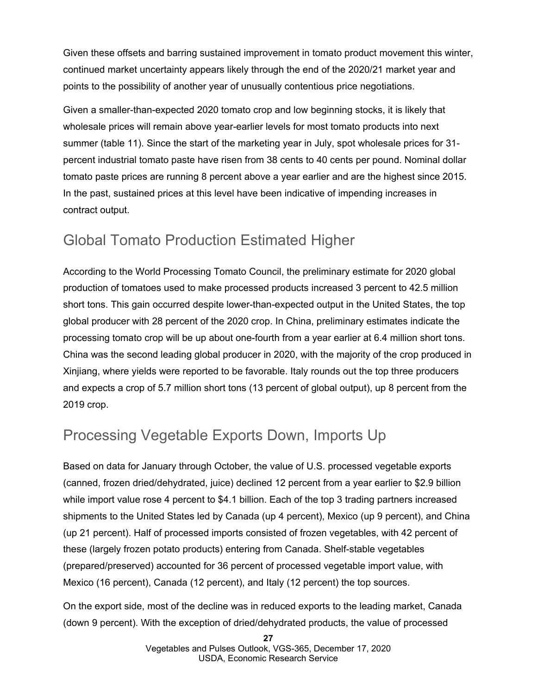Given these offsets and barring sustained improvement in tomato product movement this winter, continued market uncertainty appears likely through the end of the 2020/21 market year and points to the possibility of another year of unusually contentious price negotiations.

Given a smaller-than-expected 2020 tomato crop and low beginning stocks, it is likely that wholesale prices will remain above year-earlier levels for most tomato products into next summer (table 11). Since the start of the marketing year in July, spot wholesale prices for 31 percent industrial tomato paste have risen from 38 cents to 40 cents per pound. Nominal dollar tomato paste prices are running 8 percent above a year earlier and are the highest since 2015. In the past, sustained prices at this level have been indicative of impending increases in contract output.

## Global Tomato Production Estimated Higher

According to the World Processing Tomato Council, the preliminary estimate for 2020 global production of tomatoes used to make processed products increased 3 percent to 42.5 million short tons. This gain occurred despite lower-than-expected output in the United States, the top global producer with 28 percent of the 2020 crop. In China, preliminary estimates indicate the processing tomato crop will be up about one-fourth from a year earlier at 6.4 million short tons. China was the second leading global producer in 2020, with the majority of the crop produced in Xinjiang, where yields were reported to be favorable. Italy rounds out the top three producers and expects a crop of 5.7 million short tons (13 percent of global output), up 8 percent from the 2019 crop.

## Processing Vegetable Exports Down, Imports Up

Based on data for January through October, the value of U.S. processed vegetable exports (canned, frozen dried/dehydrated, juice) declined 12 percent from a year earlier to \$2.9 billion while import value rose 4 percent to \$4.1 billion. Each of the top 3 trading partners increased shipments to the United States led by Canada (up 4 percent), Mexico (up 9 percent), and China (up 21 percent). Half of processed imports consisted of frozen vegetables, with 42 percent of these (largely frozen potato products) entering from Canada. Shelf-stable vegetables (prepared/preserved) accounted for 36 percent of processed vegetable import value, with Mexico (16 percent), Canada (12 percent), and Italy (12 percent) the top sources.

On the export side, most of the decline was in reduced exports to the leading market, Canada (down 9 percent). With the exception of dried/dehydrated products, the value of processed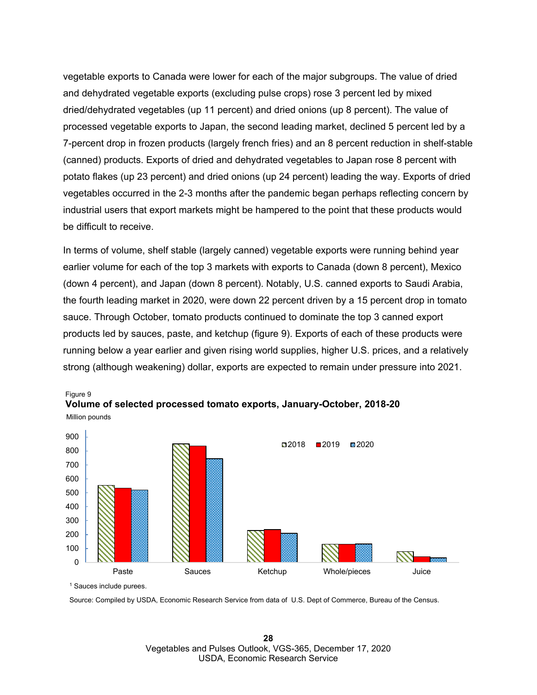vegetable exports to Canada were lower for each of the major subgroups. The value of dried and dehydrated vegetable exports (excluding pulse crops) rose 3 percent led by mixed dried/dehydrated vegetables (up 11 percent) and dried onions (up 8 percent). The value of processed vegetable exports to Japan, the second leading market, declined 5 percent led by a 7-percent drop in frozen products (largely french fries) and an 8 percent reduction in shelf-stable (canned) products. Exports of dried and dehydrated vegetables to Japan rose 8 percent with potato flakes (up 23 percent) and dried onions (up 24 percent) leading the way. Exports of dried vegetables occurred in the 2-3 months after the pandemic began perhaps reflecting concern by industrial users that export markets might be hampered to the point that these products would be difficult to receive.

In terms of volume, shelf stable (largely canned) vegetable exports were running behind year earlier volume for each of the top 3 markets with exports to Canada (down 8 percent), Mexico (down 4 percent), and Japan (down 8 percent). Notably, U.S. canned exports to Saudi Arabia, the fourth leading market in 2020, were down 22 percent driven by a 15 percent drop in tomato sauce. Through October, tomato products continued to dominate the top 3 canned export products led by sauces, paste, and ketchup (figure 9). Exports of each of these products were running below a year earlier and given rising world supplies, higher U.S. prices, and a relatively strong (although weakening) dollar, exports are expected to remain under pressure into 2021.



Million pounds Figure 9 **Volume of selected processed tomato exports, January-October, 2018-20** 

Source: Compiled by USDA, Economic Research Service from data of U.S. Dept of Commerce, Bureau of the Census.

<sup>1</sup> Sauces include purees.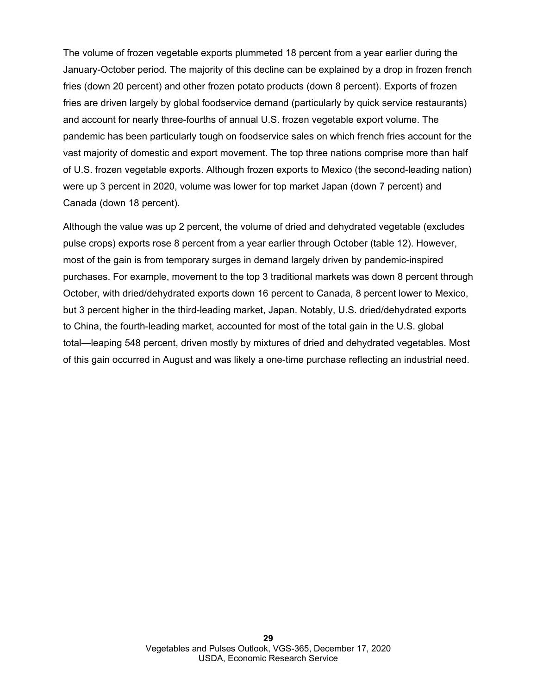The volume of frozen vegetable exports plummeted 18 percent from a year earlier during the January-October period. The majority of this decline can be explained by a drop in frozen french fries (down 20 percent) and other frozen potato products (down 8 percent). Exports of frozen fries are driven largely by global foodservice demand (particularly by quick service restaurants) and account for nearly three-fourths of annual U.S. frozen vegetable export volume. The pandemic has been particularly tough on foodservice sales on which french fries account for the vast majority of domestic and export movement. The top three nations comprise more than half of U.S. frozen vegetable exports. Although frozen exports to Mexico (the second-leading nation) were up 3 percent in 2020, volume was lower for top market Japan (down 7 percent) and Canada (down 18 percent).

Although the value was up 2 percent, the volume of dried and dehydrated vegetable (excludes pulse crops) exports rose 8 percent from a year earlier through October (table 12). However, most of the gain is from temporary surges in demand largely driven by pandemic-inspired purchases. For example, movement to the top 3 traditional markets was down 8 percent through October, with dried/dehydrated exports down 16 percent to Canada, 8 percent lower to Mexico, but 3 percent higher in the third-leading market, Japan. Notably, U.S. dried/dehydrated exports to China, the fourth-leading market, accounted for most of the total gain in the U.S. global total—leaping 548 percent, driven mostly by mixtures of dried and dehydrated vegetables. Most of this gain occurred in August and was likely a one-time purchase reflecting an industrial need.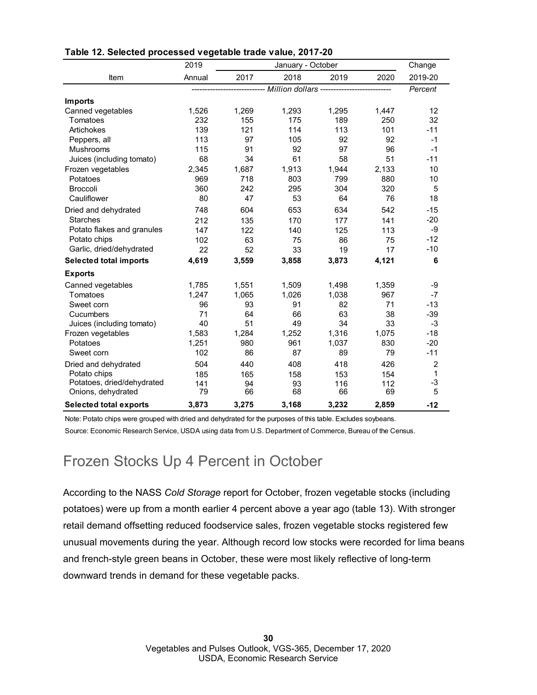|                               | 2019   |       |                                                                          | Change |       |                 |
|-------------------------------|--------|-------|--------------------------------------------------------------------------|--------|-------|-----------------|
| Item                          | Annual | 2017  | 2018                                                                     | 2019   | 2020  | 2019-20         |
|                               |        |       | ---------------------------- Million dollars --------------------------- |        |       | Percent         |
| <b>Imports</b>                |        |       |                                                                          |        |       |                 |
| Canned vegetables             | 1,526  | 1,269 | 1,293                                                                    | 1,295  | 1,447 | 12              |
| Tomatoes                      | 232    | 155   | 175                                                                      | 189    | 250   | 32              |
| Artichokes                    | 139    | 121   | 114                                                                      | 113    | 101   | $-11$           |
| Peppers, all                  | 113    | 97    | 105                                                                      | 92     | 92    | $-1$            |
| Mushrooms                     | 115    | 91    | 92                                                                       | 97     | 96    | $-1$            |
| Juices (including tomato)     | 68     | 34    | 61                                                                       | 58     | 51    | $-11$           |
| Frozen vegetables             | 2,345  | 1,687 | 1,913                                                                    | 1,944  | 2,133 | 10              |
| Potatoes                      | 969    | 718   | 803                                                                      | 799    | 880   | 10              |
| <b>Broccoli</b>               | 360    | 242   | 295                                                                      | 304    | 320   | 5               |
| Cauliflower                   | 80     | 47    | 53                                                                       | 64     | 76    | 18              |
| Dried and dehydrated          | 748    | 604   | 653                                                                      | 634    | 542   | $-15$           |
| <b>Starches</b>               | 212    | 135   | 170                                                                      | 177    | 141   | $-20$           |
| Potato flakes and granules    | 147    | 122   | 140                                                                      | 125    | 113   | $-9$            |
| Potato chips                  | 102    | 63    | 75                                                                       | 86     | 75    | $-12$           |
| Garlic, dried/dehydrated      | 22     | 52    | 33                                                                       | 19     | 17    | $-10$           |
| <b>Selected total imports</b> | 4,619  | 3,559 | 3,858                                                                    | 3,873  | 4,121 | $6\phantom{1}6$ |
| <b>Exports</b>                |        |       |                                                                          |        |       |                 |
| Canned vegetables             | 1,785  | 1,551 | 1,509                                                                    | 1,498  | 1,359 | -9              |
| Tomatoes                      | 1,247  | 1,065 | 1,026                                                                    | 1,038  | 967   | $-7$            |
| Sweet corn                    | 96     | 93    | 91                                                                       | 82     | 71    | $-13$           |
| Cucumbers                     | 71     | 64    | 66                                                                       | 63     | 38    | $-39$           |
| Juices (including tomato)     | 40     | 51    | 49                                                                       | 34     | 33    | $-3$            |
| Frozen vegetables             | 1,583  | 1,284 | 1,252                                                                    | 1,316  | 1,075 | $-18$           |
| Potatoes                      | 1,251  | 980   | 961                                                                      | 1,037  | 830   | $-20$           |
| Sweet corn                    | 102    | 86    | 87                                                                       | 89     | 79    | $-11$           |
| Dried and dehydrated          | 504    | 440   | 408                                                                      | 418    | 426   | $\overline{2}$  |
| Potato chips                  | 185    | 165   | 158                                                                      | 153    | 154   | $\mathbf{1}$    |
| Potatoes, dried/dehydrated    | 141    | 94    | 93                                                                       | 116    | 112   | $-3$            |
| Onions, dehydrated            | 79     | 66    | 68                                                                       | 66     | 69    | 5               |
| <b>Selected total exports</b> | 3,873  | 3,275 | 3,168                                                                    | 3,232  | 2,859 | $-12$           |

#### **Table 12. Selected processed vegetable trade value, 2017-20**

Note: Potato chips were grouped with dried and dehydrated for the purposes of this table. Excludes soybeans.

Source: Economic Research Service, USDA using data from U.S. Department of Commerce, Bureau of the Census.

### Frozen Stocks Up 4 Percent in October

According to the NASS *Cold Storage* report for October, frozen vegetable stocks (including potatoes) were up from a month earlier 4 percent above a year ago (table 13). With stronger retail demand offsetting reduced foodservice sales, frozen vegetable stocks registered few unusual movements during the year. Although record low stocks were recorded for lima beans and french-style green beans in October, these were most likely reflective of long-term downward trends in demand for these vegetable packs.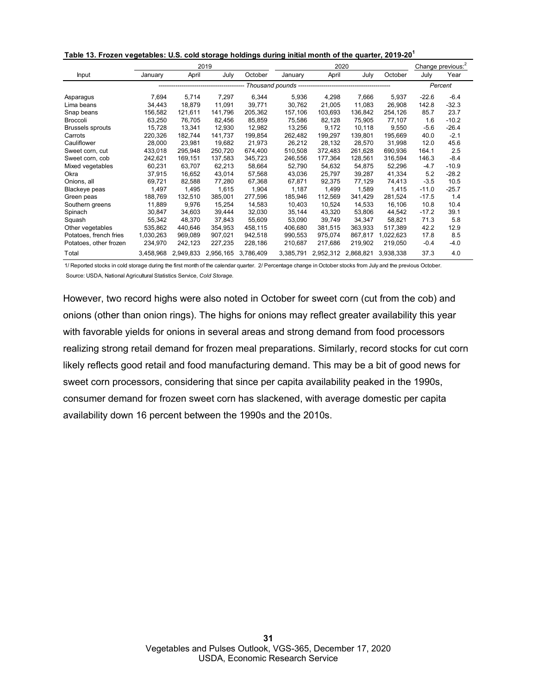|  |  | Table 13. Frozen vegetables: U.S. cold storage holdings during initial month of the quarter, 2019-20 <sup>1</sup> |
|--|--|-------------------------------------------------------------------------------------------------------------------|
|--|--|-------------------------------------------------------------------------------------------------------------------|

|                         |           |           | 2019      |           | 2020      |           |           |           | Change previous: <sup>2</sup> |         |  |
|-------------------------|-----------|-----------|-----------|-----------|-----------|-----------|-----------|-----------|-------------------------------|---------|--|
| Input                   | January   | April     | July      | October   | January   | April     | July      | October   | July                          | Year    |  |
|                         |           |           |           |           |           |           |           |           | Percent                       |         |  |
| Asparagus               | 7,694     | 5.714     | 7.297     | 6,344     | 5,936     | 4,298     | 7,666     | 5,937     | $-22.6$                       | $-6.4$  |  |
| Lima beans              | 34,443    | 18.879    | 11,091    | 39,771    | 30,762    | 21,005    | 11,083    | 26,908    | 142.8                         | $-32.3$ |  |
| Snap beans              | 156,582   | 121,611   | 141,796   | 205.362   | 157,106   | 103,693   | 136,842   | 254,126   | 85.7                          | 23.7    |  |
| <b>Broccoli</b>         | 63,250    | 76.705    | 82,456    | 85,859    | 75,586    | 82,128    | 75,905    | 77,107    | 1.6                           | $-10.2$ |  |
| <b>Brussels sprouts</b> | 15,728    | 13,341    | 12.930    | 12,982    | 13,256    | 9,172     | 10,118    | 9,550     | $-5.6$                        | $-26.4$ |  |
| Carrots                 | 220,326   | 182,744   | 141,737   | 199,854   | 262,482   | 199,297   | 139,801   | 195,669   | 40.0                          | $-2.1$  |  |
| Cauliflower             | 28,000    | 23,981    | 19,682    | 21,973    | 26,212    | 28,132    | 28,570    | 31,998    | 12.0                          | 45.6    |  |
| Sweet corn, cut         | 433,018   | 295,948   | 250,720   | 674,400   | 510,508   | 372,483   | 261,628   | 690,936   | 164.1                         | 2.5     |  |
| Sweet corn, cob         | 242,621   | 169,151   | 137,583   | 345,723   | 246,556   | 177,364   | 128,561   | 316,594   | 146.3                         | $-8.4$  |  |
| Mixed vegetables        | 60,231    | 63,707    | 62,213    | 58,664    | 52,790    | 54,632    | 54,875    | 52,296    | $-4.7$                        | $-10.9$ |  |
| Okra                    | 37,915    | 16,652    | 43,014    | 57,568    | 43,036    | 25,797    | 39,287    | 41,334    | 5.2                           | $-28.2$ |  |
| Onions, all             | 69,721    | 82.588    | 77.280    | 67.368    | 67,871    | 92,375    | 77,129    | 74,413    | $-3.5$                        | 10.5    |  |
| Blackeye peas           | 1,497     | 1,495     | 1,615     | 1,904     | 1,187     | 1,499     | 1,589     | 1,415     | $-11.0$                       | $-25.7$ |  |
| Green peas              | 188,769   | 132,510   | 385,001   | 277,596   | 185,946   | 112,569   | 341,429   | 281,524   | $-17.5$                       | 1.4     |  |
| Southern greens         | 11,889    | 9,976     | 15,254    | 14,583    | 10,403    | 10,524    | 14,533    | 16,106    | 10.8                          | 10.4    |  |
| Spinach                 | 30,847    | 34.603    | 39.444    | 32,030    | 35,144    | 43,320    | 53.806    | 44,542    | $-17.2$                       | 39.1    |  |
| Squash                  | 55,342    | 48,370    | 37,843    | 55,609    | 53,090    | 39,749    | 34,347    | 58,821    | 71.3                          | 5.8     |  |
| Other vegetables        | 535.862   | 440.646   | 354.953   | 458,115   | 406,680   | 381,515   | 363,933   | 517,389   | 42.2                          | 12.9    |  |
| Potatoes, french fries  | 1,030,263 | 969,089   | 907.021   | 942,518   | 990,553   | 975.074   | 867.817   | 1.022.623 | 17.8                          | 8.5     |  |
| Potatoes, other frozen  | 234,970   | 242,123   | 227,235   | 228,186   | 210,687   | 217,686   | 219,902   | 219,050   | $-0.4$                        | $-4.0$  |  |
| Total                   | 3.458.968 | 2,949,833 | 2,956,165 | 3,786,409 | 3,385,791 | 2,952,312 | 2,868,821 | 3,938,338 | 37.3                          | 4.0     |  |

1/ Reported stocks in cold storage during the first month of the calendar quarter. 2/ Percentage change in October stocks from July and the previous October. Source: USDA, National Agricultural Statistics Service, *Cold Storage.*

However, two record highs were also noted in October for sweet corn (cut from the cob) and onions (other than onion rings). The highs for onions may reflect greater availability this year with favorable yields for onions in several areas and strong demand from food processors realizing strong retail demand for frozen meal preparations. Similarly, record stocks for cut corn likely reflects good retail and food manufacturing demand. This may be a bit of good news for sweet corn processors, considering that since per capita availability peaked in the 1990s, consumer demand for frozen sweet corn has slackened, with average domestic per capita availability down 16 percent between the 1990s and the 2010s.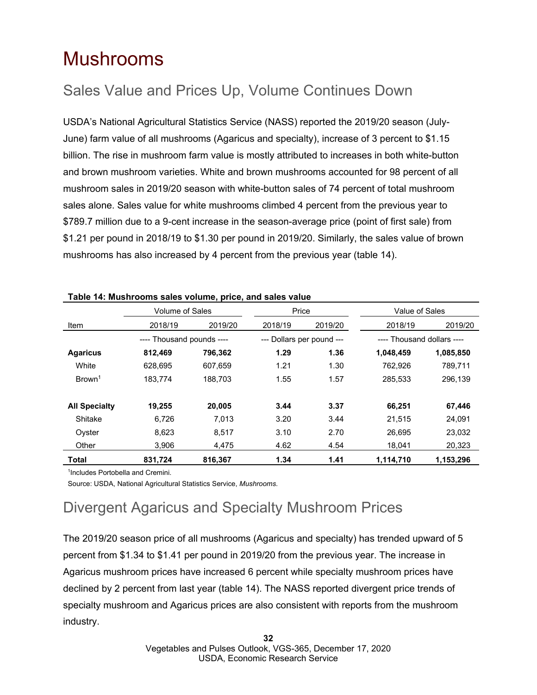## <span id="page-31-0"></span>Mushrooms

## Sales Value and Prices Up, Volume Continues Down

USDA's National Agricultural Statistics Service (NASS) reported the 2019/20 season (July-June) farm value of all mushrooms (Agaricus and specialty), increase of 3 percent to \$1.15 billion. The rise in mushroom farm value is mostly attributed to increases in both white-button and brown mushroom varieties. White and brown mushrooms accounted for 98 percent of all mushroom sales in 2019/20 season with white-button sales of 74 percent of total mushroom sales alone. Sales value for white mushrooms climbed 4 percent from the previous year to \$789.7 million due to a 9-cent increase in the season-average price (point of first sale) from \$1.21 per pound in 2018/19 to \$1.30 per pound in 2019/20. Similarly, the sales value of brown mushrooms has also increased by 4 percent from the previous year (table 14).

|                      | <b>Volume of Sales</b>    |         | Price                     |         | Value of Sales             |           |
|----------------------|---------------------------|---------|---------------------------|---------|----------------------------|-----------|
| Item                 | 2018/19                   | 2019/20 | 2018/19                   | 2019/20 | 2018/19                    | 2019/20   |
|                      | ---- Thousand pounds ---- |         | --- Dollars per pound --- |         | ---- Thousand dollars ---- |           |
| <b>Agaricus</b>      | 812,469                   | 796,362 | 1.29                      | 1.36    | 1,048,459                  | 1,085,850 |
| White                | 628.695                   | 607.659 | 1.21                      | 1.30    | 762.926                    | 789.711   |
| Brown <sup>1</sup>   | 183,774                   | 188,703 | 1.55                      | 1.57    | 285,533                    | 296,139   |
| <b>All Specialty</b> | 19,255                    | 20,005  | 3.44                      | 3.37    | 66,251                     | 67,446    |
| Shitake              | 6,726                     | 7.013   | 3.20                      | 3.44    | 21,515                     | 24.091    |
| Oyster               | 8,623                     | 8,517   | 3.10                      | 2.70    | 26,695                     | 23.032    |
| Other                | 3.906                     | 4.475   | 4.62                      | 4.54    | 18,041                     | 20,323    |
| Total                | 831.724                   | 816.367 | 1.34                      | 1.41    | 1,114,710                  | 1,153,296 |

#### **Table 14: Mushrooms sales volume, price, and sales value**

1 Includes Portobella and Cremini.

Source: USDA, National Agricultural Statistics Service, *Mushrooms.*

## Divergent Agaricus and Specialty Mushroom Prices

The 2019/20 season price of all mushrooms (Agaricus and specialty) has trended upward of 5 percent from \$1.34 to \$1.41 per pound in 2019/20 from the previous year. The increase in Agaricus mushroom prices have increased 6 percent while specialty mushroom prices have declined by 2 percent from last year (table 14). The NASS reported divergent price trends of specialty mushroom and Agaricus prices are also consistent with reports from the mushroom industry.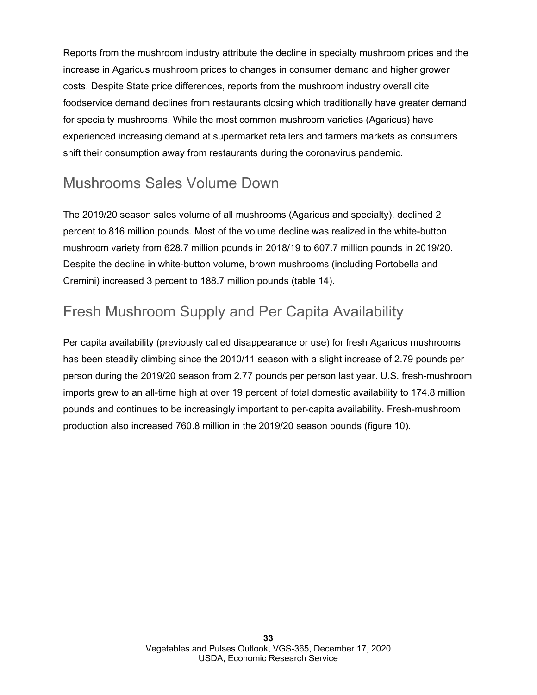Reports from the mushroom industry attribute the decline in specialty mushroom prices and the increase in Agaricus mushroom prices to changes in consumer demand and higher grower costs. Despite State price differences, reports from the mushroom industry overall cite foodservice demand declines from restaurants closing which traditionally have greater demand for specialty mushrooms. While the most common mushroom varieties (Agaricus) have experienced increasing demand at supermarket retailers and farmers markets as consumers shift their consumption away from restaurants during the coronavirus pandemic.

### Mushrooms Sales Volume Down

The 2019/20 season sales volume of all mushrooms (Agaricus and specialty), declined 2 percent to 816 million pounds. Most of the volume decline was realized in the white-button mushroom variety from 628.7 million pounds in 2018/19 to 607.7 million pounds in 2019/20. Despite the decline in white-button volume, brown mushrooms (including Portobella and Cremini) increased 3 percent to 188.7 million pounds (table 14).

## Fresh Mushroom Supply and Per Capita Availability

Per capita availability (previously called disappearance or use) for fresh Agaricus mushrooms has been steadily climbing since the 2010/11 season with a slight increase of 2.79 pounds per person during the 2019/20 season from 2.77 pounds per person last year. U.S. fresh-mushroom imports grew to an all-time high at over 19 percent of total domestic availability to 174.8 million pounds and continues to be increasingly important to per-capita availability. Fresh-mushroom production also increased 760.8 million in the 2019/20 season pounds (figure 10).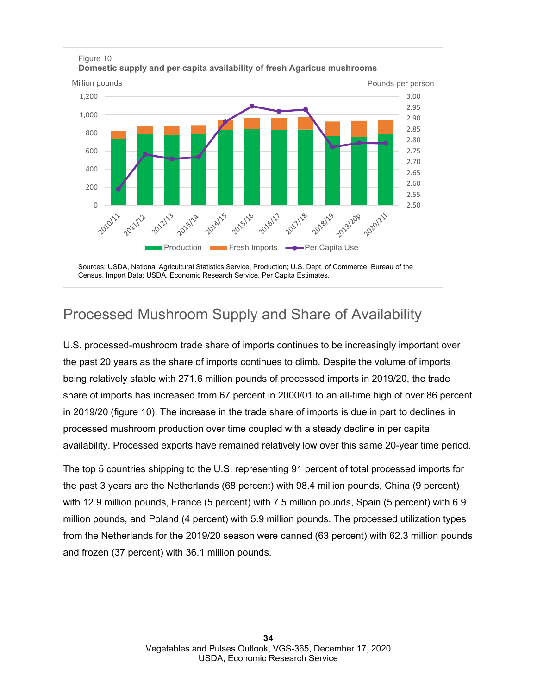

## Processed Mushroom Supply and Share of Availability

U.S. processed-mushroom trade share of imports continues to be increasingly important over the past 20 years as the share of imports continues to climb. Despite the volume of imports being relatively stable with 271.6 million pounds of processed imports in 2019/20, the trade share of imports has increased from 67 percent in 2000/01 to an all-time high of over 86 percent in 2019/20 (figure 10). The increase in the trade share of imports is due in part to declines in processed mushroom production over time coupled with a steady decline in per capita availability. Processed exports have remained relatively low over this same 20-year time period.

The top 5 countries shipping to the U.S. representing 91 percent of total processed imports for the past 3 years are the Netherlands (68 percent) with 98.4 million pounds, China (9 percent) with 12.9 million pounds, France (5 percent) with 7.5 million pounds, Spain (5 percent) with 6.9 million pounds, and Poland (4 percent) with 5.9 million pounds. The processed utilization types from the Netherlands for the 2019/20 season were canned (63 percent) with 62.3 million pounds and frozen (37 percent) with 36.1 million pounds.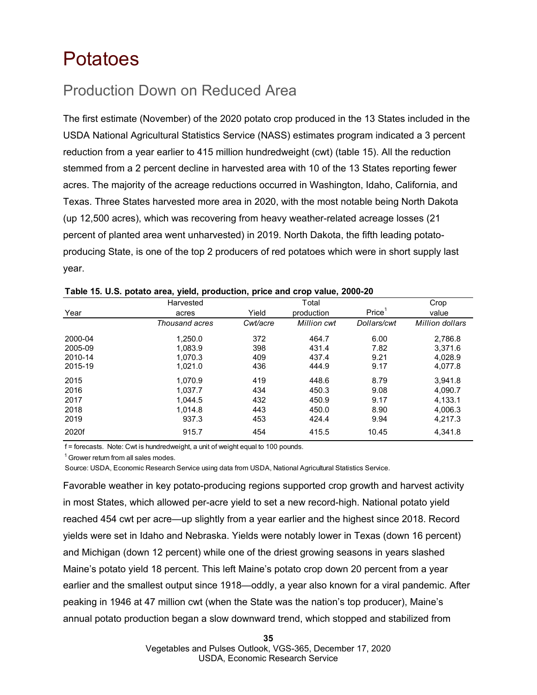## <span id="page-34-0"></span>Potatoes

## Production Down on Reduced Area

The first estimate (November) of the 2020 potato crop produced in the 13 States included in the USDA National Agricultural Statistics Service (NASS) estimates program indicated a 3 percent reduction from a year earlier to 415 million hundredweight (cwt) (table 15). All the reduction stemmed from a 2 percent decline in harvested area with 10 of the 13 States reporting fewer acres. The majority of the acreage reductions occurred in Washington, Idaho, California, and Texas. Three States harvested more area in 2020, with the most notable being North Dakota (up 12,500 acres), which was recovering from heavy weather-related acreage losses (21 percent of planted area went unharvested) in 2019. North Dakota, the fifth leading potatoproducing State, is one of the top 2 producers of red potatoes which were in short supply last year.

|         | Harvested      |          | Total       |                    | Crop            |
|---------|----------------|----------|-------------|--------------------|-----------------|
| Year    | acres          | Yield    | production  | Price <sup>1</sup> | value           |
|         | Thousand acres | Cwt/acre | Million cwt | Dollars/cwt        | Million dollars |
| 2000-04 | 1.250.0        | 372      | 464.7       | 6.00               | 2,786.8         |
| 2005-09 | 1.083.9        | 398      | 431.4       | 7.82               | 3,371.6         |
| 2010-14 | 1.070.3        | 409      | 437.4       | 9.21               | 4,028.9         |
| 2015-19 | 1,021.0        | 436      | 444.9       | 9.17               | 4,077.8         |
| 2015    | 1.070.9        | 419      | 448.6       | 8.79               | 3.941.8         |
| 2016    | 1.037.7        | 434      | 450.3       | 9.08               | 4,090.7         |
| 2017    | 1.044.5        | 432      | 450.9       | 9.17               | 4.133.1         |
| 2018    | 1.014.8        | 443      | 450.0       | 8.90               | 4,006.3         |
| 2019    | 937.3          | 453      | 424.4       | 9.94               | 4,217.3         |
| 2020f   | 915.7          | 454      | 415.5       | 10.45              | 4.341.8         |

| Table 15. U.S. potato area, yield, production, price and crop value, 2000-20 |  |  |  |  |  |  |  |  |
|------------------------------------------------------------------------------|--|--|--|--|--|--|--|--|
|------------------------------------------------------------------------------|--|--|--|--|--|--|--|--|

f = forecasts. Note: Cwt is hundredweight, a unit of weight equal to 100 pounds.

 $1$  Grower return from all sales modes.

Source: USDA, Economic Research Service using data from USDA, National Agricultural Statistics Service.

Favorable weather in key potato-producing regions supported crop growth and harvest activity in most States, which allowed per-acre yield to set a new record-high. National potato yield reached 454 cwt per acre—up slightly from a year earlier and the highest since 2018. Record yields were set in Idaho and Nebraska. Yields were notably lower in Texas (down 16 percent) and Michigan (down 12 percent) while one of the driest growing seasons in years slashed Maine's potato yield 18 percent. This left Maine's potato crop down 20 percent from a year earlier and the smallest output since 1918—oddly, a year also known for a viral pandemic. After peaking in 1946 at 47 million cwt (when the State was the nation's top producer), Maine's annual potato production began a slow downward trend, which stopped and stabilized from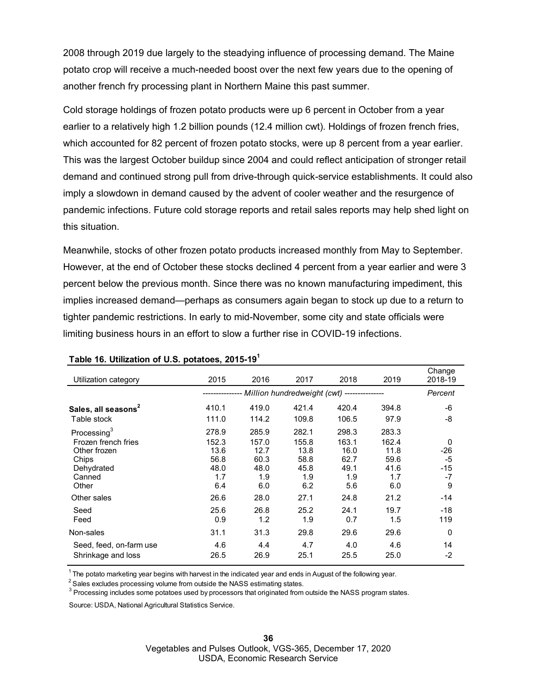2008 through 2019 due largely to the steadying influence of processing demand. The Maine potato crop will receive a much-needed boost over the next few years due to the opening of another french fry processing plant in Northern Maine this past summer.

Cold storage holdings of frozen potato products were up 6 percent in October from a year earlier to a relatively high 1.2 billion pounds (12.4 million cwt). Holdings of frozen french fries, which accounted for 82 percent of frozen potato stocks, were up 8 percent from a year earlier. This was the largest October buildup since 2004 and could reflect anticipation of stronger retail demand and continued strong pull from drive-through quick-service establishments. It could also imply a slowdown in demand caused by the advent of cooler weather and the resurgence of pandemic infections. Future cold storage reports and retail sales reports may help shed light on this situation.

Meanwhile, stocks of other frozen potato products increased monthly from May to September. However, at the end of October these stocks declined 4 percent from a year earlier and were 3 percent below the previous month. Since there was no known manufacturing impediment, this implies increased demand—perhaps as consumers again began to stock up due to a return to tighter pandemic restrictions. In early to mid-November, some city and state officials were limiting business hours in an effort to slow a further rise in COVID-19 infections.

| Utilization category                                                                         | 2015                                                | 2016                                                       | 2017                                                | 2018                                                | 2019                                                | Change<br>2018-19                               |
|----------------------------------------------------------------------------------------------|-----------------------------------------------------|------------------------------------------------------------|-----------------------------------------------------|-----------------------------------------------------|-----------------------------------------------------|-------------------------------------------------|
|                                                                                              |                                                     | -------------- Million hundredweight (cwt) --------------- |                                                     |                                                     |                                                     | Percent                                         |
| Sales, all seasons <sup>2</sup>                                                              | 410.1                                               | 419.0                                                      | 421.4                                               | 420.4                                               | 394.8                                               | -6                                              |
| Table stock                                                                                  | 111.0                                               | 114.2                                                      | 109.8                                               | 106.5                                               | 97.9                                                | -8                                              |
| Processing <sup>3</sup>                                                                      | 278.9                                               | 285.9                                                      | 282.1                                               | 298.3                                               | 283.3                                               |                                                 |
| Frozen french fries<br>Other frozen<br>Chips<br>Dehydrated<br>Canned<br>Other<br>Other sales | 152.3<br>13.6<br>56.8<br>48.0<br>1.7<br>6.4<br>26.6 | 157.0<br>12.7<br>60.3<br>48.0<br>1.9<br>6.0<br>28.0        | 155.8<br>13.8<br>58.8<br>45.8<br>1.9<br>6.2<br>27.1 | 163.1<br>16.0<br>62.7<br>49.1<br>1.9<br>5.6<br>24.8 | 162.4<br>11.8<br>59.6<br>41.6<br>1.7<br>6.0<br>21.2 | 0<br>-26<br>$-5$<br>$-15$<br>$-7$<br>9<br>$-14$ |
| Seed<br>Feed                                                                                 | 25.6<br>0.9                                         | 26.8<br>1.2                                                | 25.2<br>1.9                                         | 24.1<br>0.7                                         | 19.7<br>1.5                                         | $-18$<br>119                                    |
| Non-sales                                                                                    | 31.1                                                | 31.3                                                       | 29.8                                                | 29.6                                                | 29.6                                                | 0                                               |
| Seed, feed, on-farm use<br>Shrinkage and loss                                                | 4.6<br>26.5                                         | 4.4<br>26.9                                                | 4.7<br>25.1                                         | 4.0<br>25.5                                         | 4.6<br>25.0                                         | 14<br>$-2$                                      |

#### **Table 16. Utilization of U.S. potatoes, 2015-191**

 $1$  The potato marketing year begins with harvest in the indicated year and ends in August of the following year.

 $2$  Sales excludes processing volume from outside the NASS estimating states.

 $^3$  Processing includes some potatoes used by processors that originated from outside the NASS program states.

Source: USDA, National Agricultural Statistics Service.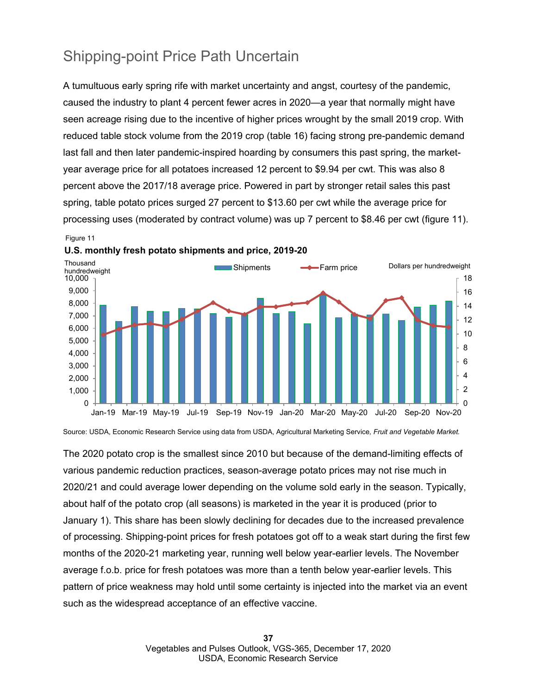## Shipping-point Price Path Uncertain

A tumultuous early spring rife with market uncertainty and angst, courtesy of the pandemic, caused the industry to plant 4 percent fewer acres in 2020—a year that normally might have seen acreage rising due to the incentive of higher prices wrought by the small 2019 crop. With reduced table stock volume from the 2019 crop (table 16) facing strong pre-pandemic demand last fall and then later pandemic-inspired hoarding by consumers this past spring, the marketyear average price for all potatoes increased 12 percent to \$9.94 per cwt. This was also 8 percent above the 2017/18 average price. Powered in part by stronger retail sales this past spring, table potato prices surged 27 percent to \$13.60 per cwt while the average price for processing uses (moderated by contract volume) was up 7 percent to \$8.46 per cwt (figure 11).





Source: USDA, Economic Research Service using data from USDA, Agricultural Marketing Service*, Fruit and Vegetable Market.* 

The 2020 potato crop is the smallest since 2010 but because of the demand-limiting effects of various pandemic reduction practices, season-average potato prices may not rise much in 2020/21 and could average lower depending on the volume sold early in the season. Typically, about half of the potato crop (all seasons) is marketed in the year it is produced (prior to January 1). This share has been slowly declining for decades due to the increased prevalence of processing. Shipping-point prices for fresh potatoes got off to a weak start during the first few months of the 2020-21 marketing year, running well below year-earlier levels. The November average f.o.b. price for fresh potatoes was more than a tenth below year-earlier levels. This pattern of price weakness may hold until some certainty is injected into the market via an event such as the widespread acceptance of an effective vaccine.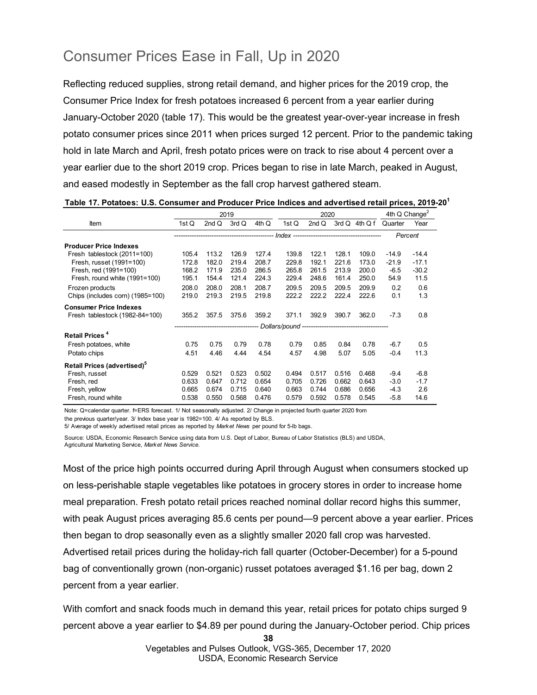## Consumer Prices Ease in Fall, Up in 2020

Reflecting reduced supplies, strong retail demand, and higher prices for the 2019 crop, the Consumer Price Index for fresh potatoes increased 6 percent from a year earlier during January-October 2020 (table 17). This would be the greatest year-over-year increase in fresh potato consumer prices since 2011 when prices surged 12 percent. Prior to the pandemic taking hold in late March and April, fresh potato prices were on track to rise about 4 percent over a year earlier due to the short 2019 crop. Prices began to rise in late March, peaked in August, and eased modestly in September as the fall crop harvest gathered steam.

|      | Table 17. Potatoes: U.S. Consumer and Producer Price Indices and advertised retail prices, 2019-20 <sup>1</sup> |                                  |
|------|-----------------------------------------------------------------------------------------------------------------|----------------------------------|
| 0010 | nnnn                                                                                                            | $4th \Omega$ Change <sup>2</sup> |

|                                         |       |       | 2019  |       | 2020  |       |       |                | 4th $Q$ Change <sup>2</sup> |         |
|-----------------------------------------|-------|-------|-------|-------|-------|-------|-------|----------------|-----------------------------|---------|
| Item                                    | 1st Q | 2ndQ  | 3rdQ  | 4th Q | 1st Q | 2nd Q |       | $3rdQ$ 4th Q f | Quarter                     | Year    |
|                                         |       |       |       |       |       |       |       |                | Percent                     |         |
| <b>Producer Price Indexes</b>           |       |       |       |       |       |       |       |                |                             |         |
| Fresh tablestock (2011=100)             | 105.4 | 113.2 | 126.9 | 127.4 | 139.8 | 122.1 | 128.1 | 109.0          | $-14.9$                     | $-14.4$ |
| Fresh, russet (1991=100)                | 172.8 | 182.0 | 219.4 | 208.7 | 229.8 | 192.1 | 221.6 | 173.0          | $-21.9$                     | $-17.1$ |
| Fresh, red (1991=100)                   | 168.2 | 171.9 | 235.0 | 286.5 | 265.8 | 261.5 | 213.9 | 200.0          | $-6.5$                      | $-30.2$ |
| Fresh, round white (1991=100)           | 195.1 | 154.4 | 121.4 | 224.3 | 229.4 | 248.6 | 161.4 | 250.0          | 54.9                        | 11.5    |
| Frozen products                         | 208.0 | 208.0 | 208.1 | 208.7 | 209.5 | 209.5 | 209.5 | 209.9          | 0.2                         | 0.6     |
| Chips (includes corn) (1985=100)        | 219.0 | 219.3 | 219.5 | 219.8 | 222.2 | 222.2 | 222.4 | 222.6          | 0.1                         | 1.3     |
| <b>Consumer Price Indexes</b>           |       |       |       |       |       |       |       |                |                             |         |
| Fresh tablestock (1982-84=100)          | 355.2 | 357.5 | 375.6 | 359.2 | 371.1 | 392.9 | 390.7 | 362.0          | $-7.3$                      | 0.8     |
|                                         |       |       |       |       |       |       |       |                |                             |         |
| Retail Prices <sup>4</sup>              |       |       |       |       |       |       |       |                |                             |         |
| Fresh potatoes, white                   | 0.75  | 0.75  | 0.79  | 0.78  | 0.79  | 0.85  | 0.84  | 0.78           | $-6.7$                      | 0.5     |
| Potato chips                            | 4.51  | 4.46  | 4.44  | 4.54  | 4.57  | 4.98  | 5.07  | 5.05           | $-0.4$                      | 11.3    |
| Retail Prices (advertised) <sup>5</sup> |       |       |       |       |       |       |       |                |                             |         |
| Fresh, russet                           | 0.529 | 0.521 | 0.523 | 0.502 | 0.494 | 0.517 | 0.516 | 0.468          | $-9.4$                      | $-6.8$  |
| Fresh, red                              | 0.633 | 0.647 | 0.712 | 0.654 | 0.705 | 0.726 | 0.662 | 0.643          | $-3.0$                      | $-1.7$  |
| Fresh, yellow                           | 0.665 | 0.674 | 0.715 | 0.640 | 0.663 | 0.744 | 0.686 | 0.656          | $-4.3$                      | 2.6     |
| Fresh, round white                      | 0.538 | 0.550 | 0.568 | 0.476 | 0.579 | 0.592 | 0.578 | 0.545          | $-5.8$                      | 14.6    |

Note: Q=calendar quarter. f=ERS forecast. 1/ Not seasonally adjusted. 2/ Change in projected fourth quarter 2020 from

the previous quarter/year. 3/ Index base year is 1982=100. 4/ As reported by BLS.

5/ Average of weekly advertised retail prices as reported by *Market News* per pound for 5-lb bags.

Source: USDA, Economic Research Service using data from U.S. Dept of Labor, Bureau of Labor Statistics (BLS) and USDA, Agricultural Marketing Service, *Market News Service.* 

Most of the price high points occurred during April through August when consumers stocked up on less-perishable staple vegetables like potatoes in grocery stores in order to increase home meal preparation. Fresh potato retail prices reached nominal dollar record highs this summer, with peak August prices averaging 85.6 cents per pound—9 percent above a year earlier. Prices then began to drop seasonally even as a slightly smaller 2020 fall crop was harvested. Advertised retail prices during the holiday-rich fall quarter (October-December) for a 5-pound bag of conventionally grown (non-organic) russet potatoes averaged \$1.16 per bag, down 2 percent from a year earlier.

With comfort and snack foods much in demand this year, retail prices for potato chips surged 9 percent above a year earlier to \$4.89 per pound during the January-October period. Chip prices

**38**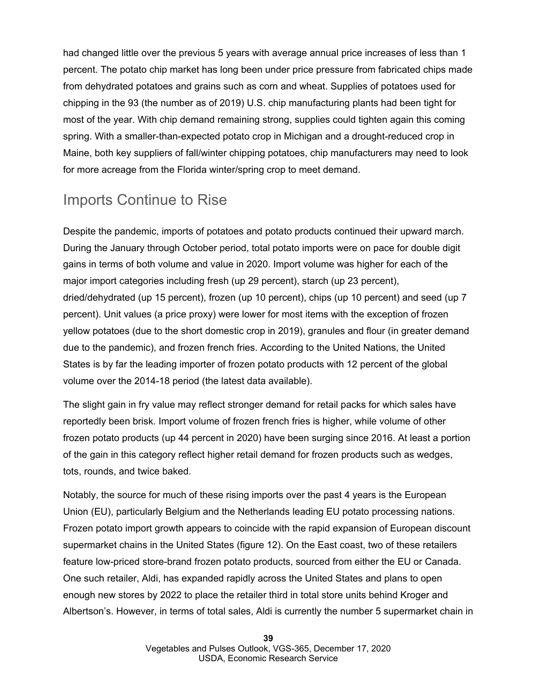had changed little over the previous 5 years with average annual price increases of less than 1 percent. The potato chip market has long been under price pressure from fabricated chips made from dehydrated potatoes and grains such as corn and wheat. Supplies of potatoes used for chipping in the 93 (the number as of 2019) U.S. chip manufacturing plants had been tight for most of the year. With chip demand remaining strong, supplies could tighten again this coming spring. With a smaller-than-expected potato crop in Michigan and a drought-reduced crop in Maine, both key suppliers of fall/winter chipping potatoes, chip manufacturers may need to look for more acreage from the Florida winter/spring crop to meet demand.

## Imports Continue to Rise

Despite the pandemic, imports of potatoes and potato products continued their upward march. During the January through October period, total potato imports were on pace for double digit gains in terms of both volume and value in 2020. Import volume was higher for each of the major import categories including fresh (up 29 percent), starch (up 23 percent), dried/dehydrated (up 15 percent), frozen (up 10 percent), chips (up 10 percent) and seed (up 7 percent). Unit values (a price proxy) were lower for most items with the exception of frozen yellow potatoes (due to the short domestic crop in 2019), granules and flour (in greater demand due to the pandemic), and frozen french fries. According to the United Nations, the United States is by far the leading importer of frozen potato products with 12 percent of the global volume over the 2014-18 period (the latest data available).

The slight gain in fry value may reflect stronger demand for retail packs for which sales have reportedly been brisk. Import volume of frozen french fries is higher, while volume of other frozen potato products (up 44 percent in 2020) have been surging since 2016. At least a portion of the gain in this category reflect higher retail demand for frozen products such as wedges, tots, rounds, and twice baked.

Notably, the source for much of these rising imports over the past 4 years is the European Union (EU), particularly Belgium and the Netherlands leading EU potato processing nations. Frozen potato import growth appears to coincide with the rapid expansion of European discount supermarket chains in the United States (figure 12). On the East coast, two of these retailers feature low-priced store-brand frozen potato products, sourced from either the EU or Canada. One such retailer, Aldi, has expanded rapidly across the United States and plans to open enough new stores by 2022 to place the retailer third in total store units behind Kroger and Albertson's. However, in terms of total sales, Aldi is currently the number 5 supermarket chain in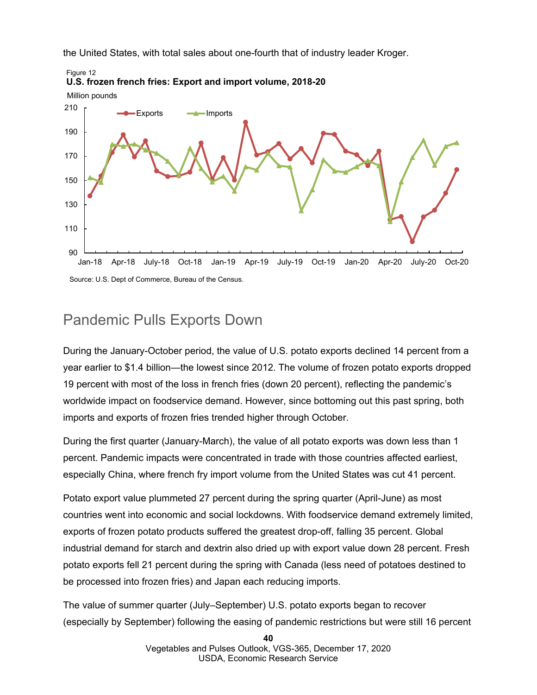the United States, with total sales about one-fourth that of industry leader Kroger.



### Pandemic Pulls Exports Down

During the January-October period, the value of U.S. potato exports declined 14 percent from a year earlier to \$1.4 billion—the lowest since 2012. The volume of frozen potato exports dropped 19 percent with most of the loss in french fries (down 20 percent), reflecting the pandemic's worldwide impact on foodservice demand. However, since bottoming out this past spring, both imports and exports of frozen fries trended higher through October.

During the first quarter (January-March), the value of all potato exports was down less than 1 percent. Pandemic impacts were concentrated in trade with those countries affected earliest, especially China, where french fry import volume from the United States was cut 41 percent.

Potato export value plummeted 27 percent during the spring quarter (April-June) as most countries went into economic and social lockdowns. With foodservice demand extremely limited, exports of frozen potato products suffered the greatest drop-off, falling 35 percent. Global industrial demand for starch and dextrin also dried up with export value down 28 percent. Fresh potato exports fell 21 percent during the spring with Canada (less need of potatoes destined to be processed into frozen fries) and Japan each reducing imports.

The value of summer quarter (July–September) U.S. potato exports began to recover (especially by September) following the easing of pandemic restrictions but were still 16 percent

**40**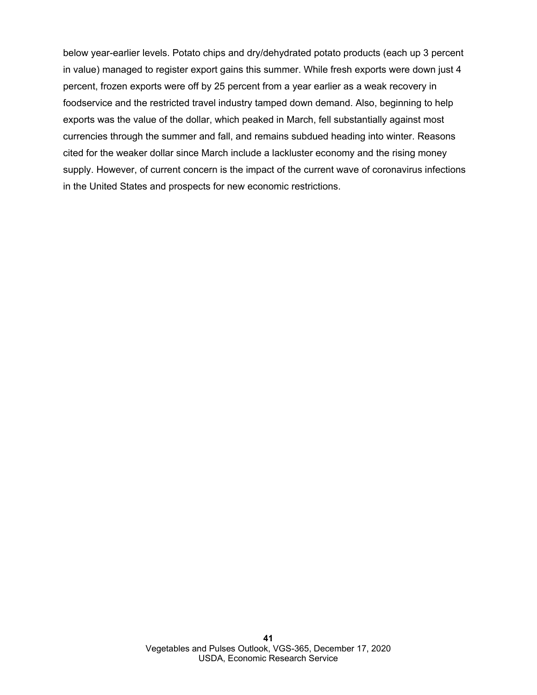below year-earlier levels. Potato chips and dry/dehydrated potato products (each up 3 percent in value) managed to register export gains this summer. While fresh exports were down just 4 percent, frozen exports were off by 25 percent from a year earlier as a weak recovery in foodservice and the restricted travel industry tamped down demand. Also, beginning to help exports was the value of the dollar, which peaked in March, fell substantially against most currencies through the summer and fall, and remains subdued heading into winter. Reasons cited for the weaker dollar since March include a lackluster economy and the rising money supply. However, of current concern is the impact of the current wave of coronavirus infections in the United States and prospects for new economic restrictions.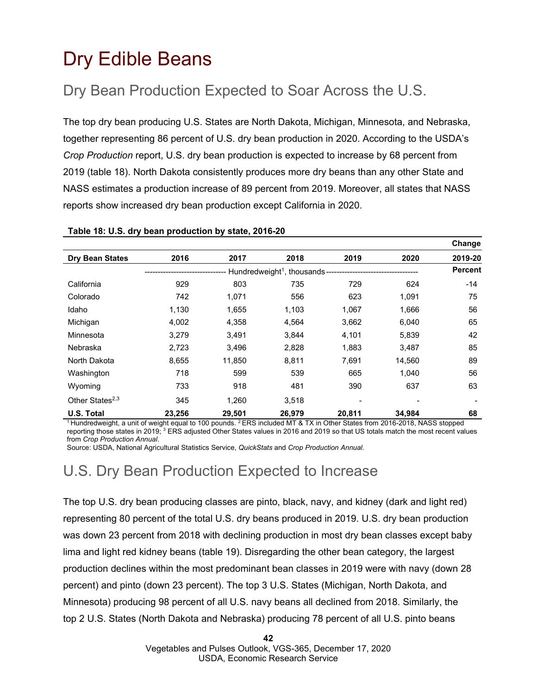## <span id="page-41-0"></span>Dry Edible Beans

## Dry Bean Production Expected to Soar Across the U.S.

The top dry bean producing U.S. States are North Dakota, Michigan, Minnesota, and Nebraska, together representing 86 percent of U.S. dry bean production in 2020. According to the USDA's *Crop Production* report, U.S. dry bean production is expected to increase by 68 percent from 2019 (table 18). North Dakota consistently produces more dry beans than any other State and NASS estimates a production increase of 89 percent from 2019. Moreover, all states that NASS reports show increased dry bean production except California in 2020.

|                        |        |        |                                                                     |        |        | Change         |
|------------------------|--------|--------|---------------------------------------------------------------------|--------|--------|----------------|
| <b>Dry Bean States</b> | 2016   | 2017   | 2018                                                                | 2019   | 2020   | 2019-20        |
|                        |        |        | Hundredweight <sup>1</sup> , thousands ---------------------------- |        |        | <b>Percent</b> |
| California             | 929    | 803    | 735                                                                 | 729    | 624    | $-14$          |
| Colorado               | 742    | 1,071  | 556                                                                 | 623    | 1,091  | 75             |
| Idaho                  | 1.130  | 1,655  | 1,103                                                               | 1,067  | 1,666  | 56             |
| Michigan               | 4,002  | 4,358  | 4,564                                                               | 3,662  | 6,040  | 65             |
| Minnesota              | 3,279  | 3,491  | 3,844                                                               | 4,101  | 5,839  | 42             |
| Nebraska               | 2,723  | 3,496  | 2,828                                                               | 1,883  | 3,487  | 85             |
| North Dakota           | 8,655  | 11.850 | 8,811                                                               | 7,691  | 14.560 | 89             |
| Washington             | 718    | 599    | 539                                                                 | 665    | 1,040  | 56             |
| Wyoming                | 733    | 918    | 481                                                                 | 390    | 637    | 63             |
| Other States $2,3$     | 345    | 1.260  | 3.518                                                               |        |        |                |
| U.S. Total             | 23,256 | 29,501 | 26,979                                                              | 20,811 | 34.984 | 68             |

### **Table 18: U.S. dry bean production by state, 2016-20**

<sup>1</sup> Hundredweight, a unit of weight equal to 100 pounds. <sup>2</sup> ERS included MT & TX in Other States from 2016-2018, NASS stopped reporting those states in 2019;<sup>3</sup> ERS adjusted Other States values in 2016 and 2019 so that US totals match the most recent values from *Crop Production Annual*.

Source: USDA, National Agricultural Statistics Service, *QuickStats* and *Crop Production Annual.*

## U.S. Dry Bean Production Expected to Increase

The top U.S. dry bean producing classes are pinto, black, navy, and kidney (dark and light red) representing 80 percent of the total U.S. dry beans produced in 2019. U.S. dry bean production was down 23 percent from 2018 with declining production in most dry bean classes except baby lima and light red kidney beans (table 19). Disregarding the other bean category, the largest production declines within the most predominant bean classes in 2019 were with navy (down 28 percent) and pinto (down 23 percent). The top 3 U.S. States (Michigan, North Dakota, and Minnesota) producing 98 percent of all U.S. navy beans all declined from 2018. Similarly, the top 2 U.S. States (North Dakota and Nebraska) producing 78 percent of all U.S. pinto beans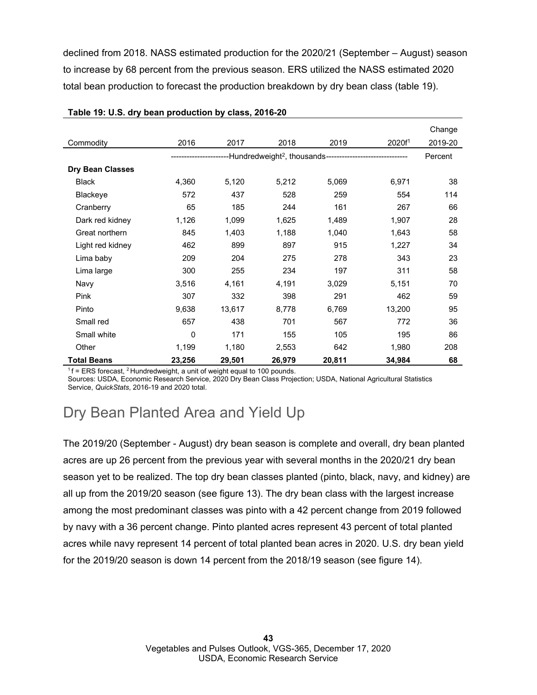declined from 2018. NASS estimated production for the 2020/21 (September – August) season to increase by 68 percent from the previous season. ERS utilized the NASS estimated 2020 total bean production to forecast the production breakdown by dry bean class (table 19).

|                         |        |        |        |                                                                                 |                   | Change  |
|-------------------------|--------|--------|--------|---------------------------------------------------------------------------------|-------------------|---------|
| Commodity               | 2016   | 2017   | 2018   | 2019                                                                            | 2020 <sup>1</sup> | 2019-20 |
|                         |        |        |        | ----------Hundredweight <sup>2</sup> , thousands------------------------------- |                   | Percent |
| <b>Dry Bean Classes</b> |        |        |        |                                                                                 |                   |         |
| <b>Black</b>            | 4,360  | 5,120  | 5,212  | 5,069                                                                           | 6,971             | 38      |
| Blackeye                | 572    | 437    | 528    | 259                                                                             | 554               | 114     |
| Cranberry               | 65     | 185    | 244    | 161                                                                             | 267               | 66      |
| Dark red kidney         | 1,126  | 1,099  | 1,625  | 1,489                                                                           | 1,907             | 28      |
| Great northern          | 845    | 1,403  | 1,188  | 1,040                                                                           | 1,643             | 58      |
| Light red kidney        | 462    | 899    | 897    | 915                                                                             | 1,227             | 34      |
| Lima baby               | 209    | 204    | 275    | 278                                                                             | 343               | 23      |
| Lima large              | 300    | 255    | 234    | 197                                                                             | 311               | 58      |
| Navy                    | 3,516  | 4,161  | 4,191  | 3,029                                                                           | 5,151             | 70      |
| <b>Pink</b>             | 307    | 332    | 398    | 291                                                                             | 462               | 59      |
| Pinto                   | 9,638  | 13,617 | 8,778  | 6,769                                                                           | 13,200            | 95      |
| Small red               | 657    | 438    | 701    | 567                                                                             | 772               | 36      |
| Small white             | 0      | 171    | 155    | 105                                                                             | 195               | 86      |
| Other                   | 1,199  | 1,180  | 2,553  | 642                                                                             | 1,980             | 208     |
| <b>Total Beans</b>      | 23,256 | 29,501 | 26,979 | 20,811                                                                          | 34,984            | 68      |

#### **Table 19: U.S. dry bean production by class, 2016-20**

 $1 f = ERS$  forecast, <sup>2</sup> Hundredweight, a unit of weight equal to 100 pounds.

Sources: USDA, Economic Research Service, 2020 Dry Bean Class Projection; USDA, National Agricultural Statistics Service, *QuickStats*, 2016-19 and 2020 total.

## Dry Bean Planted Area and Yield Up

The 2019/20 (September - August) dry bean season is complete and overall, dry bean planted acres are up 26 percent from the previous year with several months in the 2020/21 dry bean season yet to be realized. The top dry bean classes planted (pinto, black, navy, and kidney) are all up from the 2019/20 season (see figure 13). The dry bean class with the largest increase among the most predominant classes was pinto with a 42 percent change from 2019 followed by navy with a 36 percent change. Pinto planted acres represent 43 percent of total planted acres while navy represent 14 percent of total planted bean acres in 2020. U.S. dry bean yield for the 2019/20 season is down 14 percent from the 2018/19 season (see figure 14).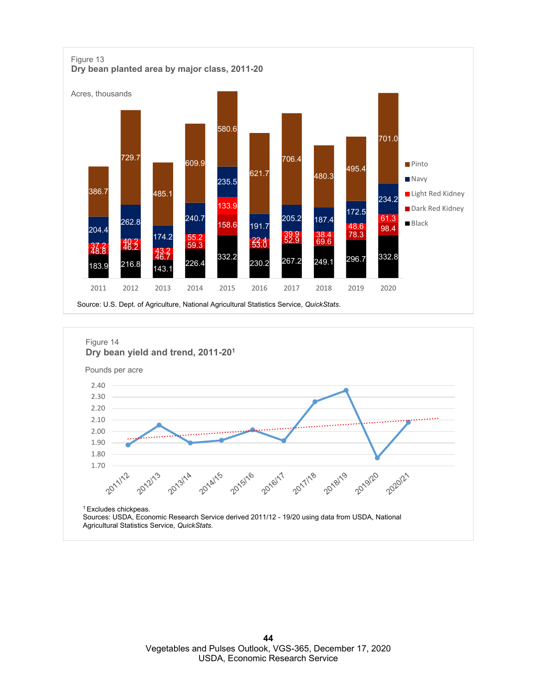

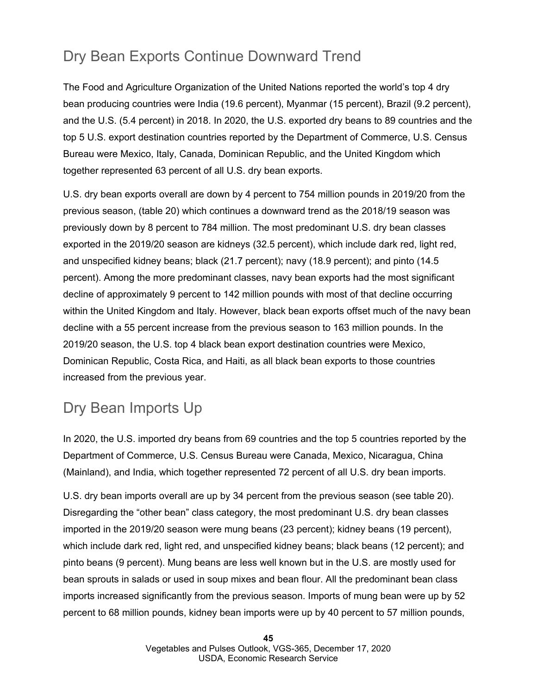## Dry Bean Exports Continue Downward Trend

The Food and Agriculture Organization of the United Nations reported the world's top 4 dry bean producing countries were India (19.6 percent), Myanmar (15 percent), Brazil (9.2 percent), and the U.S. (5.4 percent) in 2018. In 2020, the U.S. exported dry beans to 89 countries and the top 5 U.S. export destination countries reported by the Department of Commerce, U.S. Census Bureau were Mexico, Italy, Canada, Dominican Republic, and the United Kingdom which together represented 63 percent of all U.S. dry bean exports.

U.S. dry bean exports overall are down by 4 percent to 754 million pounds in 2019/20 from the previous season, (table 20) which continues a downward trend as the 2018/19 season was previously down by 8 percent to 784 million. The most predominant U.S. dry bean classes exported in the 2019/20 season are kidneys (32.5 percent), which include dark red, light red, and unspecified kidney beans; black (21.7 percent); navy (18.9 percent); and pinto (14.5 percent). Among the more predominant classes, navy bean exports had the most significant decline of approximately 9 percent to 142 million pounds with most of that decline occurring within the United Kingdom and Italy. However, black bean exports offset much of the navy bean decline with a 55 percent increase from the previous season to 163 million pounds. In the 2019/20 season, the U.S. top 4 black bean export destination countries were Mexico, Dominican Republic, Costa Rica, and Haiti, as all black bean exports to those countries increased from the previous year.

## Dry Bean Imports Up

In 2020, the U.S. imported dry beans from 69 countries and the top 5 countries reported by the Department of Commerce, U.S. Census Bureau were Canada, Mexico, Nicaragua, China (Mainland), and India, which together represented 72 percent of all U.S. dry bean imports.

U.S. dry bean imports overall are up by 34 percent from the previous season (see table 20). Disregarding the "other bean" class category, the most predominant U.S. dry bean classes imported in the 2019/20 season were mung beans (23 percent); kidney beans (19 percent), which include dark red, light red, and unspecified kidney beans; black beans (12 percent); and pinto beans (9 percent). Mung beans are less well known but in the U.S. are mostly used for bean sprouts in salads or used in soup mixes and bean flour. All the predominant bean class imports increased significantly from the previous season. Imports of mung bean were up by 52 percent to 68 million pounds, kidney bean imports were up by 40 percent to 57 million pounds,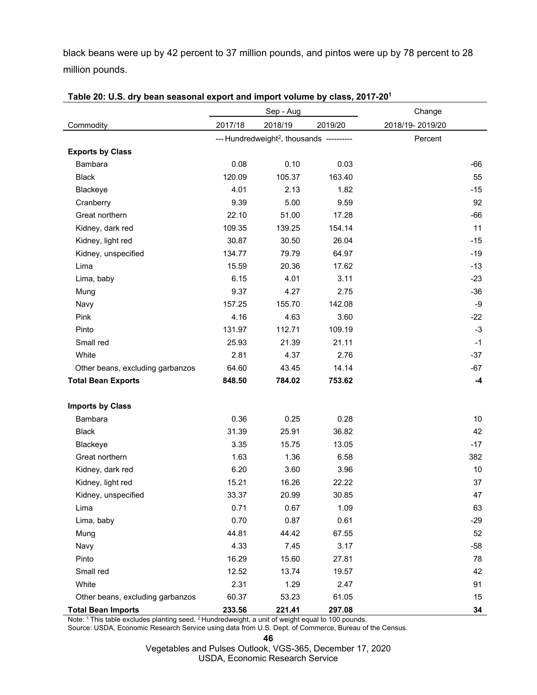black beans were up by 42 percent to 37 million pounds, and pintos were up by 78 percent to 28 million pounds.

|                                  | Sep - Aug |                                                       | Change  |                 |
|----------------------------------|-----------|-------------------------------------------------------|---------|-----------------|
| Commodity                        | 2017/18   | 2018/19                                               | 2019/20 | 2018/19-2019/20 |
|                                  |           | --- Hundredweight <sup>2</sup> , thousands ---------- |         | Percent         |
| <b>Exports by Class</b>          |           |                                                       |         |                 |
| <b>Bambara</b>                   | 0.08      | 0.10                                                  | 0.03    | -66             |
| <b>Black</b>                     | 120.09    | 105.37                                                | 163.40  | 55              |
| Blackeye                         | 4.01      | 2.13                                                  | 1.82    | $-15$           |
| Cranberry                        | 9.39      | 5.00                                                  | 9.59    | 92              |
| Great northern                   | 22.10     | 51.00                                                 | 17.28   | $-66$           |
| Kidney, dark red                 | 109.35    | 139.25                                                | 154.14  | 11              |
| Kidney, light red                | 30.87     | 30.50                                                 | 26.04   | $-15$           |
| Kidney, unspecified              | 134.77    | 79.79                                                 | 64.97   | $-19$           |
| Lima                             | 15.59     | 20.36                                                 | 17.62   | $-13$           |
| Lima, baby                       | 6.15      | 4.01                                                  | 3.11    | $-23$           |
| Mung                             | 9.37      | 4.27                                                  | 2.75    | $-36$           |
| Navy                             | 157.25    | 155.70                                                | 142.08  | $-9$            |
| Pink                             | 4.16      | 4.63                                                  | 3.60    | $-22$           |
| Pinto                            | 131.97    | 112.71                                                | 109.19  | $-3$            |
| Small red                        | 25.93     | 21.39                                                 | 21.11   | $-1$            |
| White                            | 2.81      | 4.37                                                  | 2.76    | $-37$           |
| Other beans, excluding garbanzos | 64.60     | 43.45                                                 | 14.14   | $-67$           |
| <b>Total Bean Exports</b>        | 848.50    | 784.02                                                | 753.62  | -4              |
|                                  |           |                                                       |         |                 |
| <b>Imports by Class</b>          |           |                                                       |         |                 |
| Bambara                          | 0.36      | 0.25                                                  | 0.28    | 10              |
| <b>Black</b>                     | 31.39     | 25.91                                                 | 36.82   | 42              |
| Blackeye                         | 3.35      | 15.75                                                 | 13.05   | $-17$           |
| Great northern                   | 1.63      | 1.36                                                  | 6.58    | 382             |
| Kidney, dark red                 | 6.20      | 3.60                                                  | 3.96    | 10              |
| Kidney, light red                | 15.21     | 16.26                                                 | 22.22   | 37              |
| Kidney, unspecified              | 33.37     | 20.99                                                 | 30.85   | 47              |
| Lima                             | 0.71      | 0.67                                                  | 1.09    | 63              |
| Lima, baby                       | 0.70      | 0.87                                                  | 0.61    | $-29$           |
| Mung                             | 44.81     | 44.42                                                 | 67.55   | 52              |
| Navy                             | 4.33      | 7.45                                                  | 3.17    | -58             |
| Pinto                            | 16.29     | 15.60                                                 | 27.81   | 78              |
| Small red                        | 12.52     | 13.74                                                 | 19.57   | 42              |
| White                            | 2.31      | 1.29                                                  | 2.47    | 91              |
| Other beans, excluding garbanzos | 60.37     | 53.23                                                 | 61.05   | 15              |
| <b>Total Bean Imports</b>        | 233.56    | 221.41                                                | 297.08  | 34              |

|  | Table 20: U.S. dry bean seasonal export and import volume by class, 2017-20 <sup>1</sup> |  |  |  |
|--|------------------------------------------------------------------------------------------|--|--|--|
|--|------------------------------------------------------------------------------------------|--|--|--|

Note:  $^1$  This table excludes planting seed,  $^2$  Hundredweight, a unit of weight equal to 100 pounds. Source: USDA, Economic Research Service using data from U.S. Dept. of Commerce, Bureau of the Census.

**46**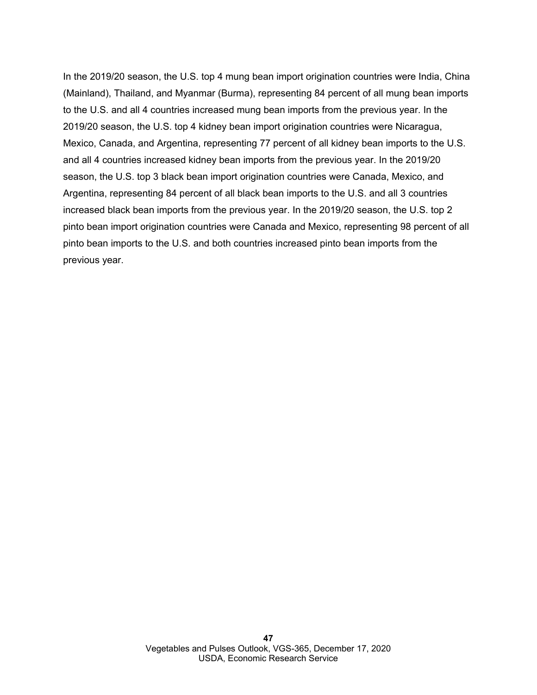In the 2019/20 season, the U.S. top 4 mung bean import origination countries were India, China (Mainland), Thailand, and Myanmar (Burma), representing 84 percent of all mung bean imports to the U.S. and all 4 countries increased mung bean imports from the previous year. In the 2019/20 season, the U.S. top 4 kidney bean import origination countries were Nicaragua, Mexico, Canada, and Argentina, representing 77 percent of all kidney bean imports to the U.S. and all 4 countries increased kidney bean imports from the previous year. In the 2019/20 season, the U.S. top 3 black bean import origination countries were Canada, Mexico, and Argentina, representing 84 percent of all black bean imports to the U.S. and all 3 countries increased black bean imports from the previous year. In the 2019/20 season, the U.S. top 2 pinto bean import origination countries were Canada and Mexico, representing 98 percent of all pinto bean imports to the U.S. and both countries increased pinto bean imports from the previous year.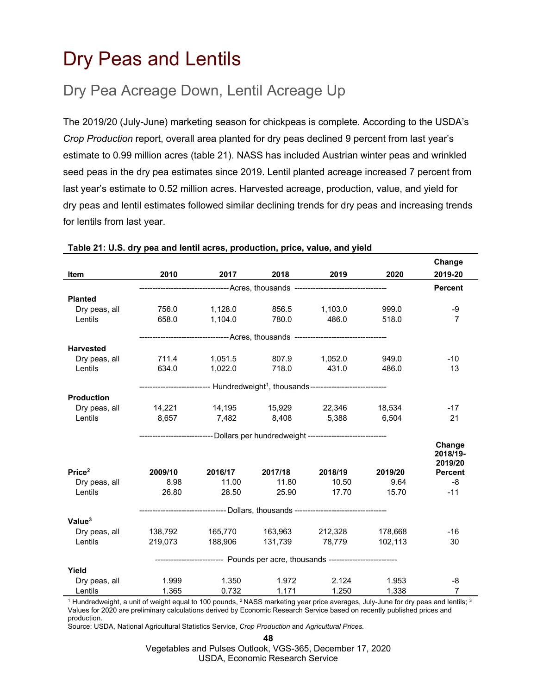## <span id="page-47-0"></span>Dry Peas and Lentils

## Dry Pea Acreage Down, Lentil Acreage Up

The 2019/20 (July-June) marketing season for chickpeas is complete. According to the USDA's *Crop Production* report, overall area planted for dry peas declined 9 percent from last year's estimate to 0.99 million acres (table 21). NASS has included Austrian winter peas and wrinkled seed peas in the dry pea estimates since 2019. Lentil planted acreage increased 7 percent from last year's estimate to 0.52 million acres. Harvested acreage, production, value, and yield for dry peas and lentil estimates followed similar declining trends for dry peas and increasing trends for lentils from last year.

|                    |         |                                                                                               |                       |                |         | Change              |  |  |  |
|--------------------|---------|-----------------------------------------------------------------------------------------------|-----------------------|----------------|---------|---------------------|--|--|--|
| Item               | 2010    | 2017                                                                                          | 2018                  | 2019           | 2020    | 2019-20             |  |  |  |
|                    |         | --------------------------------- Acres, thousands ----------------------------------         |                       |                |         |                     |  |  |  |
| <b>Planted</b>     |         |                                                                                               |                       |                |         |                     |  |  |  |
| Dry peas, all      | 756.0   | 1,128.0                                                                                       | 856.5                 | 1,103.0        | 999.0   | -9                  |  |  |  |
| Lentils            | 658.0   | 1,104.0                                                                                       | 780.0                 | 486.0          | 518.0   | $\overline{7}$      |  |  |  |
|                    |         | --------------------------------- Acres, thousands ---------------------------------          |                       |                |         |                     |  |  |  |
| <b>Harvested</b>   |         |                                                                                               |                       |                |         |                     |  |  |  |
| Dry peas, all      | 711.4   |                                                                                               | 1,051.5 807.9 1,052.0 |                | 949.0   | $-10$               |  |  |  |
| Lentils            | 634.0   | 1,022.0 718.0                                                                                 |                       | 431.0          | 486.0   | 13                  |  |  |  |
|                    |         | -------------------------- Hundredweight <sup>1</sup> , thousands---------------------------- |                       |                |         |                     |  |  |  |
| <b>Production</b>  |         |                                                                                               |                       |                |         |                     |  |  |  |
| Dry peas, all      |         |                                                                                               |                       |                |         | $-17$               |  |  |  |
| Lentils            |         | 8,657 7,482 8,408 5,388 6,504                                                                 |                       |                |         | 21                  |  |  |  |
|                    |         | ---------------------------- Dollars per hundredweight ----------------------------           |                       |                |         |                     |  |  |  |
|                    |         |                                                                                               |                       |                |         | Change              |  |  |  |
|                    |         |                                                                                               |                       |                |         | 2018/19-<br>2019/20 |  |  |  |
| Price <sup>2</sup> | 2009/10 | 2016/17                                                                                       | 2017/18               | 2018/19        | 2019/20 | <b>Percent</b>      |  |  |  |
| Dry peas, all      | 8.98    | 11.00                                                                                         | 11.80                 | 10.50          | 9.64    | -8                  |  |  |  |
| Lentils            | 26.80   | 28.50                                                                                         | 25.90                 | 17.70          | 15.70   | $-11$               |  |  |  |
|                    |         | ------------------------------ Dollars, thousands ----------------------------------          |                       |                |         |                     |  |  |  |
| Value <sup>3</sup> |         |                                                                                               |                       |                |         |                     |  |  |  |
| Dry peas, all      | 138,792 |                                                                                               |                       |                |         | $-16$               |  |  |  |
| Lentils            | 219,073 | 188,906                                                                                       |                       | 131,739 78,779 | 102.113 | 30                  |  |  |  |
|                    |         | -------------------------    Pounds per acre, thousands ------------------------              |                       |                |         |                     |  |  |  |
| Yield              |         |                                                                                               |                       |                |         |                     |  |  |  |
| Dry peas, all      | 1.999   | 1.350                                                                                         | 1.972                 | 2.124          | 1.953   | -8                  |  |  |  |
| Lentils            | 1.365   | 0.732                                                                                         | 1.171                 | 1.250          | 1.338   | $\overline{7}$      |  |  |  |

#### **Table 21: U.S. dry pea and lentil acres, production, price, value, and yield**

<sup>1</sup> Hundredweight, a unit of weight equal to 100 pounds, <sup>2</sup> NASS marketing year price averages, July-June for dry peas and lentils;  $3$ Values for 2020 are preliminary calculations derived by Economic Research Service based on recently published prices and production.

Source: USDA, National Agricultural Statistics Service, *Crop Production* and *Agricultural Prices.*

**48**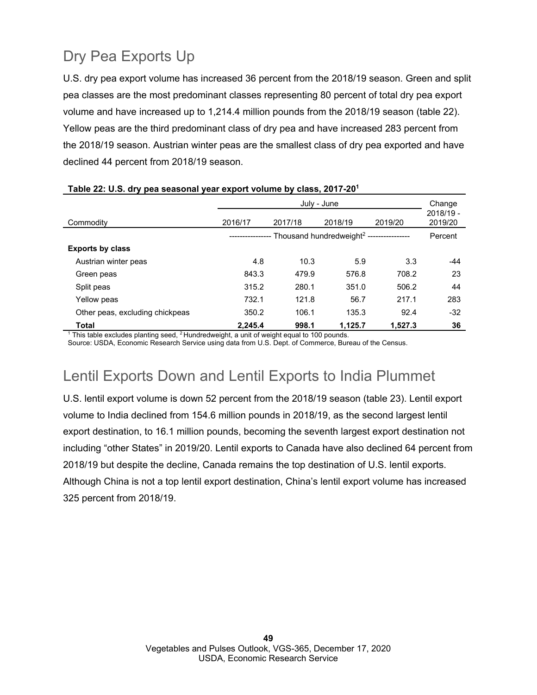## Dry Pea Exports Up

U.S. dry pea export volume has increased 36 percent from the 2018/19 season. Green and split pea classes are the most predominant classes representing 80 percent of total dry pea export volume and have increased up to 1,214.4 million pounds from the 2018/19 season (table 22). Yellow peas are the third predominant class of dry pea and have increased 283 percent from the 2018/19 season. Austrian winter peas are the smallest class of dry pea exported and have declined 44 percent from 2018/19 season.

|                                 |              | July - June                                          |         |         |                      |  |  |  |
|---------------------------------|--------------|------------------------------------------------------|---------|---------|----------------------|--|--|--|
| Commodity                       | 2016/17      | 2017/18                                              | 2018/19 | 2019/20 | 2018/19 -<br>2019/20 |  |  |  |
|                                 | ------------ | Thousand hundredweight <sup>2</sup> ---------------- |         |         |                      |  |  |  |
| <b>Exports by class</b>         |              |                                                      |         |         |                      |  |  |  |
| Austrian winter peas            | 4.8          | 10.3                                                 | 5.9     | 3.3     | -44                  |  |  |  |
| Green peas                      | 843.3        | 479.9                                                | 576.8   | 708.2   | 23                   |  |  |  |
| Split peas                      | 315.2        | 280.1                                                | 351.0   | 506.2   | 44                   |  |  |  |
| Yellow peas                     | 732.1        | 121.8                                                | 56.7    | 217.1   | 283                  |  |  |  |
| Other peas, excluding chickpeas | 350.2        | 106.1                                                | 135.3   | 92.4    | $-32$                |  |  |  |
| Total                           | 2.245.4      | 998.1                                                | 1.125.7 | 1.527.3 | 36                   |  |  |  |

### **Table 22: U.S. dry pea seasonal year export volume by class, 2017-201**

 $1$  This table excludes planting seed,  $2$  Hundredweight, a unit of weight equal to 100 pounds.

Source: USDA, Economic Research Service using data from U.S. Dept. of Commerce, Bureau of the Census.

## Lentil Exports Down and Lentil Exports to India Plummet

U.S. lentil export volume is down 52 percent from the 2018/19 season (table 23). Lentil export volume to India declined from 154.6 million pounds in 2018/19, as the second largest lentil export destination, to 16.1 million pounds, becoming the seventh largest export destination not including "other States" in 2019/20. Lentil exports to Canada have also declined 64 percent from 2018/19 but despite the decline, Canada remains the top destination of U.S. lentil exports. Although China is not a top lentil export destination, China's lentil export volume has increased 325 percent from 2018/19.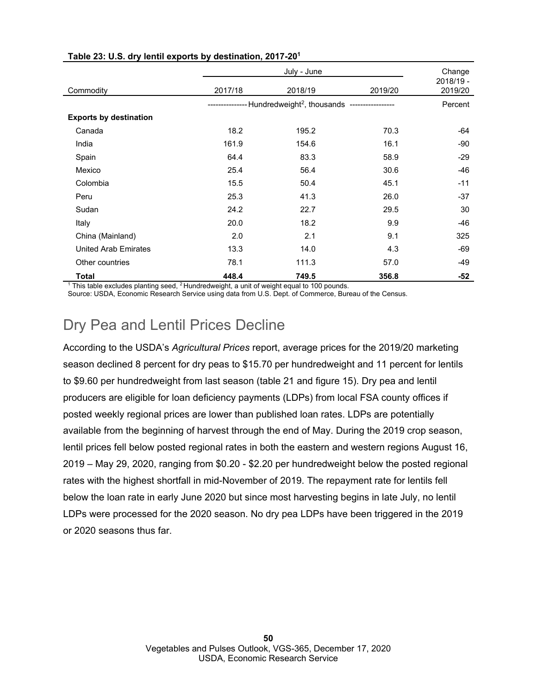|                               |               |                                                            | Change  |                      |  |  |  |
|-------------------------------|---------------|------------------------------------------------------------|---------|----------------------|--|--|--|
| Commodity                     | 2017/18       | 2018/19                                                    | 2019/20 | 2018/19 -<br>2019/20 |  |  |  |
|                               | ------------- | --Hundredweight <sup>2</sup> , thousands ----------------- |         |                      |  |  |  |
| <b>Exports by destination</b> |               |                                                            |         |                      |  |  |  |
| Canada                        | 18.2          | 195.2                                                      | 70.3    | -64                  |  |  |  |
| India                         | 161.9         | 154.6                                                      | 16.1    | -90                  |  |  |  |
| Spain                         | 64.4          | 83.3                                                       | 58.9    | $-29$                |  |  |  |
| Mexico                        | 25.4          | 56.4                                                       | 30.6    | $-46$                |  |  |  |
| Colombia                      | 15.5          | 50.4                                                       | 45.1    | $-11$                |  |  |  |
| Peru                          | 25.3          | 41.3                                                       | 26.0    | $-37$                |  |  |  |
| Sudan                         | 24.2          | 22.7                                                       | 29.5    | 30                   |  |  |  |
| Italy                         | 20.0          | 18.2                                                       | 9.9     | $-46$                |  |  |  |
| China (Mainland)              | 2.0           | 2.1                                                        | 9.1     | 325                  |  |  |  |
| <b>United Arab Emirates</b>   | 13.3          | 14.0                                                       | 4.3     | $-69$                |  |  |  |
| Other countries               | 78.1          | 111.3                                                      | 57.0    | $-49$                |  |  |  |
| <b>Total</b>                  | 448.4         | 749.5                                                      | 356.8   | -52                  |  |  |  |

### **Table 23: U.S. dry lentil exports by destination, 2017-201**

 $1$  This table excludes planting seed,  $2$  Hundredweight, a unit of weight equal to 100 pounds. Source: USDA, Economic Research Service using data from U.S. Dept. of Commerce, Bureau of the Census.

## Dry Pea and Lentil Prices Decline

According to the USDA's *Agricultural Prices* report, average prices for the 2019/20 marketing season declined 8 percent for dry peas to \$15.70 per hundredweight and 11 percent for lentils to \$9.60 per hundredweight from last season (table 21 and figure 15). Dry pea and lentil producers are eligible for loan deficiency payments (LDPs) from local FSA county offices if posted weekly regional prices are lower than published loan rates. LDPs are potentially available from the beginning of harvest through the end of May. During the 2019 crop season, lentil prices fell below posted regional rates in both the eastern and western regions August 16, 2019 – May 29, 2020, ranging from \$0.20 - \$2.20 per hundredweight below the posted regional rates with the highest shortfall in mid-November of 2019. The repayment rate for lentils fell below the loan rate in early June 2020 but since most harvesting begins in late July, no lentil LDPs were processed for the 2020 season. No dry pea LDPs have been triggered in the 2019 or 2020 seasons thus far.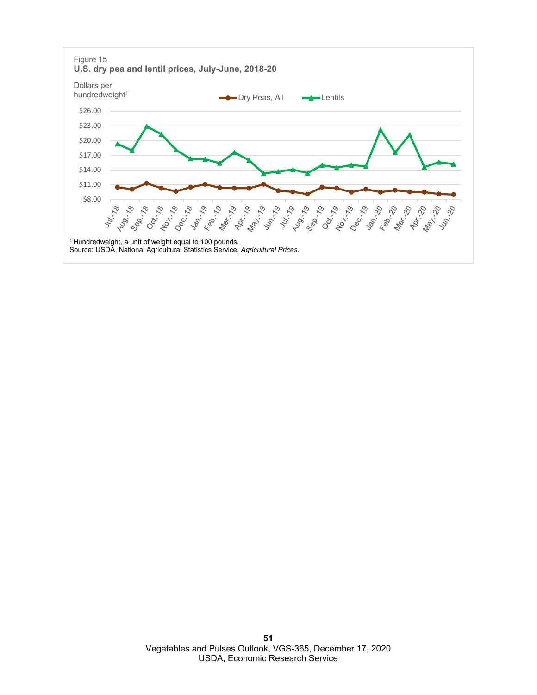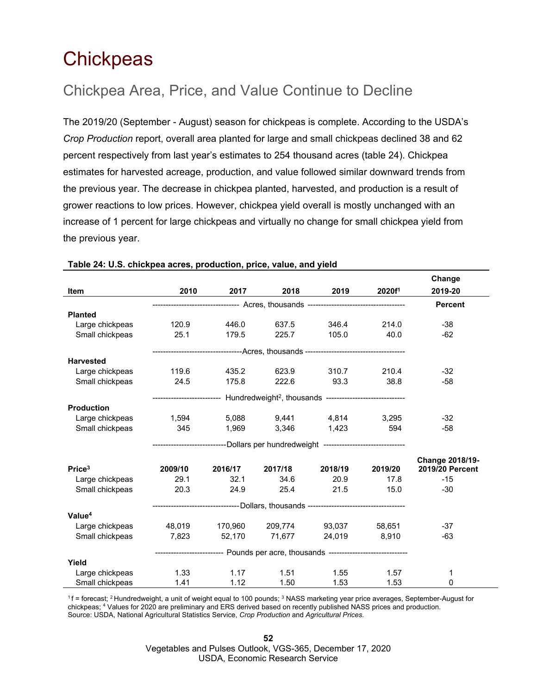## <span id="page-51-0"></span>**Chickpeas**

## Chickpea Area, Price, and Value Continue to Decline

The 2019/20 (September - August) season for chickpeas is complete. According to the USDA's *Crop Production* report, overall area planted for large and small chickpeas declined 38 and 62 percent respectively from last year's estimates to 254 thousand acres (table 24). Chickpea estimates for harvested acreage, production, and value followed similar downward trends from the previous year. The decrease in chickpea planted, harvested, and production is a result of grower reactions to low prices. However, chickpea yield overall is mostly unchanged with an increase of 1 percent for large chickpeas and virtually no change for small chickpea yield from the previous year.

|                    |                                                |                                                                                       |                     |                                                                                               |                    | Change          |  |  |
|--------------------|------------------------------------------------|---------------------------------------------------------------------------------------|---------------------|-----------------------------------------------------------------------------------------------|--------------------|-----------------|--|--|
| <b>Item</b>        | 2010                                           | 2017                                                                                  | 2018                | 2019                                                                                          | 2020f <sup>1</sup> | 2019-20         |  |  |
|                    |                                                | -------------------------------- Acres, thousands ----------------------------------- |                     |                                                                                               |                    |                 |  |  |
| <b>Planted</b>     |                                                |                                                                                       |                     |                                                                                               |                    |                 |  |  |
| Large chickpeas    | 120.9                                          | 446.0                                                                                 | 637.5               | 346.4                                                                                         | 214.0              | $-38$           |  |  |
| Small chickpeas    | 25.1                                           | 179.5                                                                                 | 225.7               | 105.0                                                                                         | 40.0               | $-62$           |  |  |
|                    |                                                |                                                                                       |                     | ----------------------------------Acres, thousands -----------------------------------        |                    |                 |  |  |
| <b>Harvested</b>   |                                                |                                                                                       |                     |                                                                                               |                    |                 |  |  |
| Large chickpeas    | 119.6                                          | 435.2                                                                                 | 623.9               | 310.7                                                                                         | 210.4              | $-32$           |  |  |
| Small chickpeas    | 24.5                                           | 175.8                                                                                 | 222.6               | 93.3                                                                                          | 38.8               | $-58$           |  |  |
|                    |                                                |                                                                                       |                     | ------------------------- Hundredweight <sup>2</sup> , thousands ---------------------------- |                    |                 |  |  |
| <b>Production</b>  |                                                |                                                                                       |                     |                                                                                               |                    |                 |  |  |
| Large chickpeas    | 1,594 5,088 9,441 4,814 3,295                  |                                                                                       |                     |                                                                                               |                    | $-32$           |  |  |
| Small chickpeas    | 345                                            |                                                                                       |                     | 1,969 3,346 1,423                                                                             | 594                | $-58$           |  |  |
|                    |                                                |                                                                                       |                     | ---------------------------Dollars per hundredweight -----------------------------            |                    |                 |  |  |
|                    |                                                |                                                                                       |                     |                                                                                               |                    | Change 2018/19- |  |  |
| Price <sup>3</sup> | 2009/10                                        | 2016/17                                                                               | 2017/18             | 2018/19                                                                                       | 2019/20            | 2019/20 Percent |  |  |
| Large chickpeas    | 29.1                                           | 32.1                                                                                  | 34.6                | 20.9                                                                                          | 17.8               | $-15$           |  |  |
| Small chickpeas    | 20.3                                           | 24.9                                                                                  | 25.4                | 21.5                                                                                          | 15.0               | $-30$           |  |  |
|                    |                                                |                                                                                       |                     | ---------------------------------Dollars, thousands -----------------------------------       |                    |                 |  |  |
| Value <sup>4</sup> |                                                |                                                                                       |                     |                                                                                               |                    |                 |  |  |
| Large chickpeas    | 48,019   170,960   209,774    93,037    58,651 |                                                                                       |                     |                                                                                               |                    | $-37$           |  |  |
| Small chickpeas    |                                                |                                                                                       | 7,823 52,170 71,677 |                                                                                               | 24,019 8,910       | $-63$           |  |  |
|                    |                                                |                                                                                       |                     | -------------------------- Pounds per acre, thousands -----------------------------           |                    |                 |  |  |
| Yield              |                                                |                                                                                       |                     |                                                                                               |                    |                 |  |  |
| Large chickpeas    | 1.33                                           | 1.17                                                                                  | 1.51                | 1.55                                                                                          | 1.57               | 1               |  |  |
| Small chickpeas    | 1.41                                           | 1.12                                                                                  | 1.50                | 1.53                                                                                          | 1.53               | 0               |  |  |

#### **Table 24: U.S. chickpea acres, production, price, value, and yield**

 $1$ f = forecast; <sup>2</sup> Hundredweight, a unit of weight equal to 100 pounds;  $3$  NASS marketing year price averages, September-August for chickpeas; 4 Values for 2020 are preliminary and ERS derived based on recently published NASS prices and production. Source: USDA, National Agricultural Statistics Service, *Crop Production* and *Agricultural Prices.*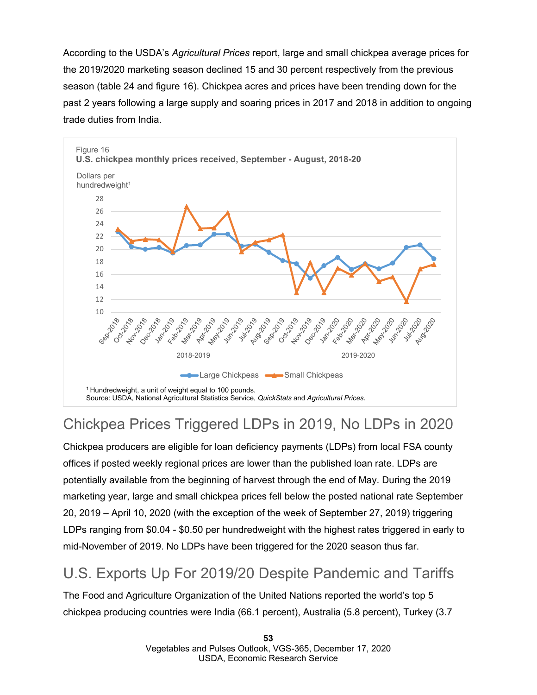According to the USDA's *Agricultural Prices* report, large and small chickpea average prices for the 2019/2020 marketing season declined 15 and 30 percent respectively from the previous season (table 24 and figure 16). Chickpea acres and prices have been trending down for the past 2 years following a large supply and soaring prices in 2017 and 2018 in addition to ongoing trade duties from India.



## Chickpea Prices Triggered LDPs in 2019, No LDPs in 2020

Chickpea producers are eligible for loan deficiency payments (LDPs) from local FSA county offices if posted weekly regional prices are lower than the published loan rate. LDPs are potentially available from the beginning of harvest through the end of May. During the 2019 marketing year, large and small chickpea prices fell below the posted national rate September 20, 2019 – April 10, 2020 (with the exception of the week of September 27, 2019) triggering LDPs ranging from \$0.04 - \$0.50 per hundredweight with the highest rates triggered in early to mid-November of 2019. No LDPs have been triggered for the 2020 season thus far.

## U.S. Exports Up For 2019/20 Despite Pandemic and Tariffs

The Food and Agriculture Organization of the United Nations reported the world's top 5 chickpea producing countries were India (66.1 percent), Australia (5.8 percent), Turkey (3.7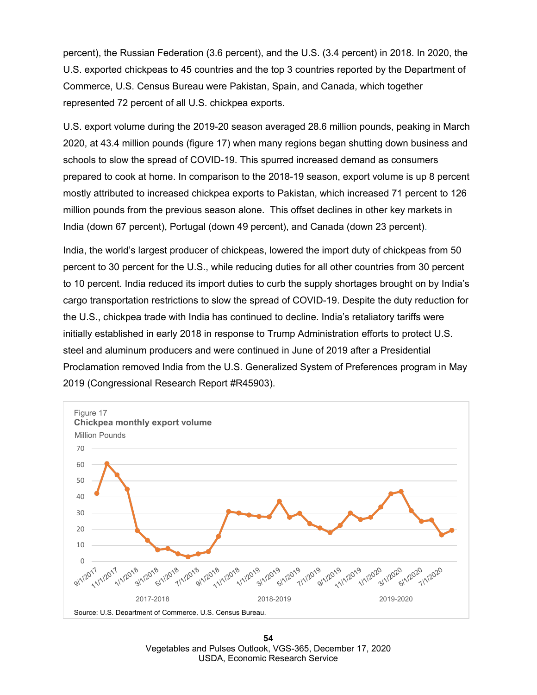percent), the Russian Federation (3.6 percent), and the U.S. (3.4 percent) in 2018. In 2020, the U.S. exported chickpeas to 45 countries and the top 3 countries reported by the Department of Commerce, U.S. Census Bureau were Pakistan, Spain, and Canada, which together represented 72 percent of all U.S. chickpea exports.

U.S. export volume during the 2019-20 season averaged 28.6 million pounds, peaking in March 2020, at 43.4 million pounds (figure 17) when many regions began shutting down business and schools to slow the spread of COVID-19. This spurred increased demand as consumers prepared to cook at home. In comparison to the 2018-19 season, export volume is up 8 percent mostly attributed to increased chickpea exports to Pakistan, which increased 71 percent to 126 million pounds from the previous season alone. This offset declines in other key markets in India (down 67 percent), Portugal (down 49 percent), and Canada (down 23 percent).

India, the world's largest producer of chickpeas, lowered the import duty of chickpeas from 50 percent to 30 percent for the U.S., while reducing duties for all other countries from 30 percent to 10 percent. India reduced its import duties to curb the supply shortages brought on by India's cargo transportation restrictions to slow the spread of COVID-19. Despite the duty reduction for the U.S., chickpea trade with India has continued to decline. India's retaliatory tariffs were initially established in early 2018 in response to Trump Administration efforts to protect U.S. steel and aluminum producers and were continued in June of 2019 after a Presidential Proclamation removed India from the U.S. Generalized System of Preferences program in May 2019 (Congressional Research Report #R45903).



**54** Vegetables and Pulses Outlook, VGS-365, December 17, 2020 USDA, Economic Research Service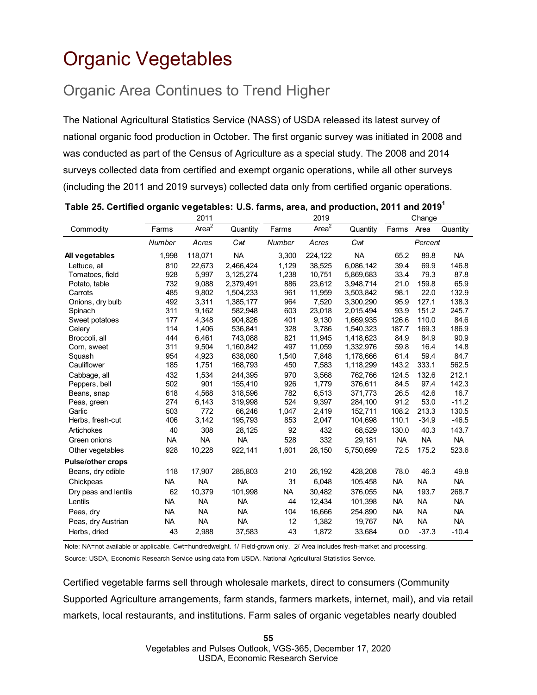## <span id="page-54-0"></span>Organic Vegetables

## Organic Area Continues to Trend Higher

The National Agricultural Statistics Service (NASS) of USDA released its latest survey of national organic food production in October. The first organic survey was initiated in 2008 and was conducted as part of the Census of Agriculture as a special study. The 2008 and 2014 surveys collected data from certified and exempt organic operations, while all other surveys (including the 2011 and 2019 surveys) collected data only from certified organic operations.

|                          |               | 2011              |           |               | 2019              |           |           | Change    |           |
|--------------------------|---------------|-------------------|-----------|---------------|-------------------|-----------|-----------|-----------|-----------|
| Commodity                | Farms         | Area <sup>2</sup> | Quantity  | Farms         | Area <sup>2</sup> | Quantity  | Farms     | Area      | Quantity  |
|                          | <b>Number</b> | Acres             | Cwt       | <b>Number</b> | Acres             | Cwt       |           | Percent   |           |
| All vegetables           | 1,998         | 118,071           | <b>NA</b> | 3,300         | 224,122           | <b>NA</b> | 65.2      | 89.8      | <b>NA</b> |
| Lettuce, all             | 810           | 22,673            | 2,466,424 | 1,129         | 38,525            | 6,086,142 | 39.4      | 69.9      | 146.8     |
| Tomatoes, field          | 928           | 5,997             | 3,125,274 | 1,238         | 10,751            | 5,869,683 | 33.4      | 79.3      | 87.8      |
| Potato, table            | 732           | 9,088             | 2,379,491 | 886           | 23,612            | 3,948,714 | 21.0      | 159.8     | 65.9      |
| Carrots                  | 485           | 9,802             | 1,504,233 | 961           | 11,959            | 3,503,842 | 98.1      | 22.0      | 132.9     |
| Onions, dry bulb         | 492           | 3,311             | 1,385,177 | 964           | 7,520             | 3,300,290 | 95.9      | 127.1     | 138.3     |
| Spinach                  | 311           | 9,162             | 582,948   | 603           | 23,018            | 2,015,494 | 93.9      | 151.2     | 245.7     |
| Sweet potatoes           | 177           | 4,348             | 904,826   | 401           | 9,130             | 1,669,935 | 126.6     | 110.0     | 84.6      |
| Celery                   | 114           | 1,406             | 536,841   | 328           | 3,786             | 1,540,323 | 187.7     | 169.3     | 186.9     |
| Broccoli, all            | 444           | 6,461             | 743,088   | 821           | 11,945            | 1,418,623 | 84.9      | 84.9      | 90.9      |
| Corn, sweet              | 311           | 9.504             | 1,160,842 | 497           | 11.059            | 1,332,976 | 59.8      | 16.4      | 14.8      |
| Squash                   | 954           | 4,923             | 638,080   | 1,540         | 7,848             | 1,178,666 | 61.4      | 59.4      | 84.7      |
| Cauliflower              | 185           | 1,751             | 168,793   | 450           | 7,583             | 1,118,299 | 143.2     | 333.1     | 562.5     |
| Cabbage, all             | 432           | 1,534             | 244,395   | 970           | 3,568             | 762,766   | 124.5     | 132.6     | 212.1     |
| Peppers, bell            | 502           | 901               | 155,410   | 926           | 1,779             | 376,611   | 84.5      | 97.4      | 142.3     |
| Beans, snap              | 618           | 4,568             | 318,596   | 782           | 6,513             | 371,773   | 26.5      | 42.6      | 16.7      |
| Peas, green              | 274           | 6,143             | 319,998   | 524           | 9,397             | 284,100   | 91.2      | 53.0      | $-11.2$   |
| Garlic                   | 503           | 772               | 66,246    | 1,047         | 2,419             | 152,711   | 108.2     | 213.3     | 130.5     |
| Herbs, fresh-cut         | 406           | 3,142             | 195,793   | 853           | 2,047             | 104,698   | 110.1     | $-34.9$   | $-46.5$   |
| Artichokes               | 40            | 308               | 28,125    | 92            | 432               | 68,529    | 130.0     | 40.3      | 143.7     |
| Green onions             | <b>NA</b>     | <b>NA</b>         | <b>NA</b> | 528           | 332               | 29,181    | <b>NA</b> | <b>NA</b> | <b>NA</b> |
| Other vegetables         | 928           | 10,228            | 922,141   | 1,601         | 28,150            | 5,750,699 | 72.5      | 175.2     | 523.6     |
| <b>Pulse/other crops</b> |               |                   |           |               |                   |           |           |           |           |
| Beans, dry edible        | 118           | 17,907            | 285,803   | 210           | 26,192            | 428,208   | 78.0      | 46.3      | 49.8      |
| Chickpeas                | <b>NA</b>     | <b>NA</b>         | <b>NA</b> | 31            | 6,048             | 105,458   | <b>NA</b> | <b>NA</b> | <b>NA</b> |
| Dry peas and lentils     | 62            | 10,379            | 101,998   | <b>NA</b>     | 30,482            | 376,055   | <b>NA</b> | 193.7     | 268.7     |
| Lentils                  | <b>NA</b>     | <b>NA</b>         | <b>NA</b> | 44            | 12,434            | 101,398   | <b>NA</b> | <b>NA</b> | <b>NA</b> |
| Peas, dry                | <b>NA</b>     | <b>NA</b>         | <b>NA</b> | 104           | 16,666            | 254,890   | <b>NA</b> | <b>NA</b> | <b>NA</b> |
| Peas, dry Austrian       | <b>NA</b>     | <b>NA</b>         | <b>NA</b> | 12            | 1,382             | 19,767    | <b>NA</b> | <b>NA</b> | <b>NA</b> |
| Herbs, dried             | 43            | 2,988             | 37,583    | 43            | 1,872             | 33,684    | 0.0       | $-37.3$   | $-10.4$   |

### **Table 25. Certified organic vegetables: U.S. farms, area, and production, 2011 and 20191**

Note: NA=not available or applicable. Cwt=hundredweight. 1/ Field-grown only. 2/ Area includes fresh-market and processing. Source: USDA, Economic Research Service using data from USDA, National Agricultural Statistics Service.

Certified vegetable farms sell through wholesale markets, direct to consumers (Community Supported Agriculture arrangements, farm stands, farmers markets, internet, mail), and via retail markets, local restaurants, and institutions. Farm sales of organic vegetables nearly doubled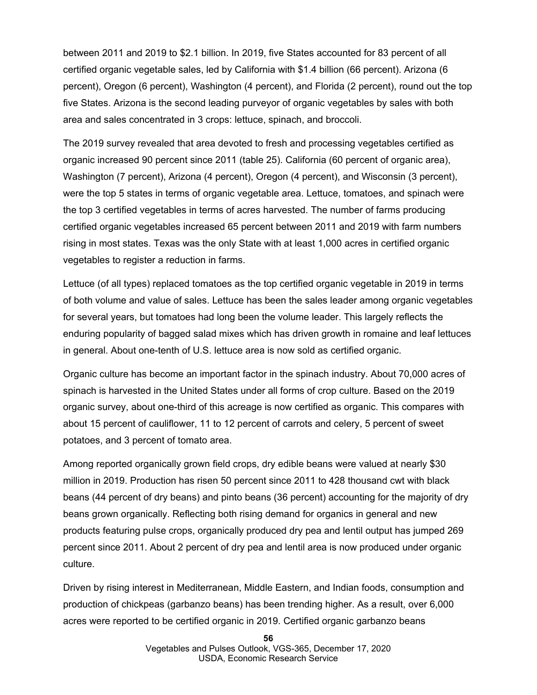between 2011 and 2019 to \$2.1 billion. In 2019, five States accounted for 83 percent of all certified organic vegetable sales, led by California with \$1.4 billion (66 percent). Arizona (6 percent), Oregon (6 percent), Washington (4 percent), and Florida (2 percent), round out the top five States. Arizona is the second leading purveyor of organic vegetables by sales with both area and sales concentrated in 3 crops: lettuce, spinach, and broccoli.

The 2019 survey revealed that area devoted to fresh and processing vegetables certified as organic increased 90 percent since 2011 (table 25). California (60 percent of organic area), Washington (7 percent), Arizona (4 percent), Oregon (4 percent), and Wisconsin (3 percent), were the top 5 states in terms of organic vegetable area. Lettuce, tomatoes, and spinach were the top 3 certified vegetables in terms of acres harvested. The number of farms producing certified organic vegetables increased 65 percent between 2011 and 2019 with farm numbers rising in most states. Texas was the only State with at least 1,000 acres in certified organic vegetables to register a reduction in farms.

Lettuce (of all types) replaced tomatoes as the top certified organic vegetable in 2019 in terms of both volume and value of sales. Lettuce has been the sales leader among organic vegetables for several years, but tomatoes had long been the volume leader. This largely reflects the enduring popularity of bagged salad mixes which has driven growth in romaine and leaf lettuces in general. About one-tenth of U.S. lettuce area is now sold as certified organic.

Organic culture has become an important factor in the spinach industry. About 70,000 acres of spinach is harvested in the United States under all forms of crop culture. Based on the 2019 organic survey, about one-third of this acreage is now certified as organic. This compares with about 15 percent of cauliflower, 11 to 12 percent of carrots and celery, 5 percent of sweet potatoes, and 3 percent of tomato area.

Among reported organically grown field crops, dry edible beans were valued at nearly \$30 million in 2019. Production has risen 50 percent since 2011 to 428 thousand cwt with black beans (44 percent of dry beans) and pinto beans (36 percent) accounting for the majority of dry beans grown organically. Reflecting both rising demand for organics in general and new products featuring pulse crops, organically produced dry pea and lentil output has jumped 269 percent since 2011. About 2 percent of dry pea and lentil area is now produced under organic culture.

Driven by rising interest in Mediterranean, Middle Eastern, and Indian foods, consumption and production of chickpeas (garbanzo beans) has been trending higher. As a result, over 6,000 acres were reported to be certified organic in 2019. Certified organic garbanzo beans

**56**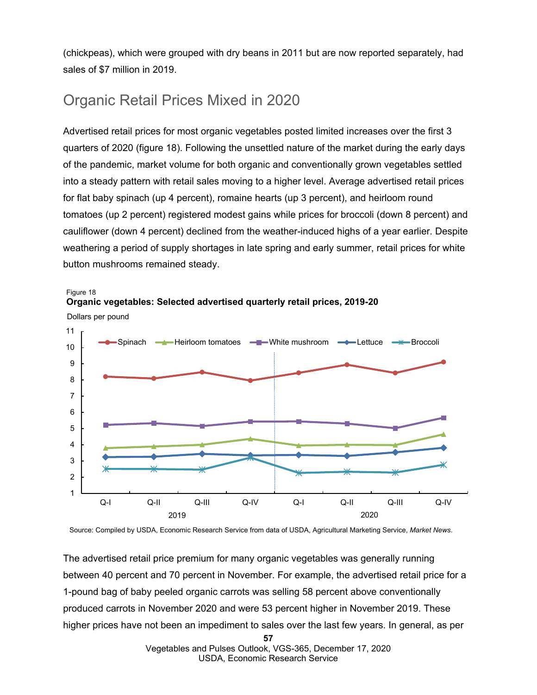(chickpeas), which were grouped with dry beans in 2011 but are now reported separately, had sales of \$7 million in 2019.

### Organic Retail Prices Mixed in 2020

Advertised retail prices for most organic vegetables posted limited increases over the first 3 quarters of 2020 (figure 18). Following the unsettled nature of the market during the early days of the pandemic, market volume for both organic and conventionally grown vegetables settled into a steady pattern with retail sales moving to a higher level. Average advertised retail prices for flat baby spinach (up 4 percent), romaine hearts (up 3 percent), and heirloom round tomatoes (up 2 percent) registered modest gains while prices for broccoli (down 8 percent) and cauliflower (down 4 percent) declined from the weather-induced highs of a year earlier. Despite weathering a period of supply shortages in late spring and early summer, retail prices for white button mushrooms remained steady.





Source: Compiled by USDA, Economic Research Service from data of USDA, Agricultural Marketing Service, *Market News*.

The advertised retail price premium for many organic vegetables was generally running between 40 percent and 70 percent in November. For example, the advertised retail price for a 1-pound bag of baby peeled organic carrots was selling 58 percent above conventionally produced carrots in November 2020 and were 53 percent higher in November 2019. These higher prices have not been an impediment to sales over the last few years. In general, as per

**57**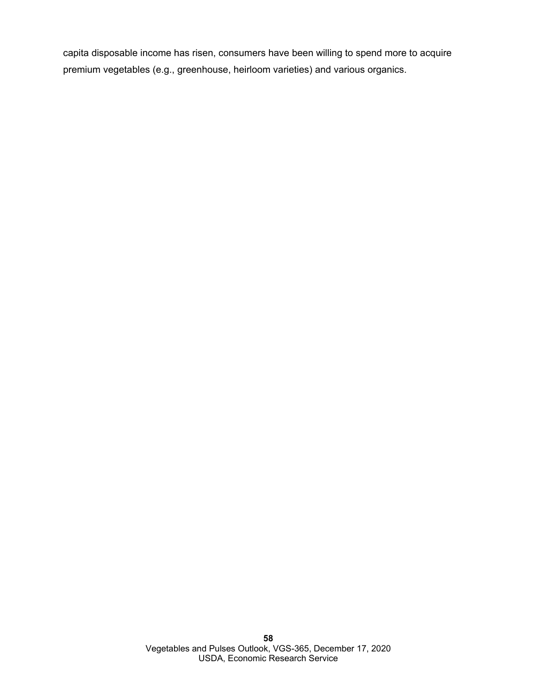capita disposable income has risen, consumers have been willing to spend more to acquire premium vegetables (e.g., greenhouse, heirloom varieties) and various organics.